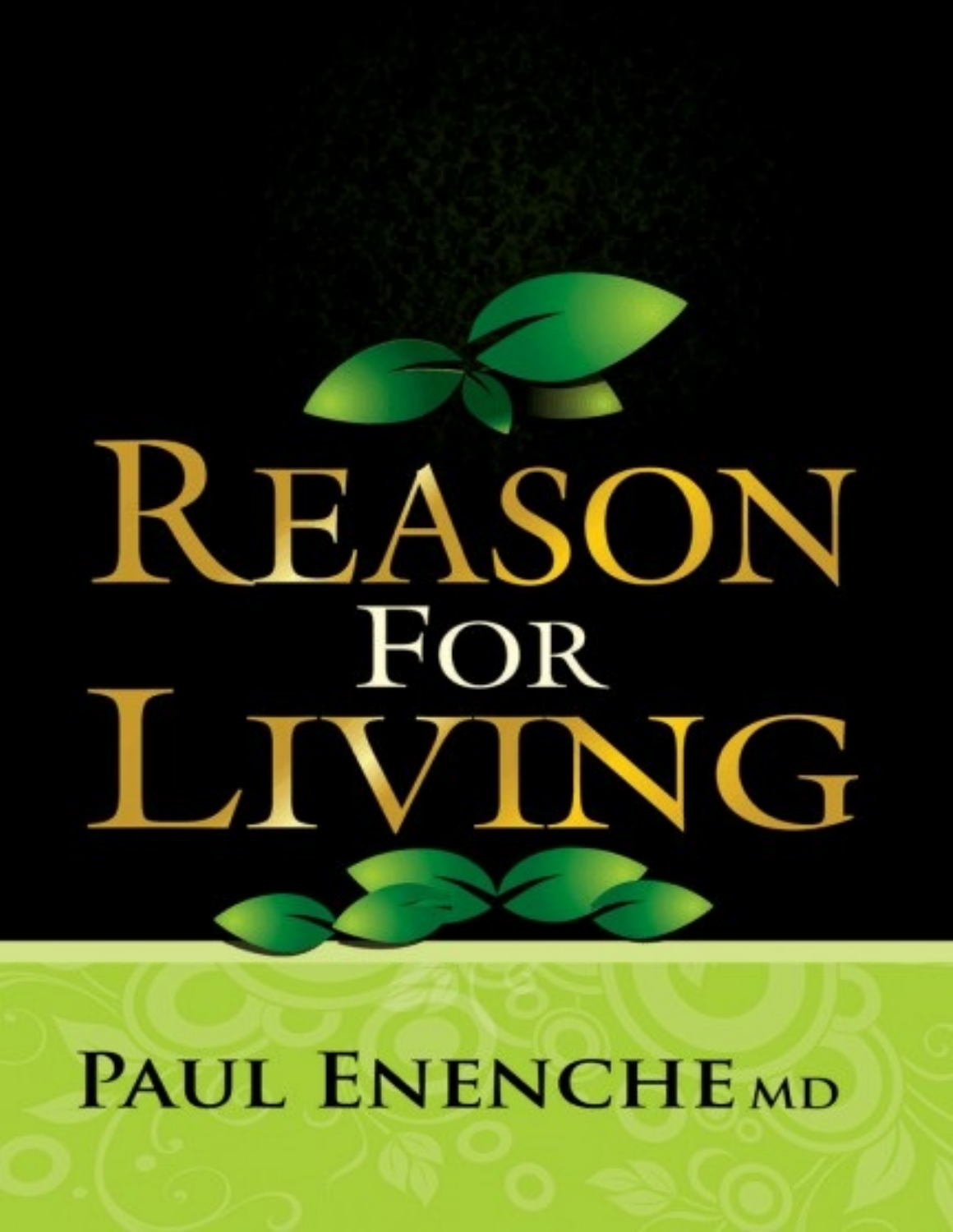# EASON FOR

# PAUL ENENCHEMD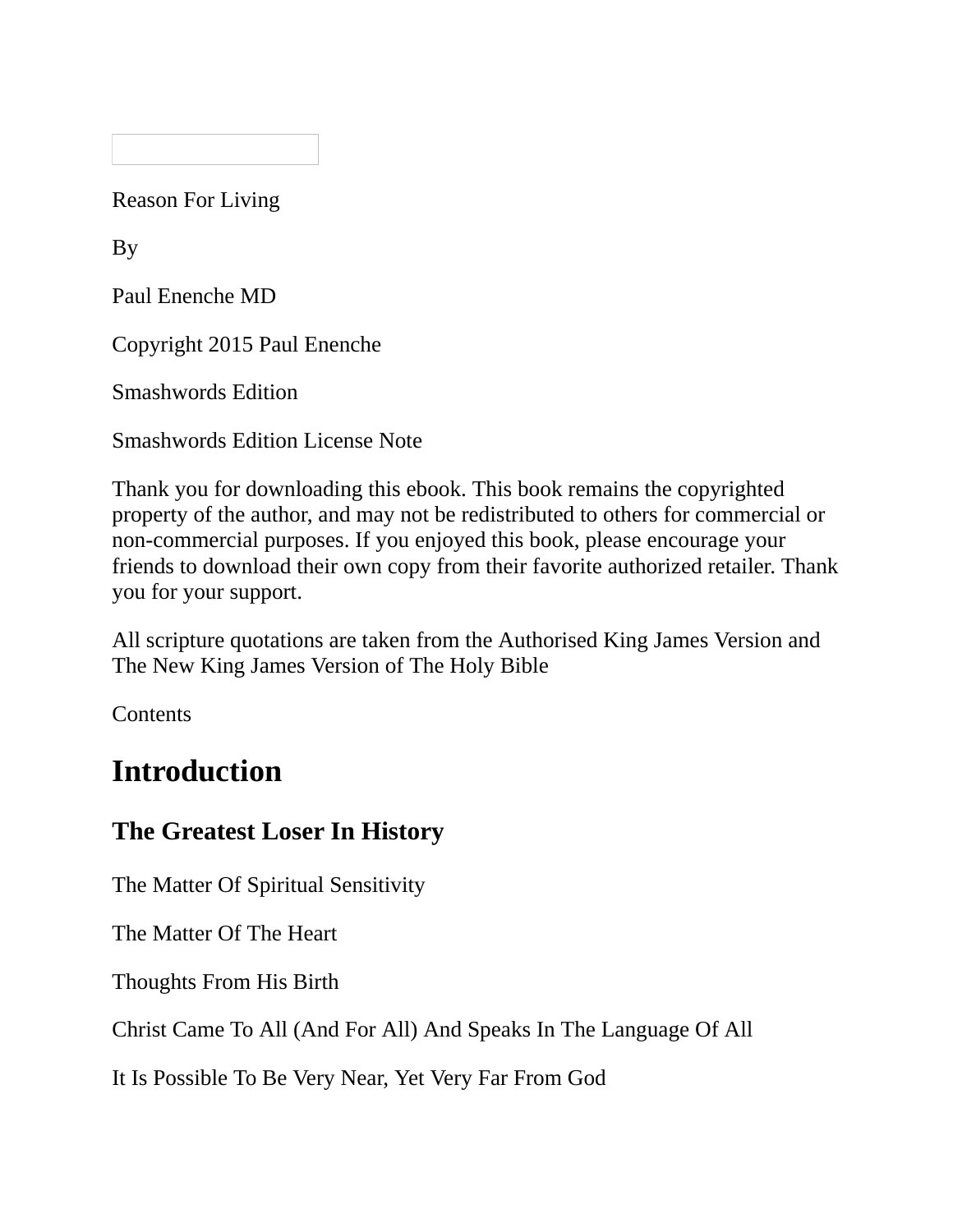Reason For Living

By

Paul Enenche MD

Copyright 2015 Paul Enenche

Smashwords Edition

Smashwords Edition License Note

Thank you for downloading this ebook. This book remains the copyrighted property of the author, and may not be redistributed to others for commercial or non-commercial purposes. If you enjoyed this book, please encourage your friends to download their own copy from their favorite authorized retailer. Thank you for your support.

All scripture quotations are taken from the Authorised King James Version and The New King James Version of The Holy Bible

**Contents** 

# **Introduction**

### **The Greatest Loser In History**

The Matter Of Spiritual Sensitivity

The Matter Of The Heart

Thoughts From His Birth

Christ Came To All (And For All) And Speaks In The Language Of All

It Is Possible To Be Very Near, Yet Very Far From God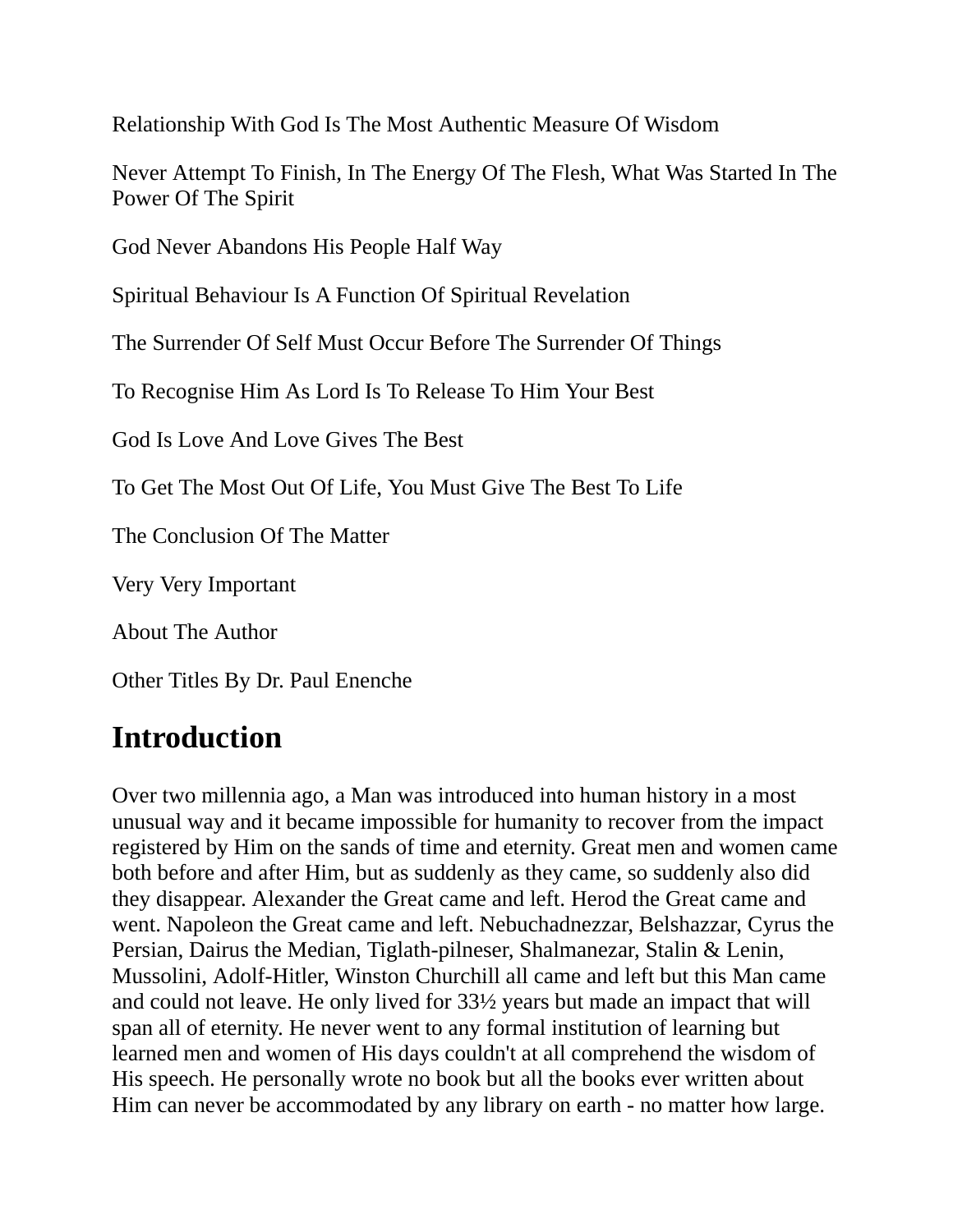Relationship With God Is The Most Authentic Measure Of Wisdom

Never Attempt To Finish, In The Energy Of The Flesh, What Was Started In The Power Of The Spirit

God Never Abandons His People Half Way

Spiritual Behaviour Is A Function Of Spiritual Revelation

The Surrender Of Self Must Occur Before The Surrender Of Things

To Recognise Him As Lord Is To Release To Him Your Best

God Is Love And Love Gives The Best

To Get The Most Out Of Life, You Must Give The Best To Life

The Conclusion Of The Matter

Very Very Important

About The Author

Other Titles By Dr. Paul Enenche

## **Introduction**

Over two millennia ago, a Man was introduced into human history in a most unusual way and it became impossible for humanity to recover from the impact registered by Him on the sands of time and eternity. Great men and women came both before and after Him, but as suddenly as they came, so suddenly also did they disappear. Alexander the Great came and left. Herod the Great came and went. Napoleon the Great came and left. Nebuchadnezzar, Belshazzar, Cyrus the Persian, Dairus the Median, Tiglath-pilneser, Shalmanezar, Stalin & Lenin, Mussolini, Adolf-Hitler, Winston Churchill all came and left but this Man came and could not leave. He only lived for 33½ years but made an impact that will span all of eternity. He never went to any formal institution of learning but learned men and women of His days couldn't at all comprehend the wisdom of His speech. He personally wrote no book but all the books ever written about Him can never be accommodated by any library on earth - no matter how large.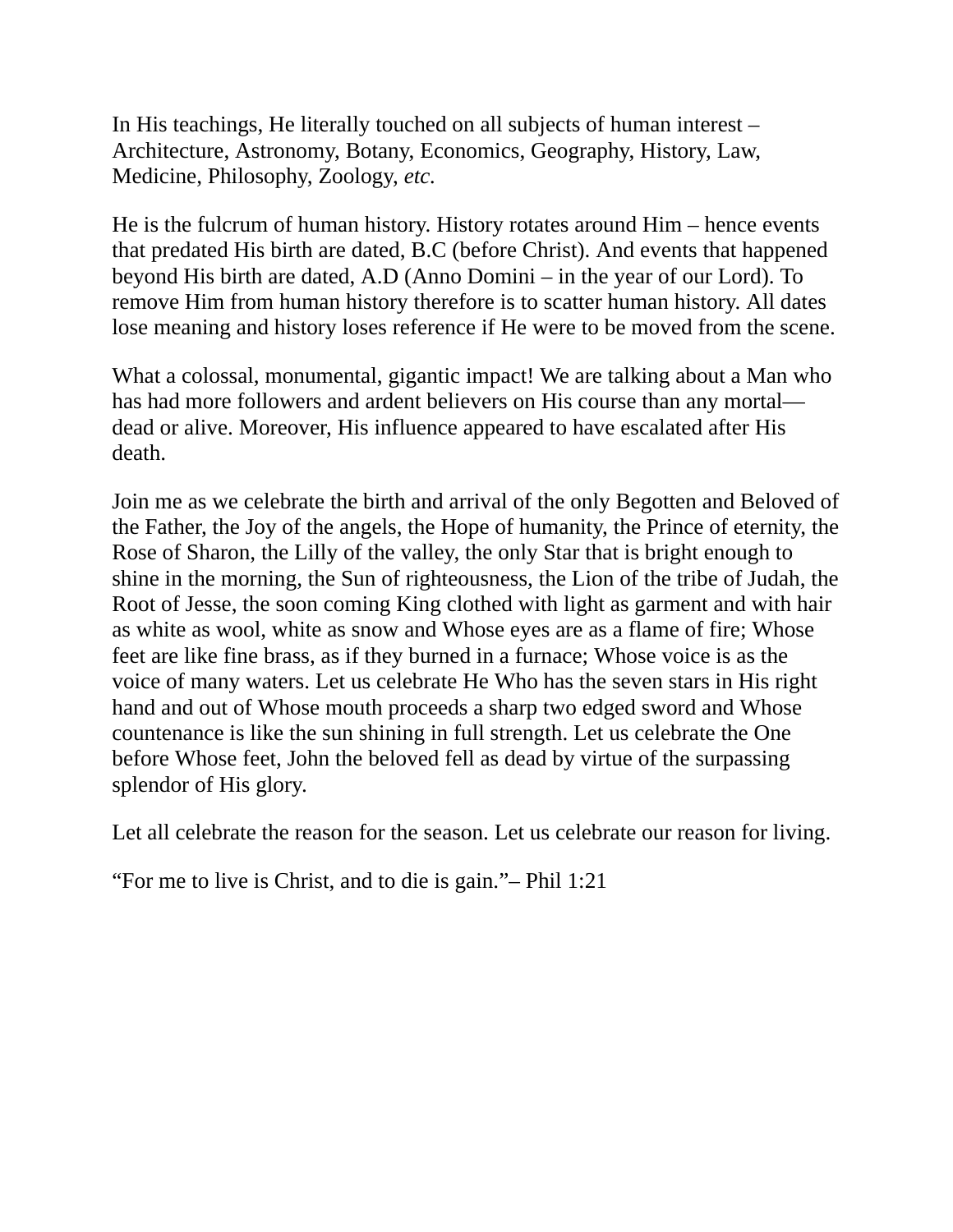In His teachings, He literally touched on all subjects of human interest – Architecture, Astronomy, Botany, Economics, Geography, History, Law, Medicine, Philosophy, Zoology, *etc.*

He is the fulcrum of human history. History rotates around Him – hence events that predated His birth are dated, B.C (before Christ). And events that happened beyond His birth are dated, A.D (Anno Domini – in the year of our Lord). To remove Him from human history therefore is to scatter human history. All dates lose meaning and history loses reference if He were to be moved from the scene.

What a colossal, monumental, gigantic impact! We are talking about a Man who has had more followers and ardent believers on His course than any mortal dead or alive. Moreover, His influence appeared to have escalated after His death.

Join me as we celebrate the birth and arrival of the only Begotten and Beloved of the Father, the Joy of the angels, the Hope of humanity, the Prince of eternity, the Rose of Sharon, the Lilly of the valley, the only Star that is bright enough to shine in the morning, the Sun of righteousness, the Lion of the tribe of Judah, the Root of Jesse, the soon coming King clothed with light as garment and with hair as white as wool, white as snow and Whose eyes are as a flame of fire; Whose feet are like fine brass, as if they burned in a furnace; Whose voice is as the voice of many waters. Let us celebrate He Who has the seven stars in His right hand and out of Whose mouth proceeds a sharp two edged sword and Whose countenance is like the sun shining in full strength. Let us celebrate the One before Whose feet, John the beloved fell as dead by virtue of the surpassing splendor of His glory.

Let all celebrate the reason for the season. Let us celebrate our reason for living.

"For me to live is Christ, and to die is gain."– Phil 1:21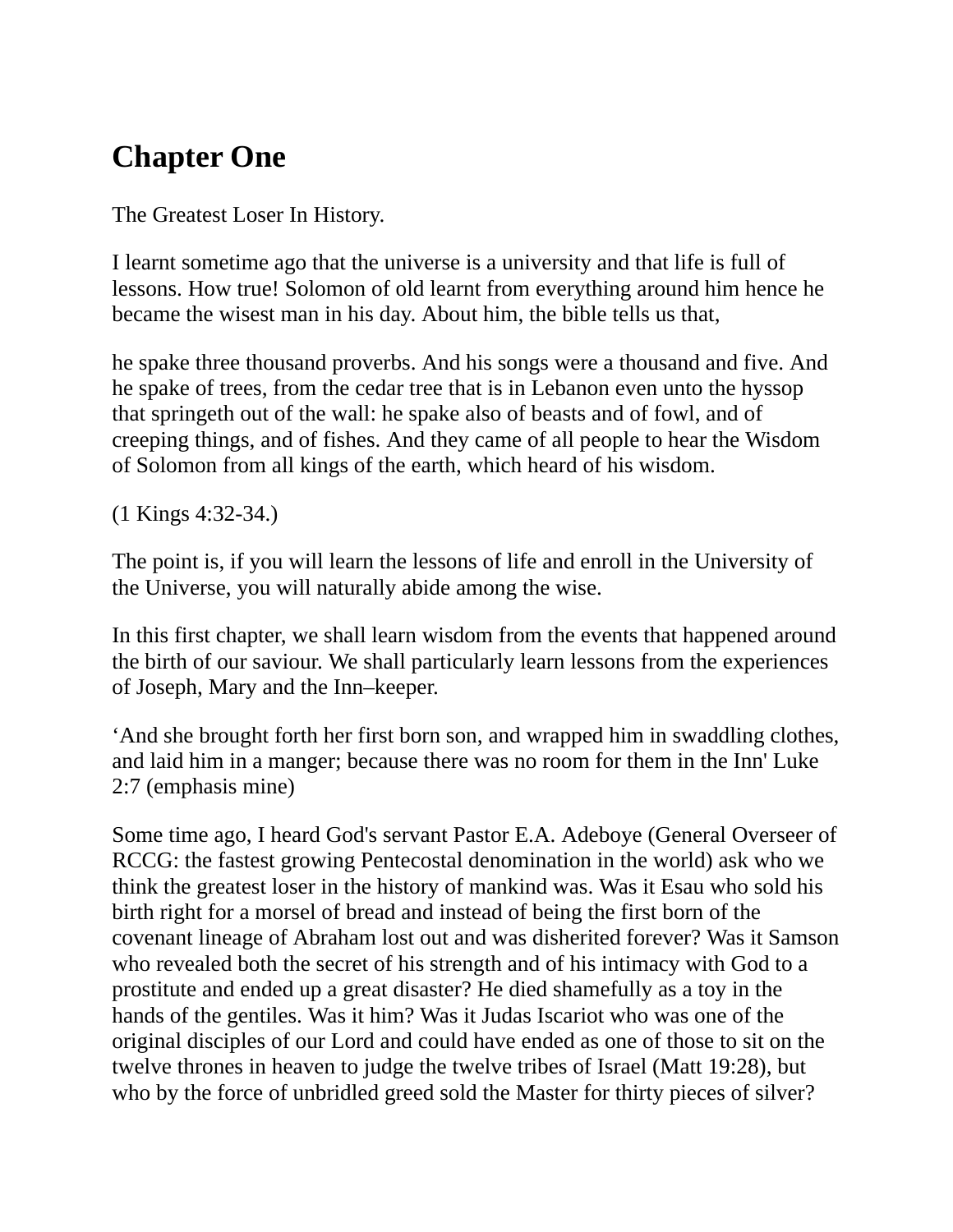# **Chapter One**

The Greatest Loser In History.

I learnt sometime ago that the universe is a university and that life is full of lessons. How true! Solomon of old learnt from everything around him hence he became the wisest man in his day. About him, the bible tells us that,

he spake three thousand proverbs. And his songs were a thousand and five. And he spake of trees, from the cedar tree that is in Lebanon even unto the hyssop that springeth out of the wall: he spake also of beasts and of fowl, and of creeping things, and of fishes. And they came of all people to hear the Wisdom of Solomon from all kings of the earth, which heard of his wisdom.

(1 Kings 4:32-34.)

The point is, if you will learn the lessons of life and enroll in the University of the Universe, you will naturally abide among the wise.

In this first chapter, we shall learn wisdom from the events that happened around the birth of our saviour. We shall particularly learn lessons from the experiences of Joseph, Mary and the Inn–keeper.

'And she brought forth her first born son, and wrapped him in swaddling clothes, and laid him in a manger; because there was no room for them in the Inn' Luke 2:7 (emphasis mine)

Some time ago, I heard God's servant Pastor E.A. Adeboye (General Overseer of RCCG: the fastest growing Pentecostal denomination in the world) ask who we think the greatest loser in the history of mankind was. Was it Esau who sold his birth right for a morsel of bread and instead of being the first born of the covenant lineage of Abraham lost out and was disherited forever? Was it Samson who revealed both the secret of his strength and of his intimacy with God to a prostitute and ended up a great disaster? He died shamefully as a toy in the hands of the gentiles. Was it him? Was it Judas Iscariot who was one of the original disciples of our Lord and could have ended as one of those to sit on the twelve thrones in heaven to judge the twelve tribes of Israel (Matt 19:28), but who by the force of unbridled greed sold the Master for thirty pieces of silver?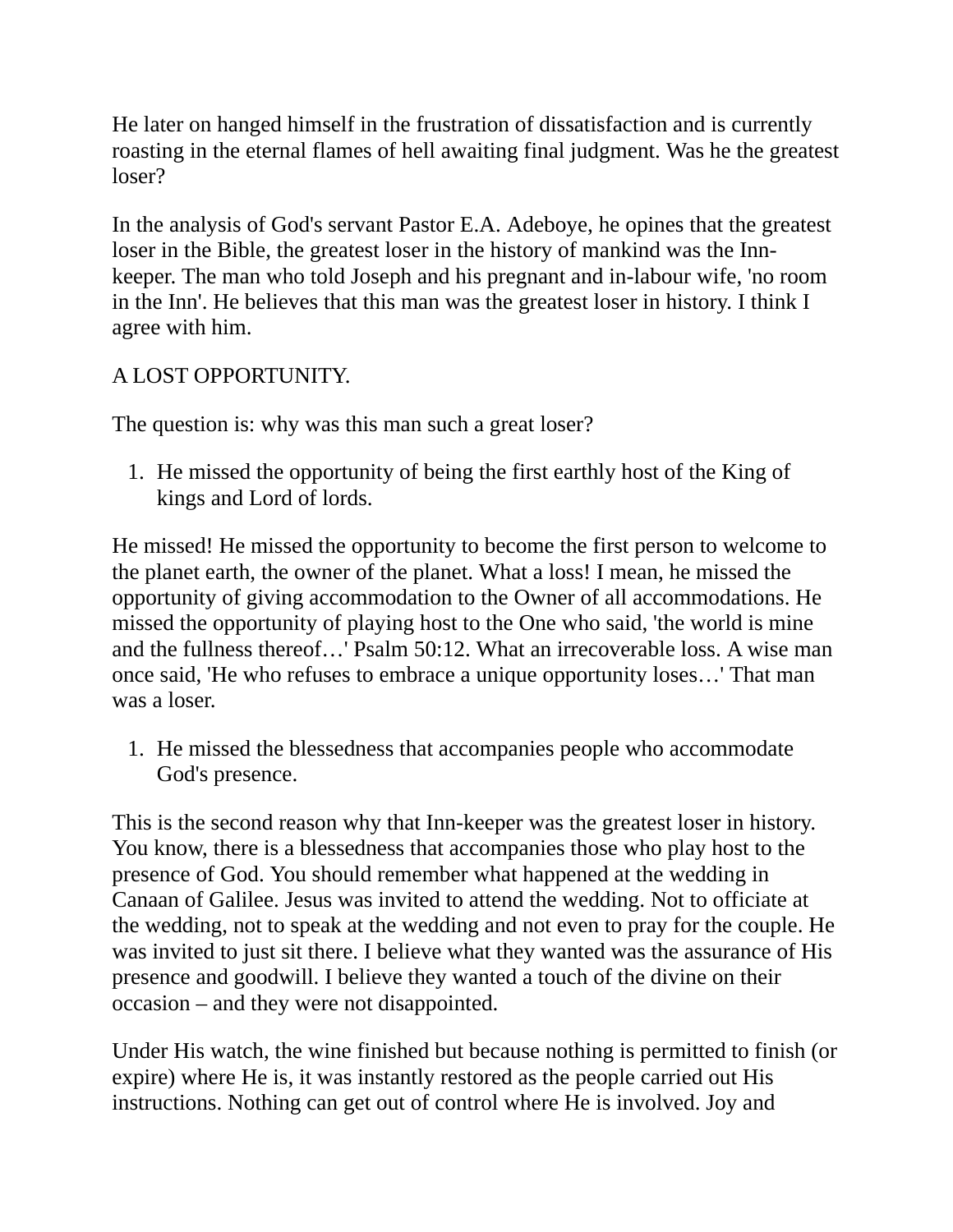He later on hanged himself in the frustration of dissatisfaction and is currently roasting in the eternal flames of hell awaiting final judgment. Was he the greatest loser?

In the analysis of God's servant Pastor E.A. Adeboye, he opines that the greatest loser in the Bible, the greatest loser in the history of mankind was the Innkeeper. The man who told Joseph and his pregnant and in-labour wife, 'no room in the Inn'. He believes that this man was the greatest loser in history. I think I agree with him.

### A LOST OPPORTUNITY.

The question is: why was this man such a great loser?

1. He missed the opportunity of being the first earthly host of the King of kings and Lord of lords.

He missed! He missed the opportunity to become the first person to welcome to the planet earth, the owner of the planet. What a loss! I mean, he missed the opportunity of giving accommodation to the Owner of all accommodations. He missed the opportunity of playing host to the One who said, 'the world is mine and the fullness thereof…' Psalm 50:12. What an irrecoverable loss. A wise man once said, 'He who refuses to embrace a unique opportunity loses…' That man was a loser.

1. He missed the blessedness that accompanies people who accommodate God's presence.

This is the second reason why that Inn-keeper was the greatest loser in history. You know, there is a blessedness that accompanies those who play host to the presence of God. You should remember what happened at the wedding in Canaan of Galilee. Jesus was invited to attend the wedding. Not to officiate at the wedding, not to speak at the wedding and not even to pray for the couple. He was invited to just sit there. I believe what they wanted was the assurance of His presence and goodwill. I believe they wanted a touch of the divine on their occasion – and they were not disappointed.

Under His watch, the wine finished but because nothing is permitted to finish (or expire) where He is, it was instantly restored as the people carried out His instructions. Nothing can get out of control where He is involved. Joy and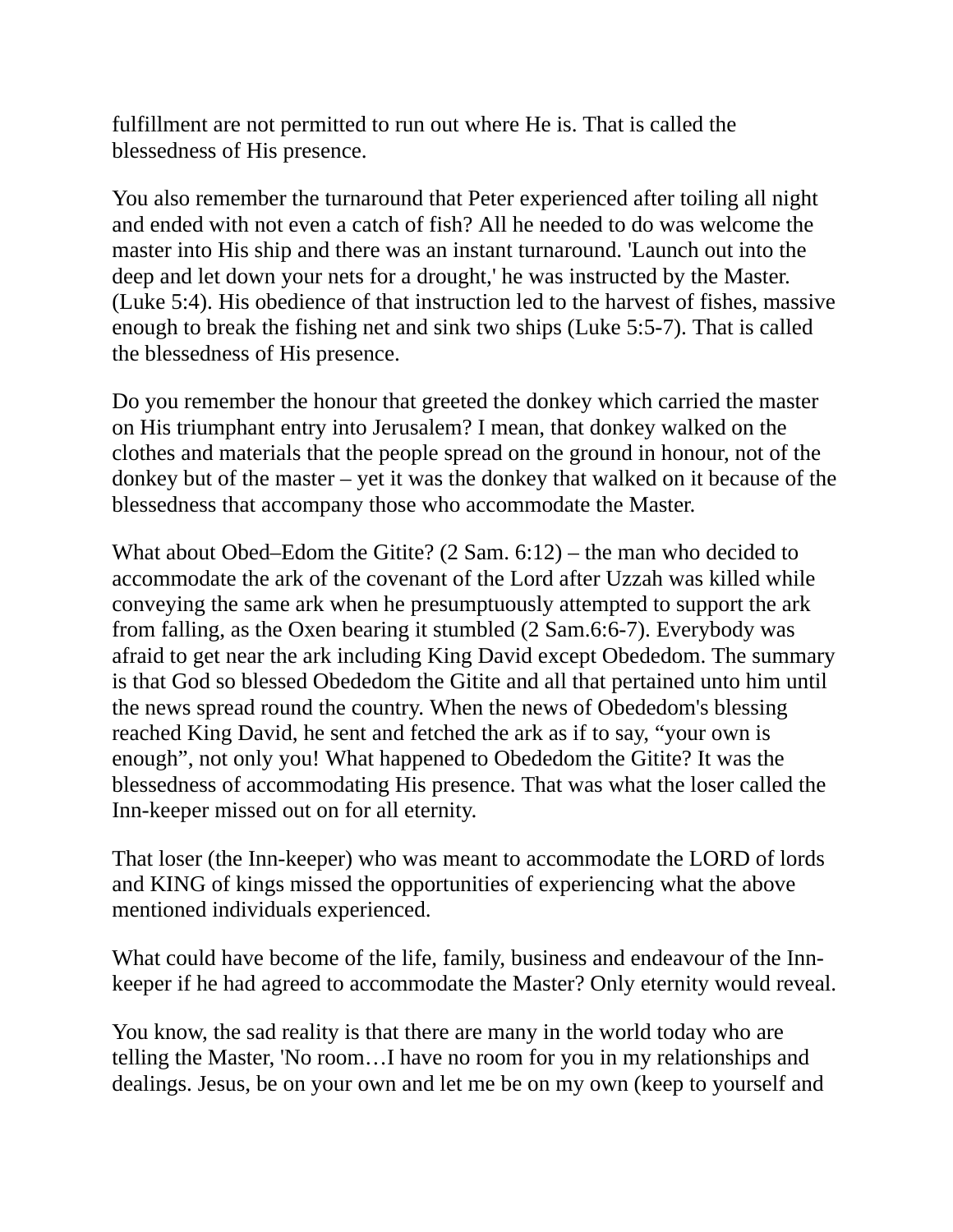fulfillment are not permitted to run out where He is. That is called the blessedness of His presence.

You also remember the turnaround that Peter experienced after toiling all night and ended with not even a catch of fish? All he needed to do was welcome the master into His ship and there was an instant turnaround. 'Launch out into the deep and let down your nets for a drought,' he was instructed by the Master. (Luke 5:4). His obedience of that instruction led to the harvest of fishes, massive enough to break the fishing net and sink two ships (Luke 5:5-7). That is called the blessedness of His presence.

Do you remember the honour that greeted the donkey which carried the master on His triumphant entry into Jerusalem? I mean, that donkey walked on the clothes and materials that the people spread on the ground in honour, not of the donkey but of the master – yet it was the donkey that walked on it because of the blessedness that accompany those who accommodate the Master.

What about Obed–Edom the Gitite? (2 Sam. 6:12) – the man who decided to accommodate the ark of the covenant of the Lord after Uzzah was killed while conveying the same ark when he presumptuously attempted to support the ark from falling, as the Oxen bearing it stumbled (2 Sam.6:6-7). Everybody was afraid to get near the ark including King David except Obededom. The summary is that God so blessed Obededom the Gitite and all that pertained unto him until the news spread round the country. When the news of Obededom's blessing reached King David, he sent and fetched the ark as if to say, "your own is enough", not only you! What happened to Obededom the Gitite? It was the blessedness of accommodating His presence. That was what the loser called the Inn-keeper missed out on for all eternity.

That loser (the Inn-keeper) who was meant to accommodate the LORD of lords and KING of kings missed the opportunities of experiencing what the above mentioned individuals experienced.

What could have become of the life, family, business and endeavour of the Innkeeper if he had agreed to accommodate the Master? Only eternity would reveal.

You know, the sad reality is that there are many in the world today who are telling the Master, 'No room…I have no room for you in my relationships and dealings. Jesus, be on your own and let me be on my own (keep to yourself and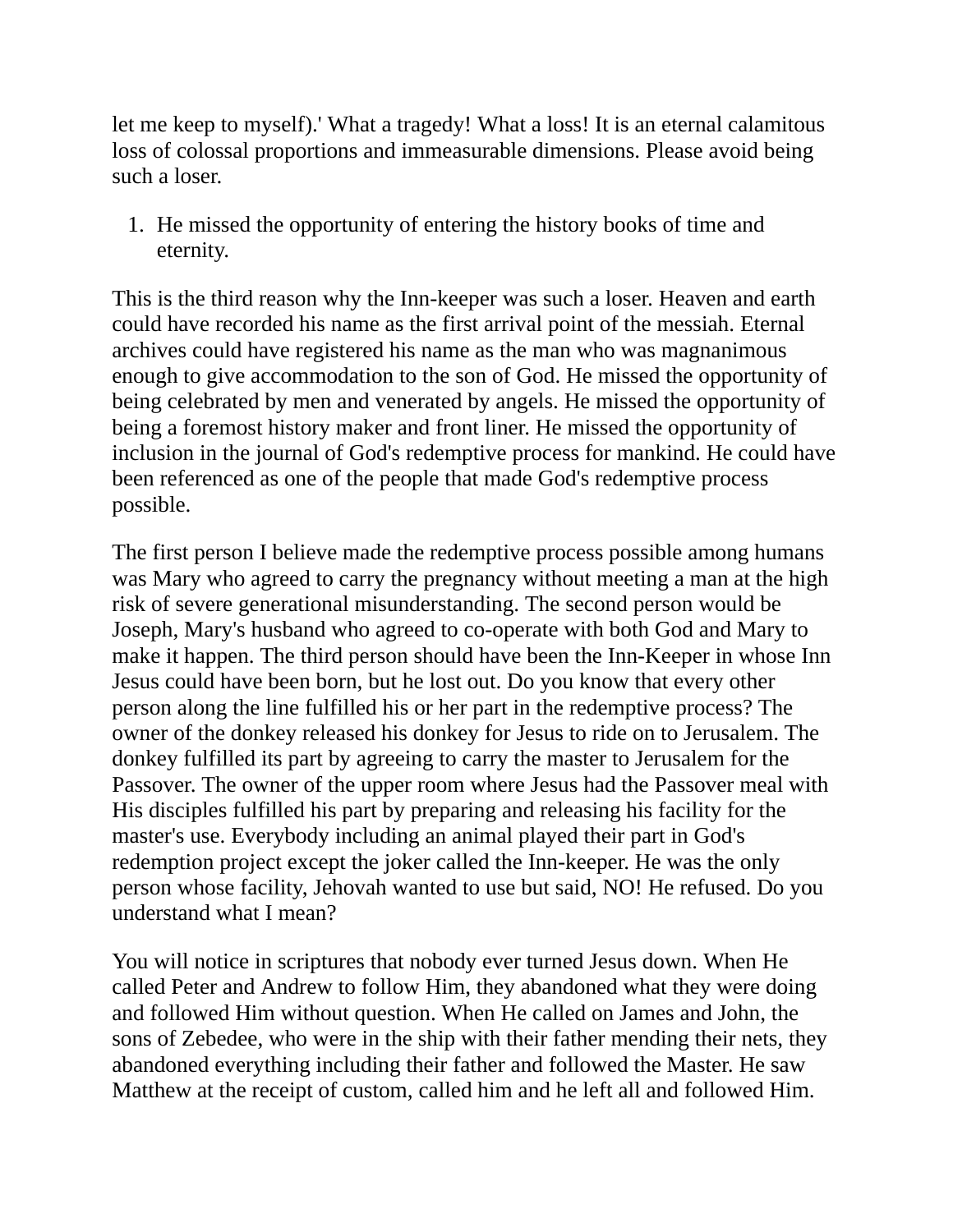let me keep to myself).' What a tragedy! What a loss! It is an eternal calamitous loss of colossal proportions and immeasurable dimensions. Please avoid being such a loser.

1. He missed the opportunity of entering the history books of time and eternity.

This is the third reason why the Inn-keeper was such a loser. Heaven and earth could have recorded his name as the first arrival point of the messiah. Eternal archives could have registered his name as the man who was magnanimous enough to give accommodation to the son of God. He missed the opportunity of being celebrated by men and venerated by angels. He missed the opportunity of being a foremost history maker and front liner. He missed the opportunity of inclusion in the journal of God's redemptive process for mankind. He could have been referenced as one of the people that made God's redemptive process possible.

The first person I believe made the redemptive process possible among humans was Mary who agreed to carry the pregnancy without meeting a man at the high risk of severe generational misunderstanding. The second person would be Joseph, Mary's husband who agreed to co-operate with both God and Mary to make it happen. The third person should have been the Inn-Keeper in whose Inn Jesus could have been born, but he lost out. Do you know that every other person along the line fulfilled his or her part in the redemptive process? The owner of the donkey released his donkey for Jesus to ride on to Jerusalem. The donkey fulfilled its part by agreeing to carry the master to Jerusalem for the Passover. The owner of the upper room where Jesus had the Passover meal with His disciples fulfilled his part by preparing and releasing his facility for the master's use. Everybody including an animal played their part in God's redemption project except the joker called the Inn-keeper. He was the only person whose facility, Jehovah wanted to use but said, NO! He refused. Do you understand what I mean?

You will notice in scriptures that nobody ever turned Jesus down. When He called Peter and Andrew to follow Him, they abandoned what they were doing and followed Him without question. When He called on James and John, the sons of Zebedee, who were in the ship with their father mending their nets, they abandoned everything including their father and followed the Master. He saw Matthew at the receipt of custom, called him and he left all and followed Him.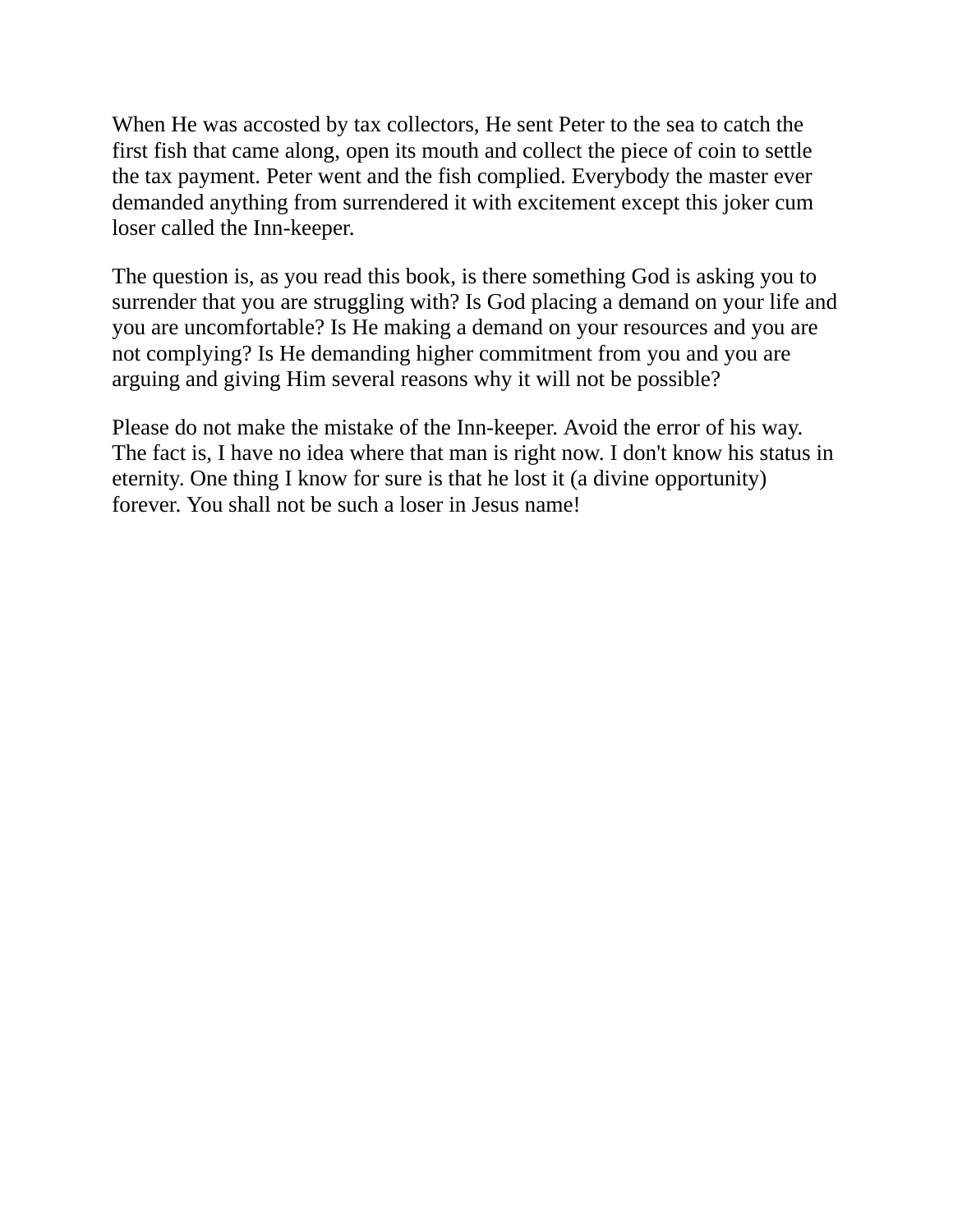When He was accosted by tax collectors, He sent Peter to the sea to catch the first fish that came along, open its mouth and collect the piece of coin to settle the tax payment. Peter went and the fish complied. Everybody the master ever demanded anything from surrendered it with excitement except this joker cum loser called the Inn-keeper.

The question is, as you read this book, is there something God is asking you to surrender that you are struggling with? Is God placing a demand on your life and you are uncomfortable? Is He making a demand on your resources and you are not complying? Is He demanding higher commitment from you and you are arguing and giving Him several reasons why it will not be possible?

Please do not make the mistake of the Inn-keeper. Avoid the error of his way. The fact is, I have no idea where that man is right now. I don't know his status in eternity. One thing I know for sure is that he lost it (a divine opportunity) forever. You shall not be such a loser in Jesus name!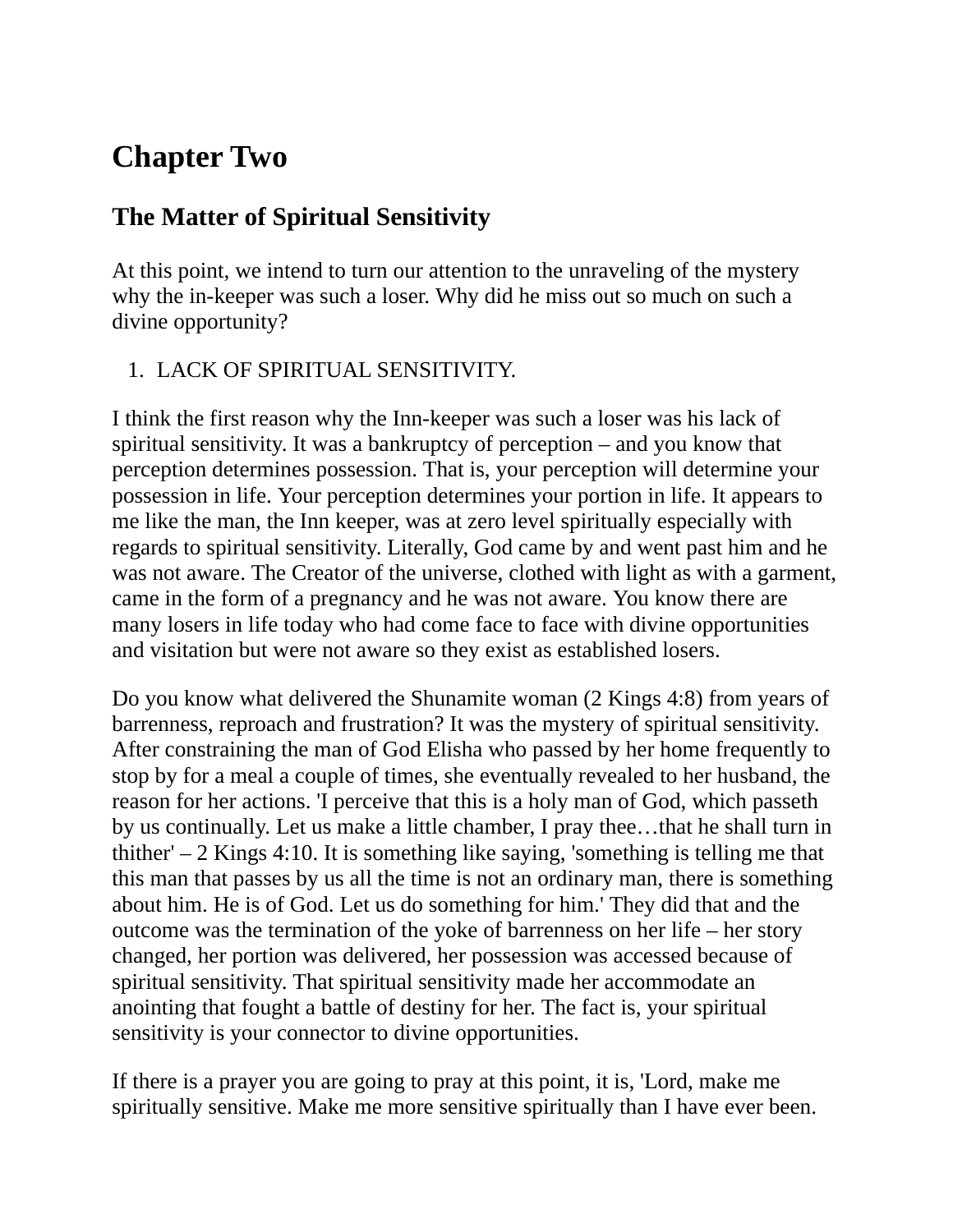# **Chapter Two**

### **The Matter of Spiritual Sensitivity**

At this point, we intend to turn our attention to the unraveling of the mystery why the in-keeper was such a loser. Why did he miss out so much on such a divine opportunity?

### 1. LACK OF SPIRITUAL SENSITIVITY.

I think the first reason why the Inn-keeper was such a loser was his lack of spiritual sensitivity. It was a bankruptcy of perception – and you know that perception determines possession. That is, your perception will determine your possession in life. Your perception determines your portion in life. It appears to me like the man, the Inn keeper, was at zero level spiritually especially with regards to spiritual sensitivity. Literally, God came by and went past him and he was not aware. The Creator of the universe, clothed with light as with a garment, came in the form of a pregnancy and he was not aware. You know there are many losers in life today who had come face to face with divine opportunities and visitation but were not aware so they exist as established losers.

Do you know what delivered the Shunamite woman (2 Kings 4:8) from years of barrenness, reproach and frustration? It was the mystery of spiritual sensitivity. After constraining the man of God Elisha who passed by her home frequently to stop by for a meal a couple of times, she eventually revealed to her husband, the reason for her actions. 'I perceive that this is a holy man of God, which passeth by us continually. Let us make a little chamber, I pray thee…that he shall turn in thither' – 2 Kings 4:10. It is something like saying, 'something is telling me that this man that passes by us all the time is not an ordinary man, there is something about him. He is of God. Let us do something for him.' They did that and the outcome was the termination of the yoke of barrenness on her life – her story changed, her portion was delivered, her possession was accessed because of spiritual sensitivity. That spiritual sensitivity made her accommodate an anointing that fought a battle of destiny for her. The fact is, your spiritual sensitivity is your connector to divine opportunities.

If there is a prayer you are going to pray at this point, it is, 'Lord, make me spiritually sensitive. Make me more sensitive spiritually than I have ever been.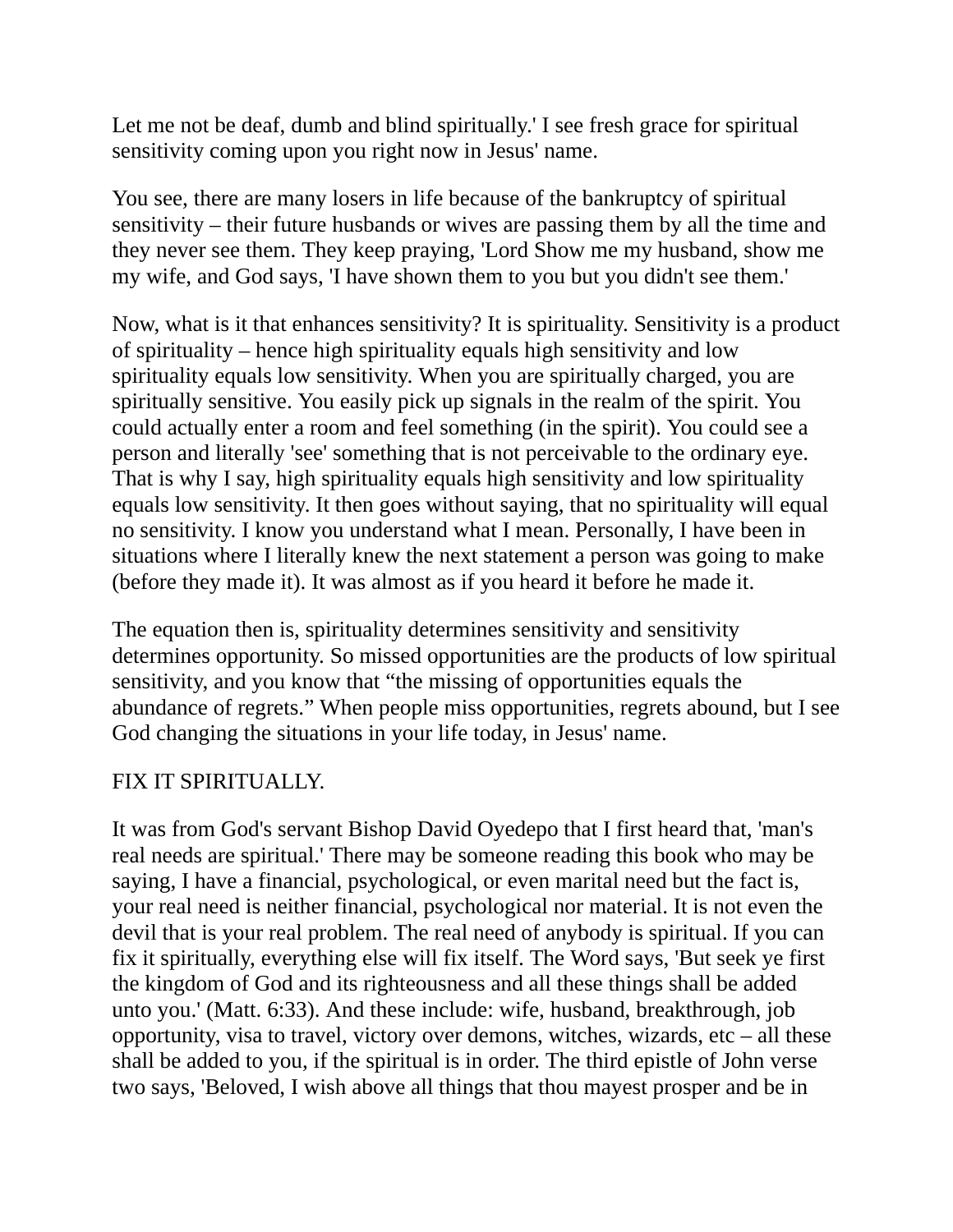Let me not be deaf, dumb and blind spiritually.' I see fresh grace for spiritual sensitivity coming upon you right now in Jesus' name.

You see, there are many losers in life because of the bankruptcy of spiritual sensitivity – their future husbands or wives are passing them by all the time and they never see them. They keep praying, 'Lord Show me my husband, show me my wife, and God says, 'I have shown them to you but you didn't see them.'

Now, what is it that enhances sensitivity? It is spirituality. Sensitivity is a product of spirituality – hence high spirituality equals high sensitivity and low spirituality equals low sensitivity. When you are spiritually charged, you are spiritually sensitive. You easily pick up signals in the realm of the spirit. You could actually enter a room and feel something (in the spirit). You could see a person and literally 'see' something that is not perceivable to the ordinary eye. That is why I say, high spirituality equals high sensitivity and low spirituality equals low sensitivity. It then goes without saying, that no spirituality will equal no sensitivity. I know you understand what I mean. Personally, I have been in situations where I literally knew the next statement a person was going to make (before they made it). It was almost as if you heard it before he made it.

The equation then is, spirituality determines sensitivity and sensitivity determines opportunity. So missed opportunities are the products of low spiritual sensitivity, and you know that "the missing of opportunities equals the abundance of regrets." When people miss opportunities, regrets abound, but I see God changing the situations in your life today, in Jesus' name.

### FIX IT SPIRITUALLY.

It was from God's servant Bishop David Oyedepo that I first heard that, 'man's real needs are spiritual.' There may be someone reading this book who may be saying, I have a financial, psychological, or even marital need but the fact is, your real need is neither financial, psychological nor material. It is not even the devil that is your real problem. The real need of anybody is spiritual. If you can fix it spiritually, everything else will fix itself. The Word says, 'But seek ye first the kingdom of God and its righteousness and all these things shall be added unto you.' (Matt. 6:33). And these include: wife, husband, breakthrough, job opportunity, visa to travel, victory over demons, witches, wizards,  $etc$  – all these shall be added to you, if the spiritual is in order. The third epistle of John verse two says, 'Beloved, I wish above all things that thou mayest prosper and be in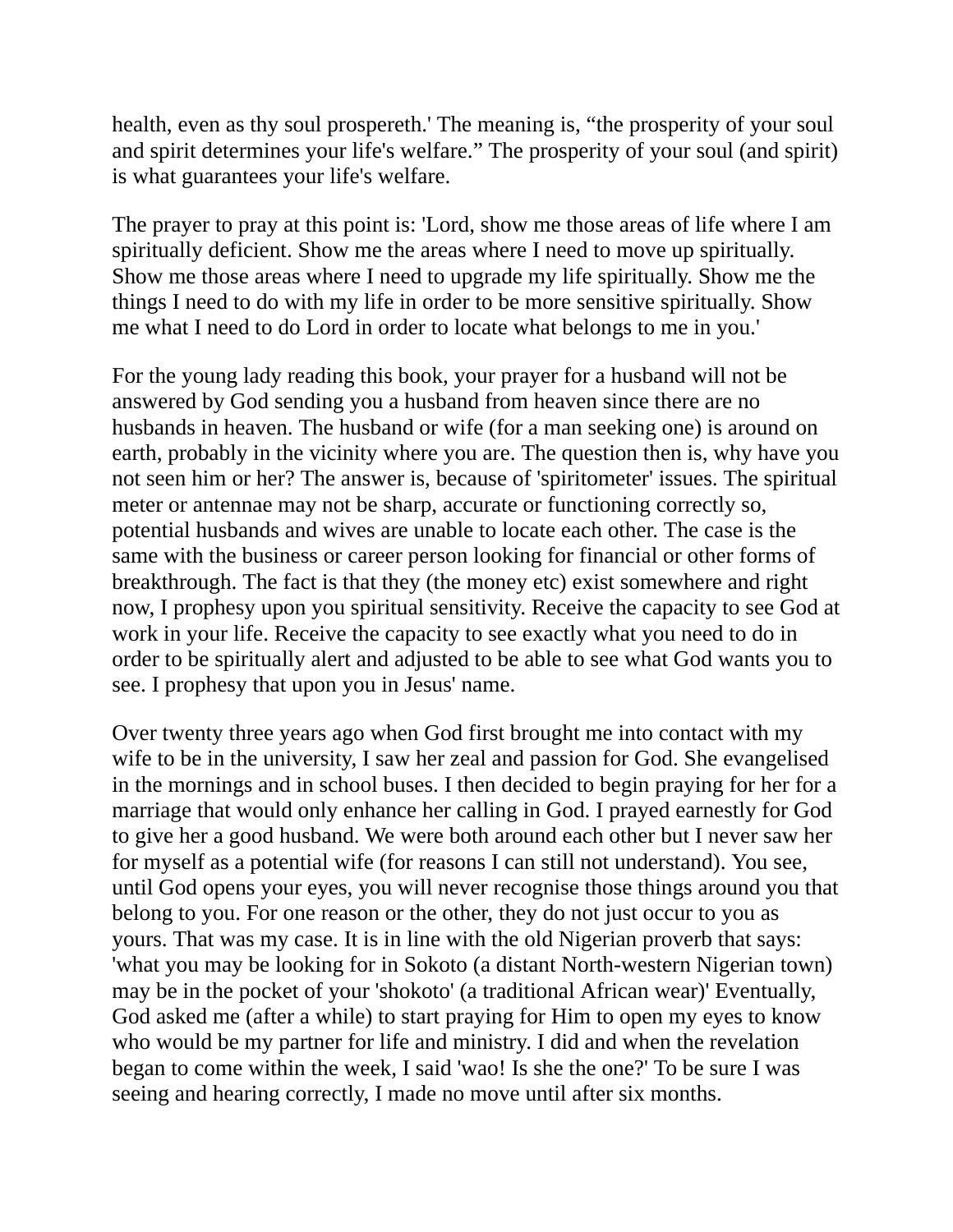health, even as thy soul prospereth.' The meaning is, "the prosperity of your soul and spirit determines your life's welfare." The prosperity of your soul (and spirit) is what guarantees your life's welfare.

The prayer to pray at this point is: 'Lord, show me those areas of life where I am spiritually deficient. Show me the areas where I need to move up spiritually. Show me those areas where I need to upgrade my life spiritually. Show me the things I need to do with my life in order to be more sensitive spiritually. Show me what I need to do Lord in order to locate what belongs to me in you.'

For the young lady reading this book, your prayer for a husband will not be answered by God sending you a husband from heaven since there are no husbands in heaven. The husband or wife (for a man seeking one) is around on earth, probably in the vicinity where you are. The question then is, why have you not seen him or her? The answer is, because of 'spiritometer' issues. The spiritual meter or antennae may not be sharp, accurate or functioning correctly so, potential husbands and wives are unable to locate each other. The case is the same with the business or career person looking for financial or other forms of breakthrough. The fact is that they (the money etc) exist somewhere and right now, I prophesy upon you spiritual sensitivity. Receive the capacity to see God at work in your life. Receive the capacity to see exactly what you need to do in order to be spiritually alert and adjusted to be able to see what God wants you to see. I prophesy that upon you in Jesus' name.

Over twenty three years ago when God first brought me into contact with my wife to be in the university, I saw her zeal and passion for God. She evangelised in the mornings and in school buses. I then decided to begin praying for her for a marriage that would only enhance her calling in God. I prayed earnestly for God to give her a good husband. We were both around each other but I never saw her for myself as a potential wife (for reasons I can still not understand). You see, until God opens your eyes, you will never recognise those things around you that belong to you. For one reason or the other, they do not just occur to you as yours. That was my case. It is in line with the old Nigerian proverb that says: 'what you may be looking for in Sokoto (a distant North-western Nigerian town) may be in the pocket of your 'shokoto' (a traditional African wear)' Eventually, God asked me (after a while) to start praying for Him to open my eyes to know who would be my partner for life and ministry. I did and when the revelation began to come within the week, I said 'wao! Is she the one?' To be sure I was seeing and hearing correctly, I made no move until after six months.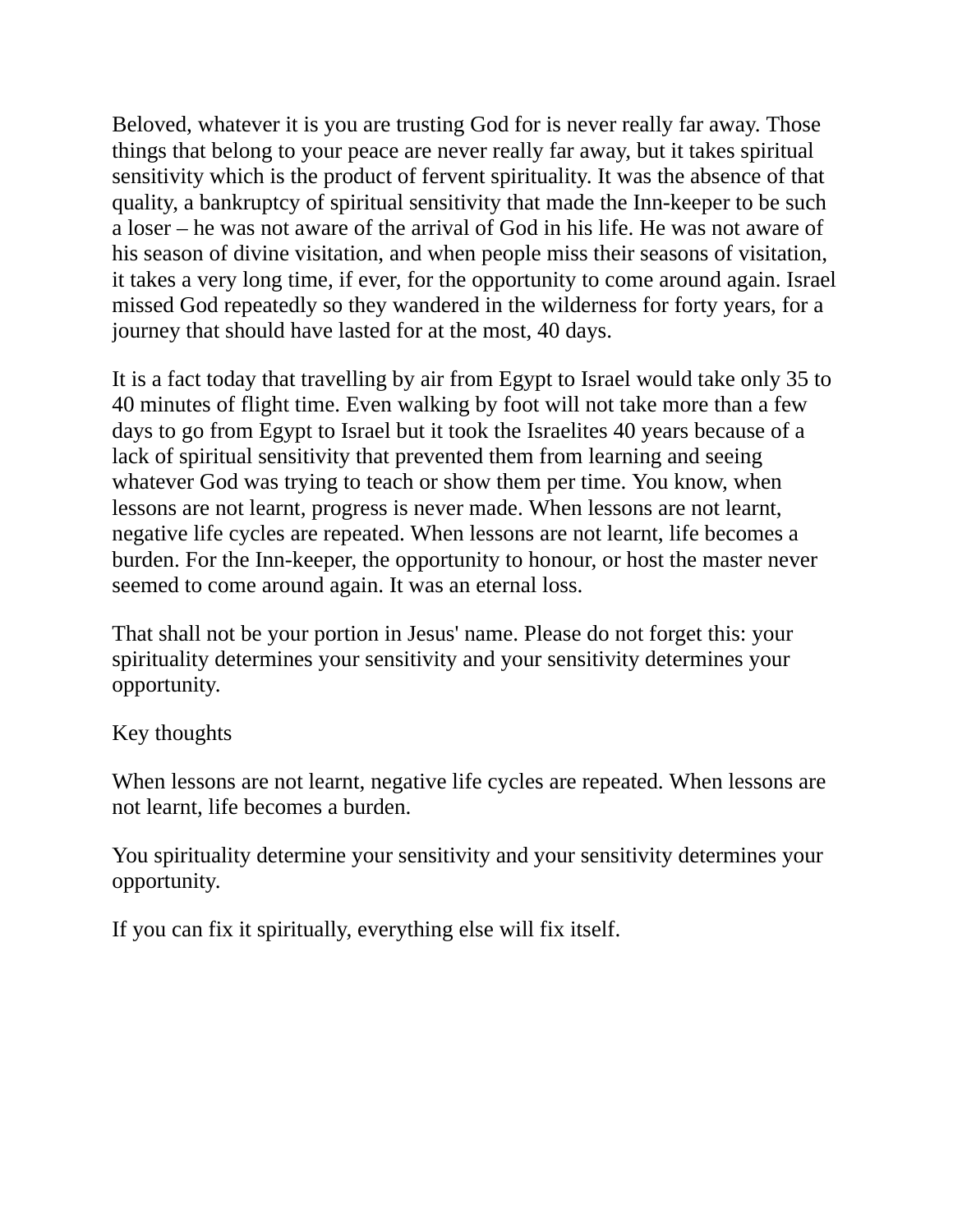Beloved, whatever it is you are trusting God for is never really far away. Those things that belong to your peace are never really far away, but it takes spiritual sensitivity which is the product of fervent spirituality. It was the absence of that quality, a bankruptcy of spiritual sensitivity that made the Inn-keeper to be such a loser – he was not aware of the arrival of God in his life. He was not aware of his season of divine visitation, and when people miss their seasons of visitation, it takes a very long time, if ever, for the opportunity to come around again. Israel missed God repeatedly so they wandered in the wilderness for forty years, for a journey that should have lasted for at the most, 40 days.

It is a fact today that travelling by air from Egypt to Israel would take only 35 to 40 minutes of flight time. Even walking by foot will not take more than a few days to go from Egypt to Israel but it took the Israelites 40 years because of a lack of spiritual sensitivity that prevented them from learning and seeing whatever God was trying to teach or show them per time. You know, when lessons are not learnt, progress is never made. When lessons are not learnt, negative life cycles are repeated. When lessons are not learnt, life becomes a burden. For the Inn-keeper, the opportunity to honour, or host the master never seemed to come around again. It was an eternal loss.

That shall not be your portion in Jesus' name. Please do not forget this: your spirituality determines your sensitivity and your sensitivity determines your opportunity.

### Key thoughts

When lessons are not learnt, negative life cycles are repeated. When lessons are not learnt, life becomes a burden.

You spirituality determine your sensitivity and your sensitivity determines your opportunity.

If you can fix it spiritually, everything else will fix itself.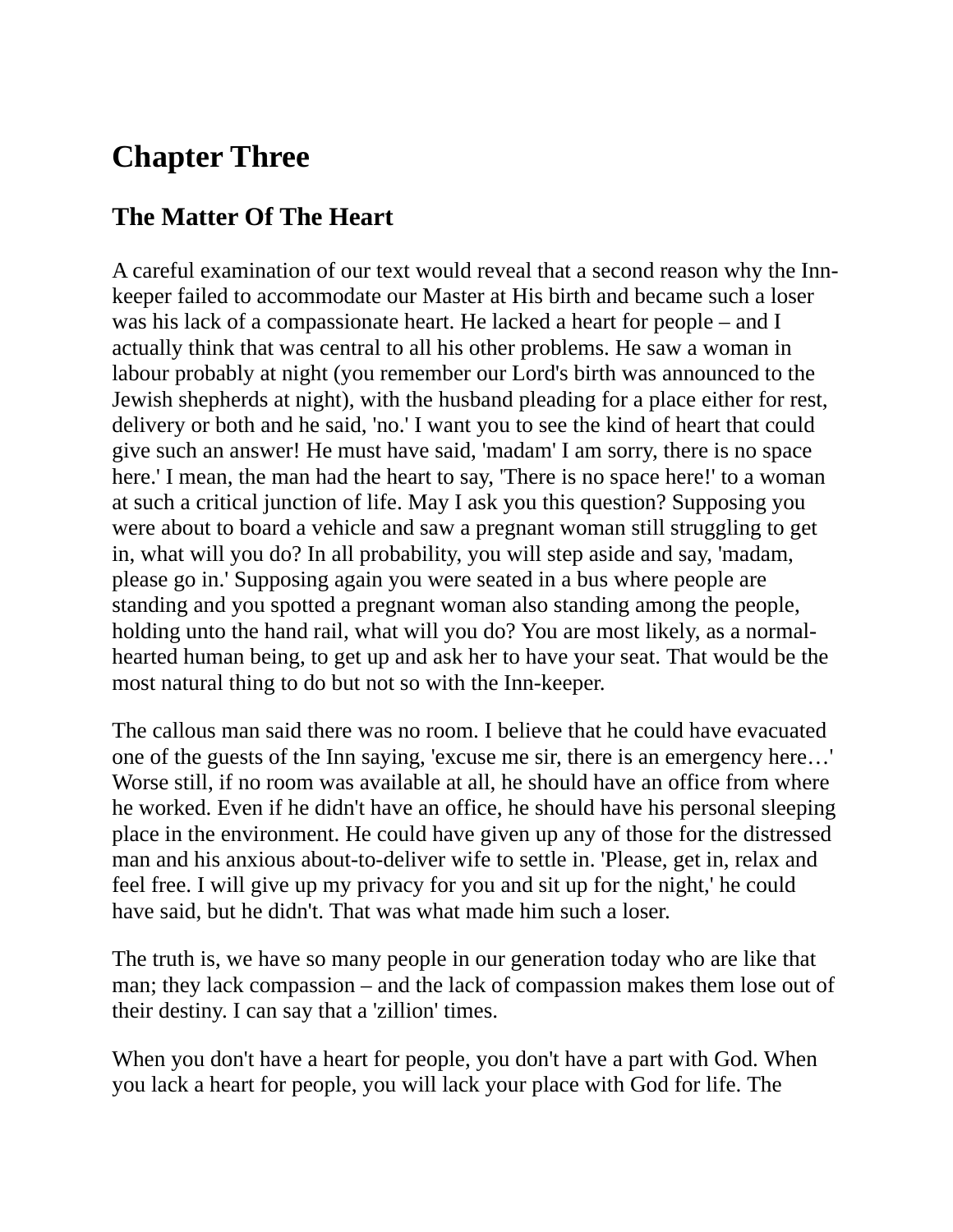# **Chapter Three**

### **The Matter Of The Heart**

A careful examination of our text would reveal that a second reason why the Innkeeper failed to accommodate our Master at His birth and became such a loser was his lack of a compassionate heart. He lacked a heart for people – and I actually think that was central to all his other problems. He saw a woman in labour probably at night (you remember our Lord's birth was announced to the Jewish shepherds at night), with the husband pleading for a place either for rest, delivery or both and he said, 'no.' I want you to see the kind of heart that could give such an answer! He must have said, 'madam' I am sorry, there is no space here.' I mean, the man had the heart to say, 'There is no space here!' to a woman at such a critical junction of life. May I ask you this question? Supposing you were about to board a vehicle and saw a pregnant woman still struggling to get in, what will you do? In all probability, you will step aside and say, 'madam, please go in.' Supposing again you were seated in a bus where people are standing and you spotted a pregnant woman also standing among the people, holding unto the hand rail, what will you do? You are most likely, as a normalhearted human being, to get up and ask her to have your seat. That would be the most natural thing to do but not so with the Inn-keeper.

The callous man said there was no room. I believe that he could have evacuated one of the guests of the Inn saying, 'excuse me sir, there is an emergency here…' Worse still, if no room was available at all, he should have an office from where he worked. Even if he didn't have an office, he should have his personal sleeping place in the environment. He could have given up any of those for the distressed man and his anxious about-to-deliver wife to settle in. 'Please, get in, relax and feel free. I will give up my privacy for you and sit up for the night,' he could have said, but he didn't. That was what made him such a loser.

The truth is, we have so many people in our generation today who are like that man; they lack compassion – and the lack of compassion makes them lose out of their destiny. I can say that a 'zillion' times.

When you don't have a heart for people, you don't have a part with God. When you lack a heart for people, you will lack your place with God for life. The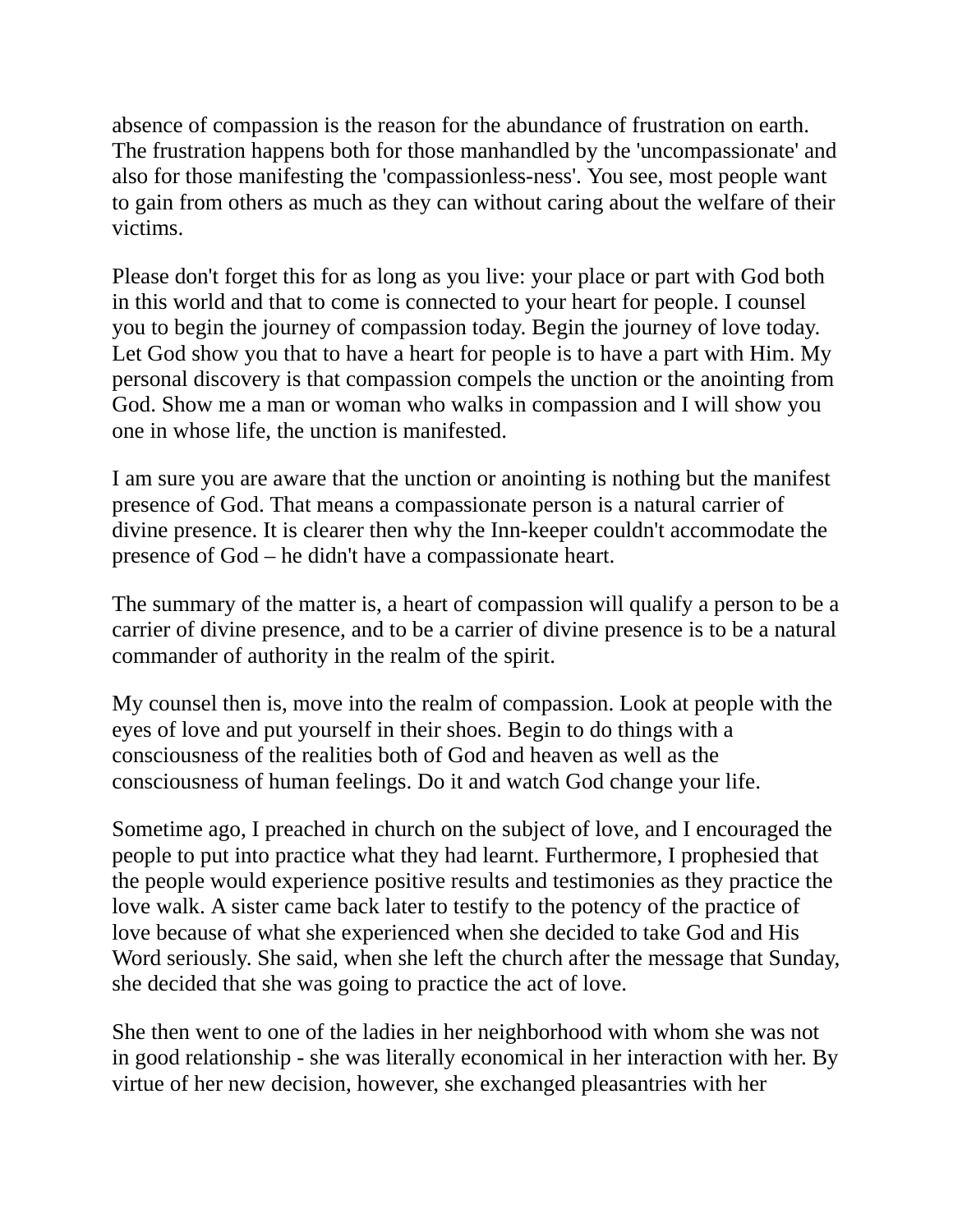absence of compassion is the reason for the abundance of frustration on earth. The frustration happens both for those manhandled by the 'uncompassionate' and also for those manifesting the 'compassionless-ness'. You see, most people want to gain from others as much as they can without caring about the welfare of their victims.

Please don't forget this for as long as you live: your place or part with God both in this world and that to come is connected to your heart for people. I counsel you to begin the journey of compassion today. Begin the journey of love today. Let God show you that to have a heart for people is to have a part with Him. My personal discovery is that compassion compels the unction or the anointing from God. Show me a man or woman who walks in compassion and I will show you one in whose life, the unction is manifested.

I am sure you are aware that the unction or anointing is nothing but the manifest presence of God. That means a compassionate person is a natural carrier of divine presence. It is clearer then why the Inn-keeper couldn't accommodate the presence of God – he didn't have a compassionate heart.

The summary of the matter is, a heart of compassion will qualify a person to be a carrier of divine presence, and to be a carrier of divine presence is to be a natural commander of authority in the realm of the spirit.

My counsel then is, move into the realm of compassion. Look at people with the eyes of love and put yourself in their shoes. Begin to do things with a consciousness of the realities both of God and heaven as well as the consciousness of human feelings. Do it and watch God change your life.

Sometime ago, I preached in church on the subject of love, and I encouraged the people to put into practice what they had learnt. Furthermore, I prophesied that the people would experience positive results and testimonies as they practice the love walk. A sister came back later to testify to the potency of the practice of love because of what she experienced when she decided to take God and His Word seriously. She said, when she left the church after the message that Sunday, she decided that she was going to practice the act of love.

She then went to one of the ladies in her neighborhood with whom she was not in good relationship - she was literally economical in her interaction with her. By virtue of her new decision, however, she exchanged pleasantries with her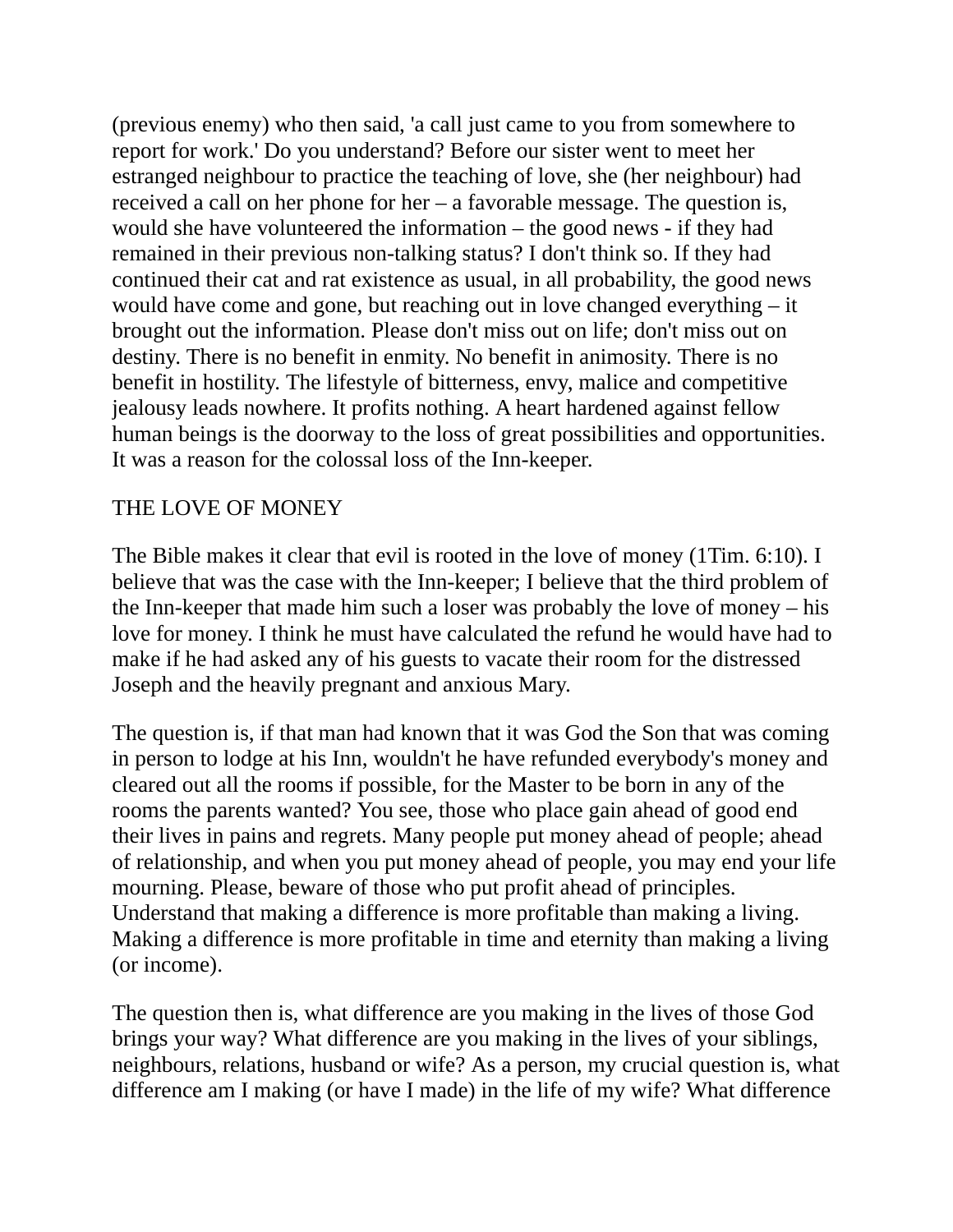(previous enemy) who then said, 'a call just came to you from somewhere to report for work.' Do you understand? Before our sister went to meet her estranged neighbour to practice the teaching of love, she (her neighbour) had received a call on her phone for her – a favorable message. The question is, would she have volunteered the information – the good news - if they had remained in their previous non-talking status? I don't think so. If they had continued their cat and rat existence as usual, in all probability, the good news would have come and gone, but reaching out in love changed everything – it brought out the information. Please don't miss out on life; don't miss out on destiny. There is no benefit in enmity. No benefit in animosity. There is no benefit in hostility. The lifestyle of bitterness, envy, malice and competitive jealousy leads nowhere. It profits nothing. A heart hardened against fellow human beings is the doorway to the loss of great possibilities and opportunities. It was a reason for the colossal loss of the Inn-keeper.

### THE LOVE OF MONEY

The Bible makes it clear that evil is rooted in the love of money (1Tim. 6:10). I believe that was the case with the Inn-keeper; I believe that the third problem of the Inn-keeper that made him such a loser was probably the love of money – his love for money. I think he must have calculated the refund he would have had to make if he had asked any of his guests to vacate their room for the distressed Joseph and the heavily pregnant and anxious Mary.

The question is, if that man had known that it was God the Son that was coming in person to lodge at his Inn, wouldn't he have refunded everybody's money and cleared out all the rooms if possible, for the Master to be born in any of the rooms the parents wanted? You see, those who place gain ahead of good end their lives in pains and regrets. Many people put money ahead of people; ahead of relationship, and when you put money ahead of people, you may end your life mourning. Please, beware of those who put profit ahead of principles. Understand that making a difference is more profitable than making a living. Making a difference is more profitable in time and eternity than making a living (or income).

The question then is, what difference are you making in the lives of those God brings your way? What difference are you making in the lives of your siblings, neighbours, relations, husband or wife? As a person, my crucial question is, what difference am I making (or have I made) in the life of my wife? What difference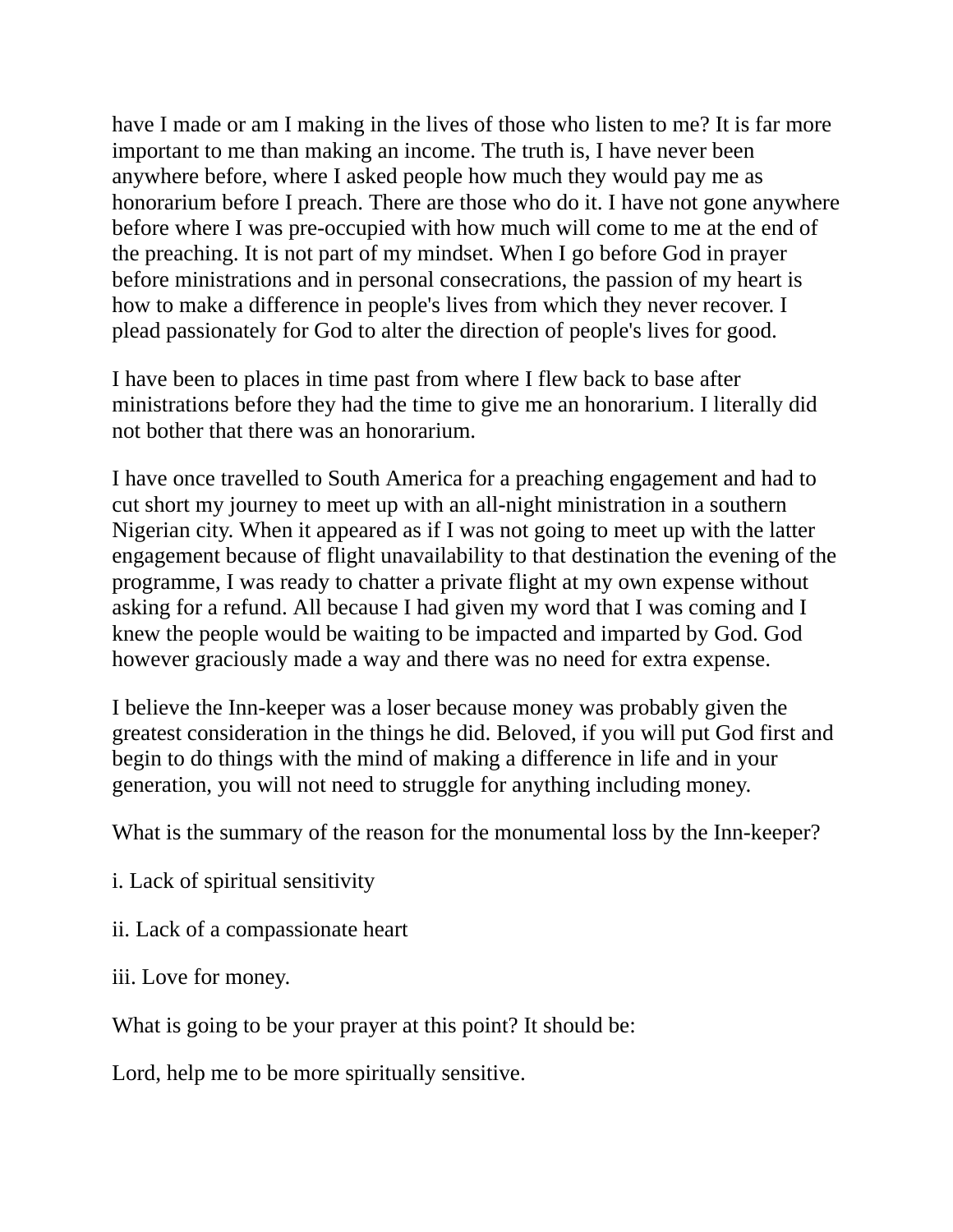have I made or am I making in the lives of those who listen to me? It is far more important to me than making an income. The truth is, I have never been anywhere before, where I asked people how much they would pay me as honorarium before I preach. There are those who do it. I have not gone anywhere before where I was pre-occupied with how much will come to me at the end of the preaching. It is not part of my mindset. When I go before God in prayer before ministrations and in personal consecrations, the passion of my heart is how to make a difference in people's lives from which they never recover. I plead passionately for God to alter the direction of people's lives for good.

I have been to places in time past from where I flew back to base after ministrations before they had the time to give me an honorarium. I literally did not bother that there was an honorarium.

I have once travelled to South America for a preaching engagement and had to cut short my journey to meet up with an all-night ministration in a southern Nigerian city. When it appeared as if I was not going to meet up with the latter engagement because of flight unavailability to that destination the evening of the programme, I was ready to chatter a private flight at my own expense without asking for a refund. All because I had given my word that I was coming and I knew the people would be waiting to be impacted and imparted by God. God however graciously made a way and there was no need for extra expense.

I believe the Inn-keeper was a loser because money was probably given the greatest consideration in the things he did. Beloved, if you will put God first and begin to do things with the mind of making a difference in life and in your generation, you will not need to struggle for anything including money.

What is the summary of the reason for the monumental loss by the Inn-keeper?

- i. Lack of spiritual sensitivity
- ii. Lack of a compassionate heart
- iii. Love for money.

What is going to be your prayer at this point? It should be:

Lord, help me to be more spiritually sensitive.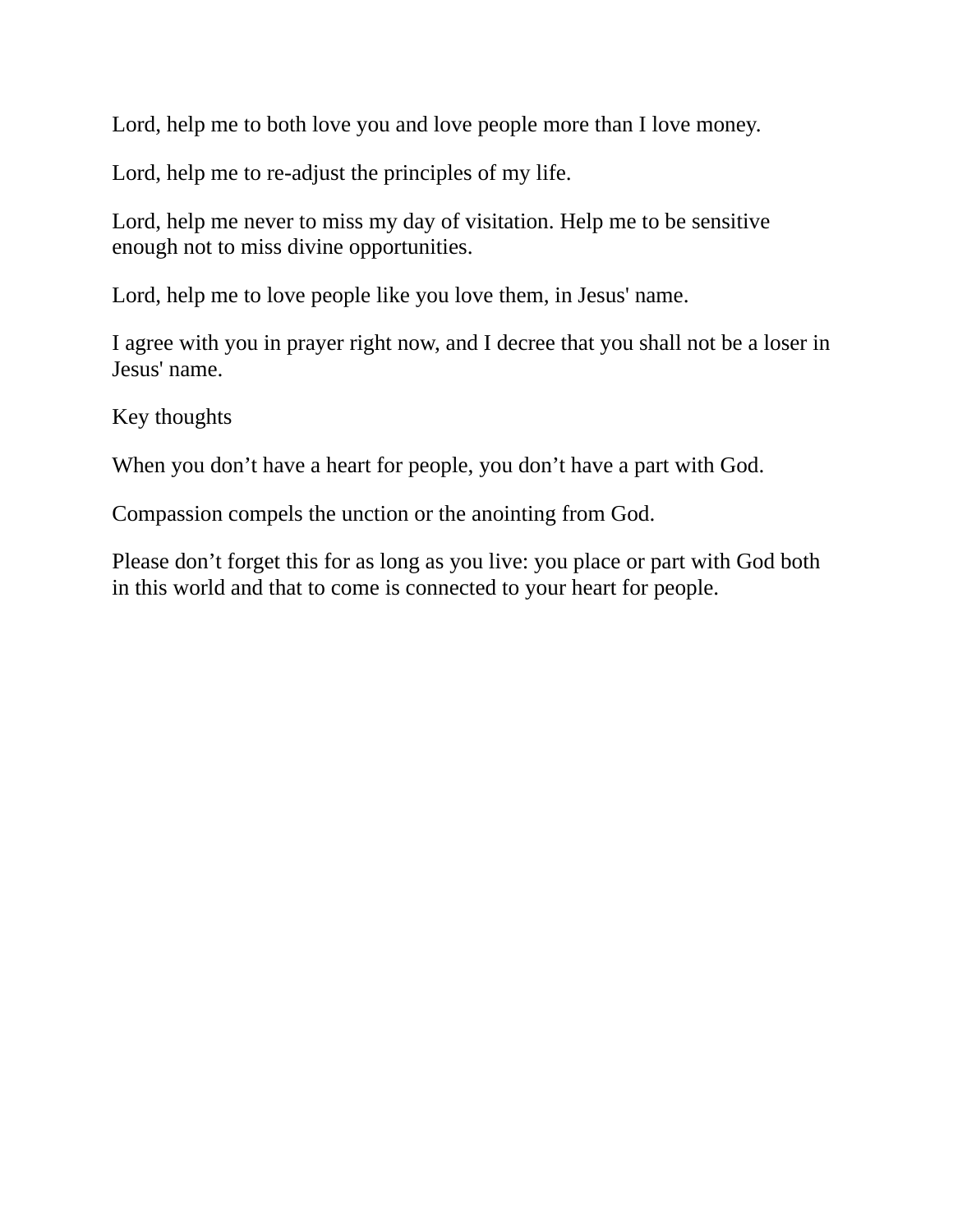Lord, help me to both love you and love people more than I love money.

Lord, help me to re-adjust the principles of my life.

Lord, help me never to miss my day of visitation. Help me to be sensitive enough not to miss divine opportunities.

Lord, help me to love people like you love them, in Jesus' name.

I agree with you in prayer right now, and I decree that you shall not be a loser in Jesus' name.

Key thoughts

When you don't have a heart for people, you don't have a part with God.

Compassion compels the unction or the anointing from God.

Please don't forget this for as long as you live: you place or part with God both in this world and that to come is connected to your heart for people.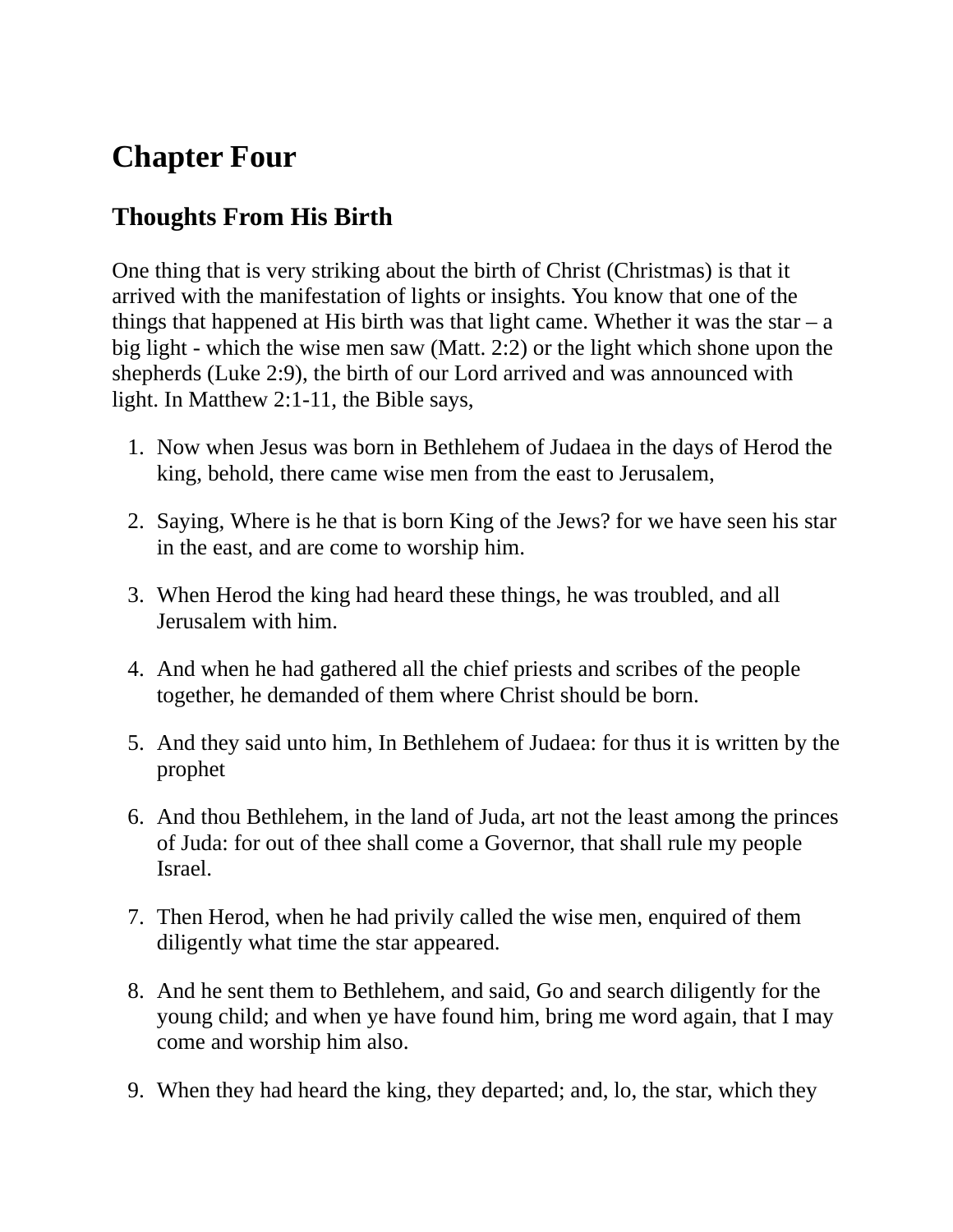# **Chapter Four**

### **Thoughts From His Birth**

One thing that is very striking about the birth of Christ (Christmas) is that it arrived with the manifestation of lights or insights. You know that one of the things that happened at His birth was that light came. Whether it was the star  $-$  a big light - which the wise men saw (Matt. 2:2) or the light which shone upon the shepherds (Luke 2:9), the birth of our Lord arrived and was announced with light. In Matthew 2:1-11, the Bible says,

- 1. Now when Jesus was born in Bethlehem of Judaea in the days of Herod the king, behold, there came wise men from the east to Jerusalem,
- 2. Saying, Where is he that is born King of the Jews? for we have seen his star in the east, and are come to worship him.
- 3. When Herod the king had heard these things, he was troubled, and all Jerusalem with him.
- 4. And when he had gathered all the chief priests and scribes of the people together, he demanded of them where Christ should be born.
- 5. And they said unto him, In Bethlehem of Judaea: for thus it is written by the prophet
- 6. And thou Bethlehem, in the land of Juda, art not the least among the princes of Juda: for out of thee shall come a Governor, that shall rule my people Israel.
- 7. Then Herod, when he had privily called the wise men, enquired of them diligently what time the star appeared.
- 8. And he sent them to Bethlehem, and said, Go and search diligently for the young child; and when ye have found him, bring me word again, that I may come and worship him also.
- 9. When they had heard the king, they departed; and, lo, the star, which they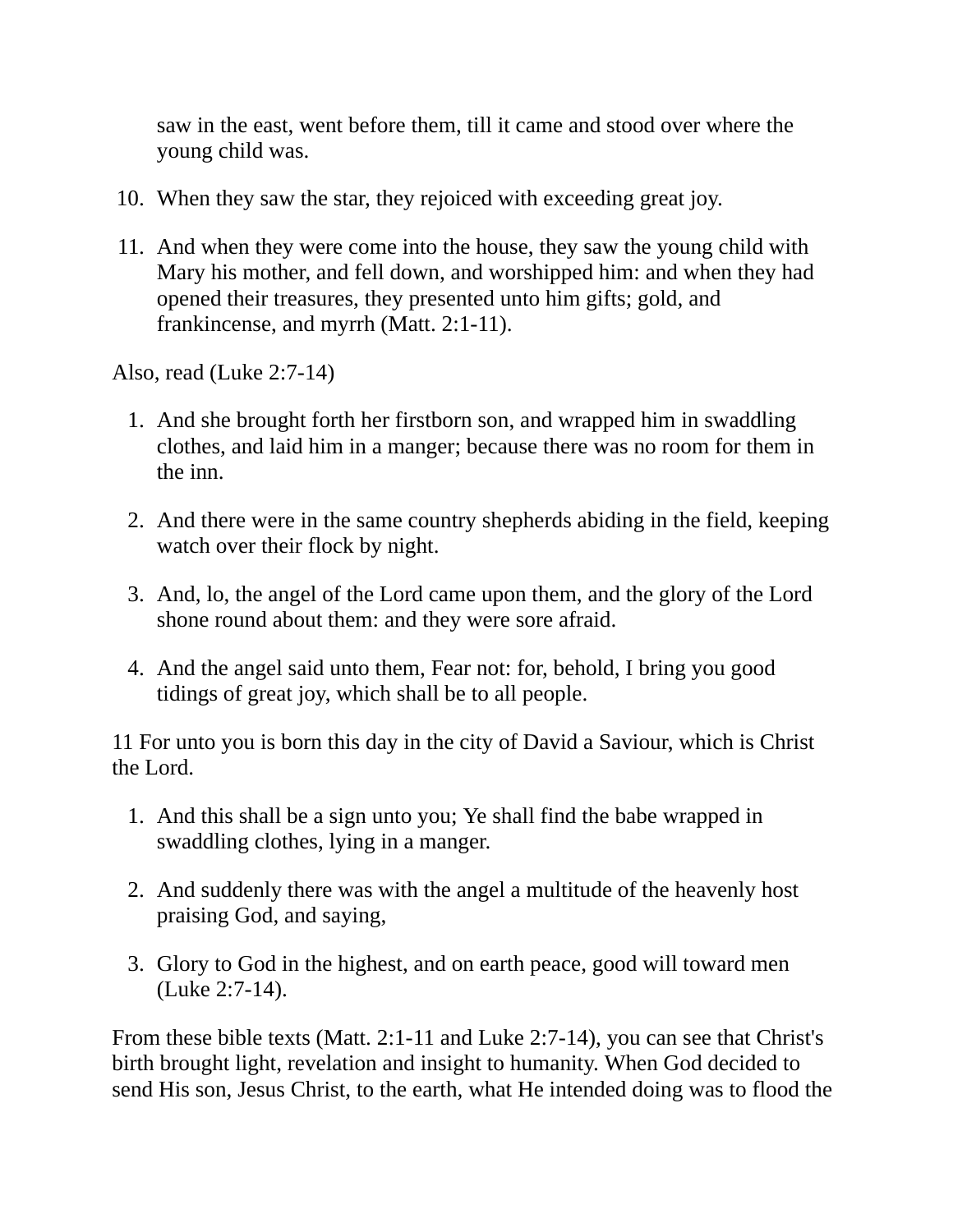saw in the east, went before them, till it came and stood over where the young child was.

- 10. When they saw the star, they rejoiced with exceeding great joy.
- 11. And when they were come into the house, they saw the young child with Mary his mother, and fell down, and worshipped him: and when they had opened their treasures, they presented unto him gifts; gold, and frankincense, and myrrh (Matt. 2:1-11).

Also, read (Luke 2:7-14)

- 1. And she brought forth her firstborn son, and wrapped him in swaddling clothes, and laid him in a manger; because there was no room for them in the inn.
- 2. And there were in the same country shepherds abiding in the field, keeping watch over their flock by night.
- 3. And, lo, the angel of the Lord came upon them, and the glory of the Lord shone round about them: and they were sore afraid.
- 4. And the angel said unto them, Fear not: for, behold, I bring you good tidings of great joy, which shall be to all people.

11 For unto you is born this day in the city of David a Saviour, which is Christ the Lord.

- 1. And this shall be a sign unto you; Ye shall find the babe wrapped in swaddling clothes, lying in a manger.
- 2. And suddenly there was with the angel a multitude of the heavenly host praising God, and saying,
- 3. Glory to God in the highest, and on earth peace, good will toward men (Luke 2:7-14).

From these bible texts (Matt. 2:1-11 and Luke 2:7-14), you can see that Christ's birth brought light, revelation and insight to humanity. When God decided to send His son, Jesus Christ, to the earth, what He intended doing was to flood the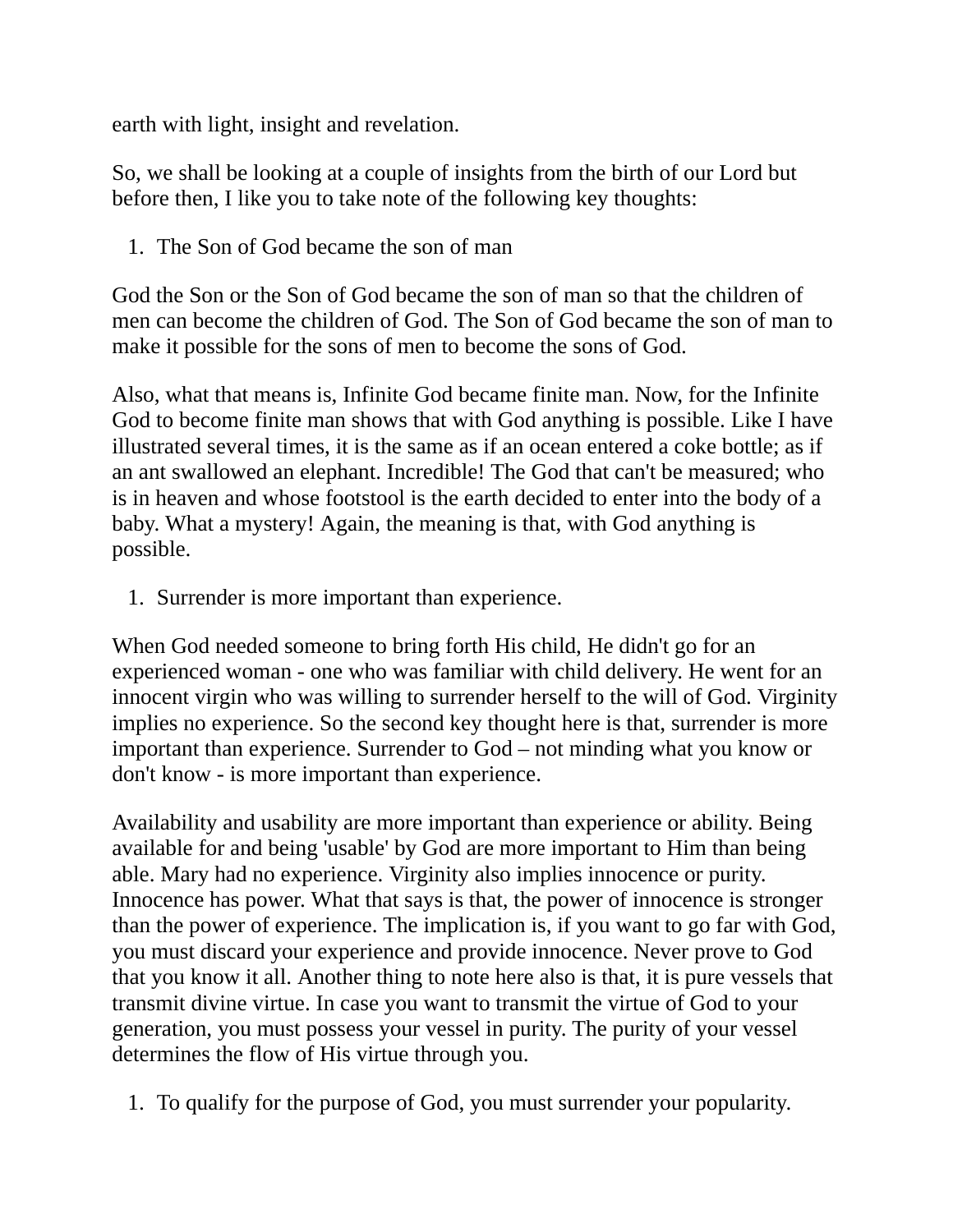earth with light, insight and revelation.

So, we shall be looking at a couple of insights from the birth of our Lord but before then, I like you to take note of the following key thoughts:

1. The Son of God became the son of man

God the Son or the Son of God became the son of man so that the children of men can become the children of God. The Son of God became the son of man to make it possible for the sons of men to become the sons of God.

Also, what that means is, Infinite God became finite man. Now, for the Infinite God to become finite man shows that with God anything is possible. Like I have illustrated several times, it is the same as if an ocean entered a coke bottle; as if an ant swallowed an elephant. Incredible! The God that can't be measured; who is in heaven and whose footstool is the earth decided to enter into the body of a baby. What a mystery! Again, the meaning is that, with God anything is possible.

1. Surrender is more important than experience.

When God needed someone to bring forth His child, He didn't go for an experienced woman - one who was familiar with child delivery. He went for an innocent virgin who was willing to surrender herself to the will of God. Virginity implies no experience. So the second key thought here is that, surrender is more important than experience. Surrender to God – not minding what you know or don't know - is more important than experience.

Availability and usability are more important than experience or ability. Being available for and being 'usable' by God are more important to Him than being able. Mary had no experience. Virginity also implies innocence or purity. Innocence has power. What that says is that, the power of innocence is stronger than the power of experience. The implication is, if you want to go far with God, you must discard your experience and provide innocence. Never prove to God that you know it all. Another thing to note here also is that, it is pure vessels that transmit divine virtue. In case you want to transmit the virtue of God to your generation, you must possess your vessel in purity. The purity of your vessel determines the flow of His virtue through you.

1. To qualify for the purpose of God, you must surrender your popularity.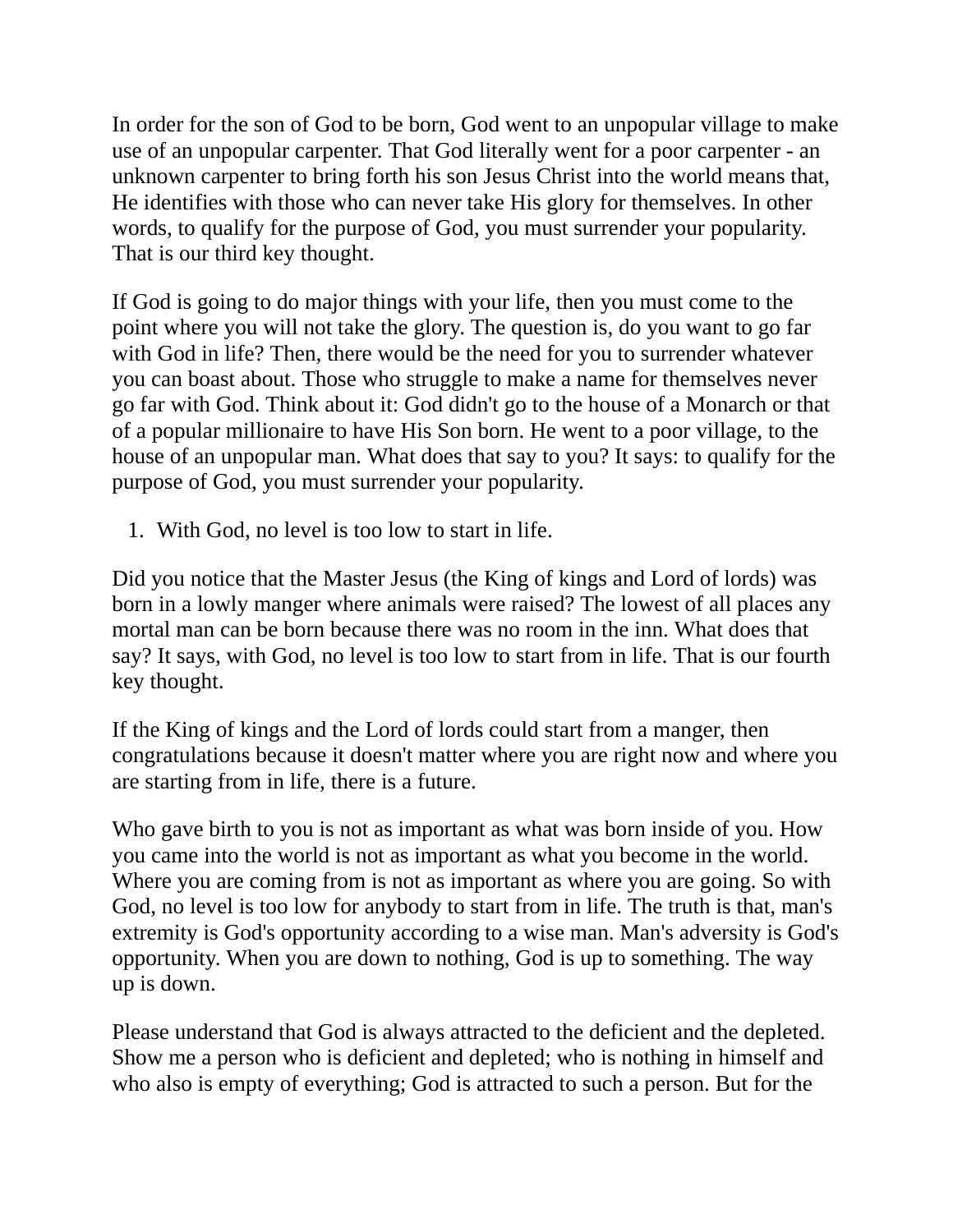In order for the son of God to be born, God went to an unpopular village to make use of an unpopular carpenter. That God literally went for a poor carpenter - an unknown carpenter to bring forth his son Jesus Christ into the world means that, He identifies with those who can never take His glory for themselves. In other words, to qualify for the purpose of God, you must surrender your popularity. That is our third key thought.

If God is going to do major things with your life, then you must come to the point where you will not take the glory. The question is, do you want to go far with God in life? Then, there would be the need for you to surrender whatever you can boast about. Those who struggle to make a name for themselves never go far with God. Think about it: God didn't go to the house of a Monarch or that of a popular millionaire to have His Son born. He went to a poor village, to the house of an unpopular man. What does that say to you? It says: to qualify for the purpose of God, you must surrender your popularity.

1. With God, no level is too low to start in life.

Did you notice that the Master Jesus (the King of kings and Lord of lords) was born in a lowly manger where animals were raised? The lowest of all places any mortal man can be born because there was no room in the inn. What does that say? It says, with God, no level is too low to start from in life. That is our fourth key thought.

If the King of kings and the Lord of lords could start from a manger, then congratulations because it doesn't matter where you are right now and where you are starting from in life, there is a future.

Who gave birth to you is not as important as what was born inside of you. How you came into the world is not as important as what you become in the world. Where you are coming from is not as important as where you are going. So with God, no level is too low for anybody to start from in life. The truth is that, man's extremity is God's opportunity according to a wise man. Man's adversity is God's opportunity. When you are down to nothing, God is up to something. The way up is down.

Please understand that God is always attracted to the deficient and the depleted. Show me a person who is deficient and depleted; who is nothing in himself and who also is empty of everything; God is attracted to such a person. But for the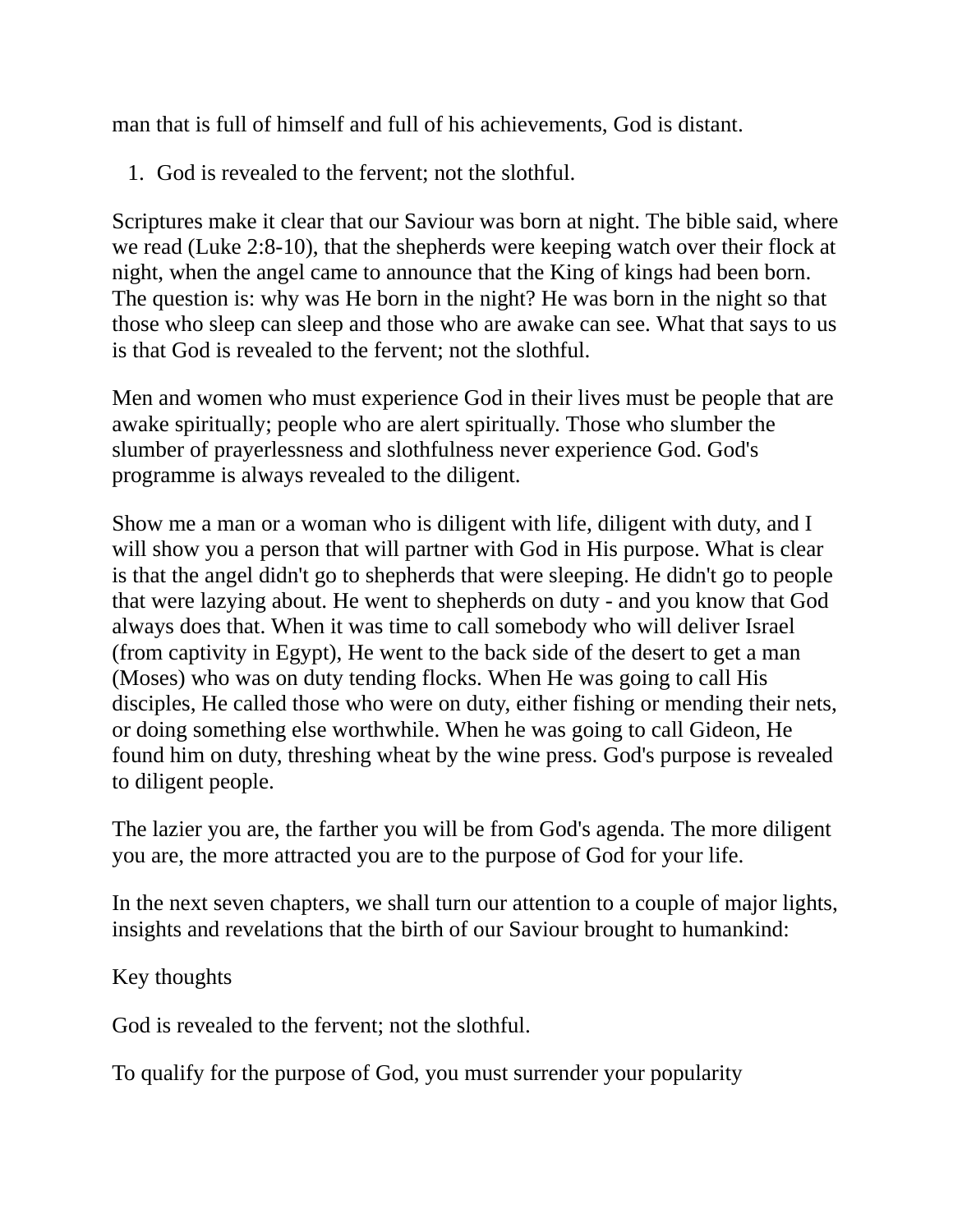man that is full of himself and full of his achievements, God is distant.

1. God is revealed to the fervent; not the slothful.

Scriptures make it clear that our Saviour was born at night. The bible said, where we read (Luke 2:8-10), that the shepherds were keeping watch over their flock at night, when the angel came to announce that the King of kings had been born. The question is: why was He born in the night? He was born in the night so that those who sleep can sleep and those who are awake can see. What that says to us is that God is revealed to the fervent; not the slothful.

Men and women who must experience God in their lives must be people that are awake spiritually; people who are alert spiritually. Those who slumber the slumber of prayerlessness and slothfulness never experience God. God's programme is always revealed to the diligent.

Show me a man or a woman who is diligent with life, diligent with duty, and I will show you a person that will partner with God in His purpose. What is clear is that the angel didn't go to shepherds that were sleeping. He didn't go to people that were lazying about. He went to shepherds on duty - and you know that God always does that. When it was time to call somebody who will deliver Israel (from captivity in Egypt), He went to the back side of the desert to get a man (Moses) who was on duty tending flocks. When He was going to call His disciples, He called those who were on duty, either fishing or mending their nets, or doing something else worthwhile. When he was going to call Gideon, He found him on duty, threshing wheat by the wine press. God's purpose is revealed to diligent people.

The lazier you are, the farther you will be from God's agenda. The more diligent you are, the more attracted you are to the purpose of God for your life.

In the next seven chapters, we shall turn our attention to a couple of major lights, insights and revelations that the birth of our Saviour brought to humankind:

Key thoughts

God is revealed to the fervent; not the slothful.

To qualify for the purpose of God, you must surrender your popularity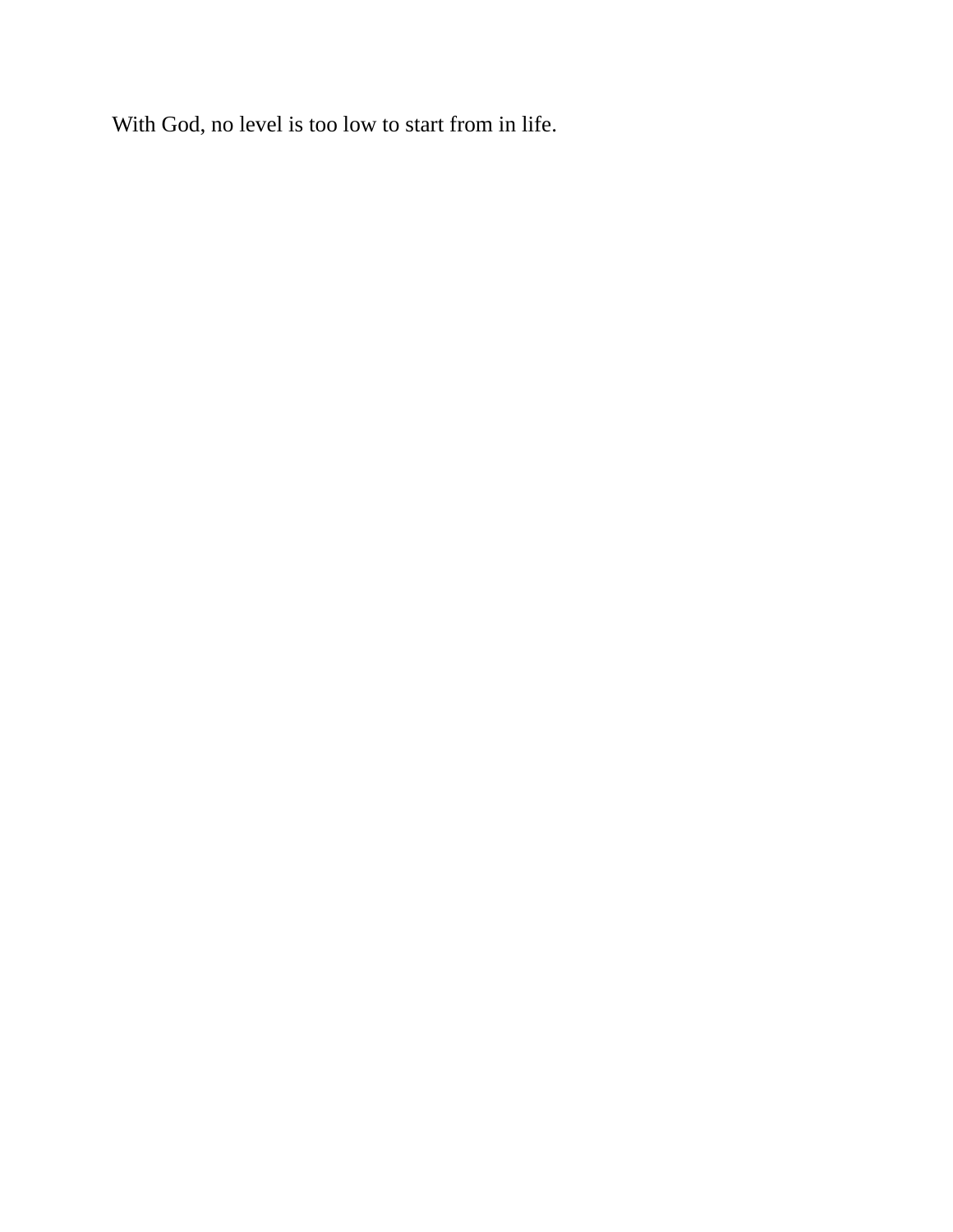With God, no level is too low to start from in life.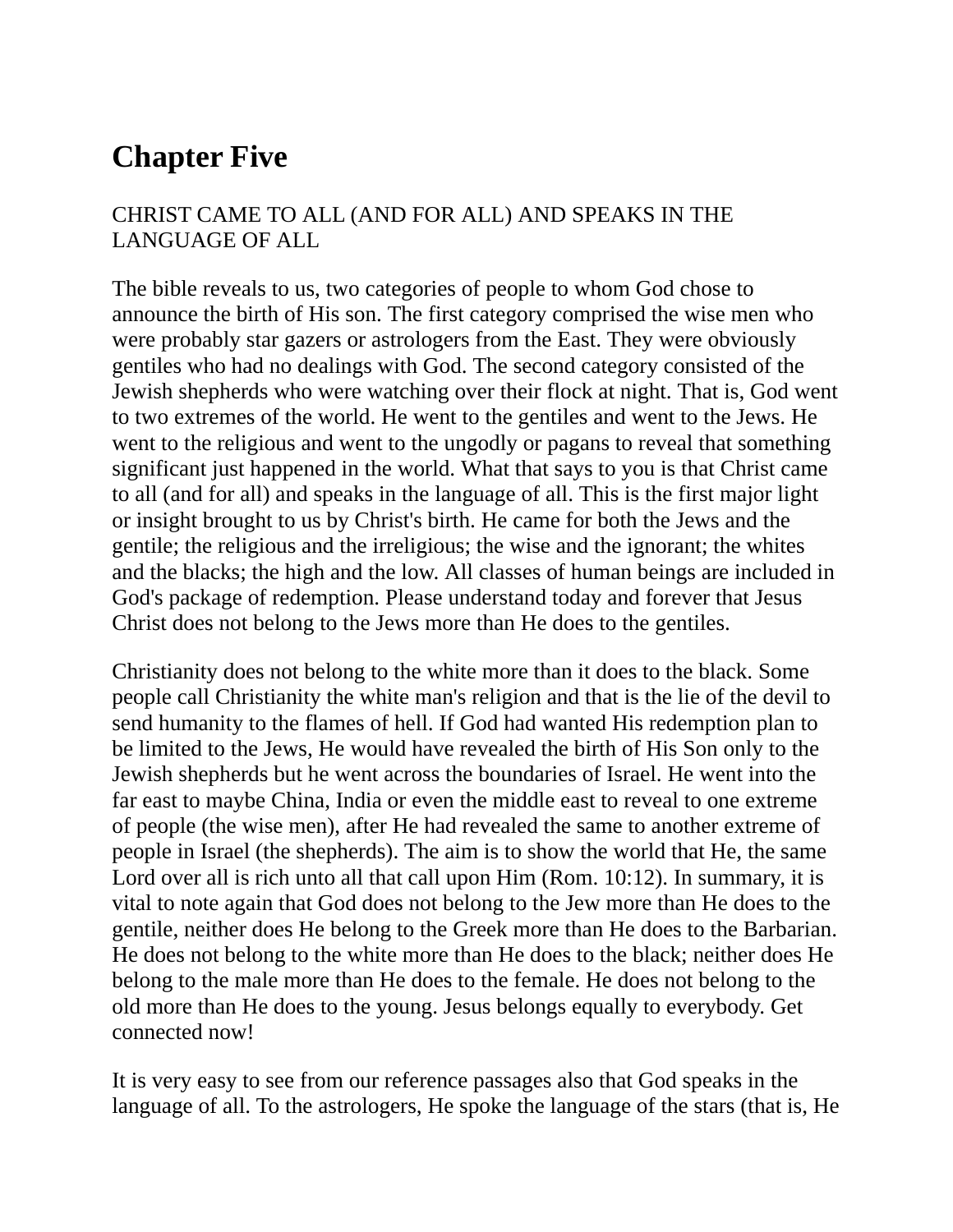# **Chapter Five**

### CHRIST CAME TO ALL (AND FOR ALL) AND SPEAKS IN THE LANGUAGE OF ALL

The bible reveals to us, two categories of people to whom God chose to announce the birth of His son. The first category comprised the wise men who were probably star gazers or astrologers from the East. They were obviously gentiles who had no dealings with God. The second category consisted of the Jewish shepherds who were watching over their flock at night. That is, God went to two extremes of the world. He went to the gentiles and went to the Jews. He went to the religious and went to the ungodly or pagans to reveal that something significant just happened in the world. What that says to you is that Christ came to all (and for all) and speaks in the language of all. This is the first major light or insight brought to us by Christ's birth. He came for both the Jews and the gentile; the religious and the irreligious; the wise and the ignorant; the whites and the blacks; the high and the low. All classes of human beings are included in God's package of redemption. Please understand today and forever that Jesus Christ does not belong to the Jews more than He does to the gentiles.

Christianity does not belong to the white more than it does to the black. Some people call Christianity the white man's religion and that is the lie of the devil to send humanity to the flames of hell. If God had wanted His redemption plan to be limited to the Jews, He would have revealed the birth of His Son only to the Jewish shepherds but he went across the boundaries of Israel. He went into the far east to maybe China, India or even the middle east to reveal to one extreme of people (the wise men), after He had revealed the same to another extreme of people in Israel (the shepherds). The aim is to show the world that He, the same Lord over all is rich unto all that call upon Him (Rom. 10:12). In summary, it is vital to note again that God does not belong to the Jew more than He does to the gentile, neither does He belong to the Greek more than He does to the Barbarian. He does not belong to the white more than He does to the black; neither does He belong to the male more than He does to the female. He does not belong to the old more than He does to the young. Jesus belongs equally to everybody. Get connected now!

It is very easy to see from our reference passages also that God speaks in the language of all. To the astrologers, He spoke the language of the stars (that is, He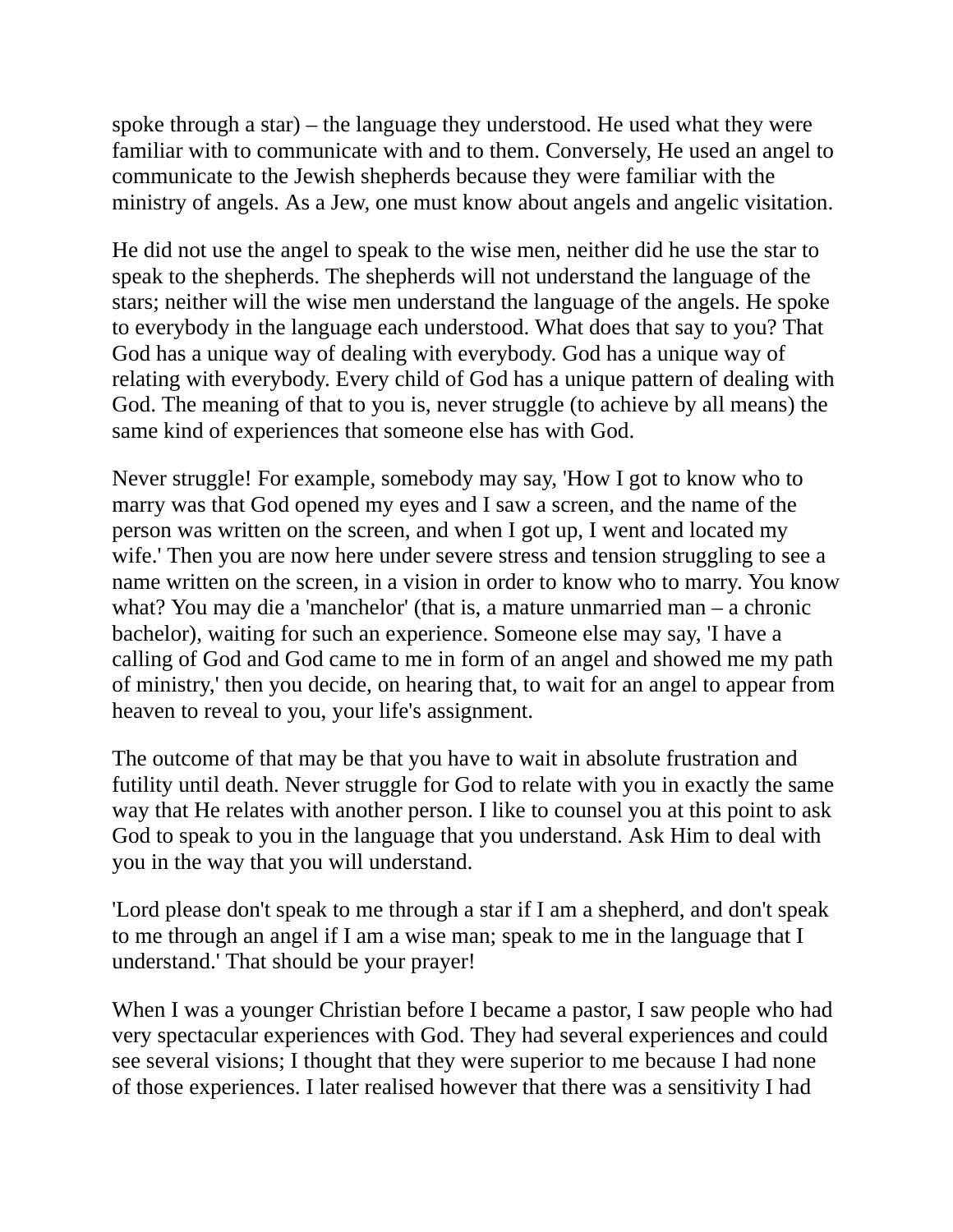spoke through a star) – the language they understood. He used what they were familiar with to communicate with and to them. Conversely, He used an angel to communicate to the Jewish shepherds because they were familiar with the ministry of angels. As a Jew, one must know about angels and angelic visitation.

He did not use the angel to speak to the wise men, neither did he use the star to speak to the shepherds. The shepherds will not understand the language of the stars; neither will the wise men understand the language of the angels. He spoke to everybody in the language each understood. What does that say to you? That God has a unique way of dealing with everybody. God has a unique way of relating with everybody. Every child of God has a unique pattern of dealing with God. The meaning of that to you is, never struggle (to achieve by all means) the same kind of experiences that someone else has with God.

Never struggle! For example, somebody may say, 'How I got to know who to marry was that God opened my eyes and I saw a screen, and the name of the person was written on the screen, and when I got up, I went and located my wife.' Then you are now here under severe stress and tension struggling to see a name written on the screen, in a vision in order to know who to marry. You know what? You may die a 'manchelor' (that is, a mature unmarried man – a chronic bachelor), waiting for such an experience. Someone else may say, 'I have a calling of God and God came to me in form of an angel and showed me my path of ministry,' then you decide, on hearing that, to wait for an angel to appear from heaven to reveal to you, your life's assignment.

The outcome of that may be that you have to wait in absolute frustration and futility until death. Never struggle for God to relate with you in exactly the same way that He relates with another person. I like to counsel you at this point to ask God to speak to you in the language that you understand. Ask Him to deal with you in the way that you will understand.

'Lord please don't speak to me through a star if I am a shepherd, and don't speak to me through an angel if I am a wise man; speak to me in the language that I understand.' That should be your prayer!

When I was a younger Christian before I became a pastor, I saw people who had very spectacular experiences with God. They had several experiences and could see several visions; I thought that they were superior to me because I had none of those experiences. I later realised however that there was a sensitivity I had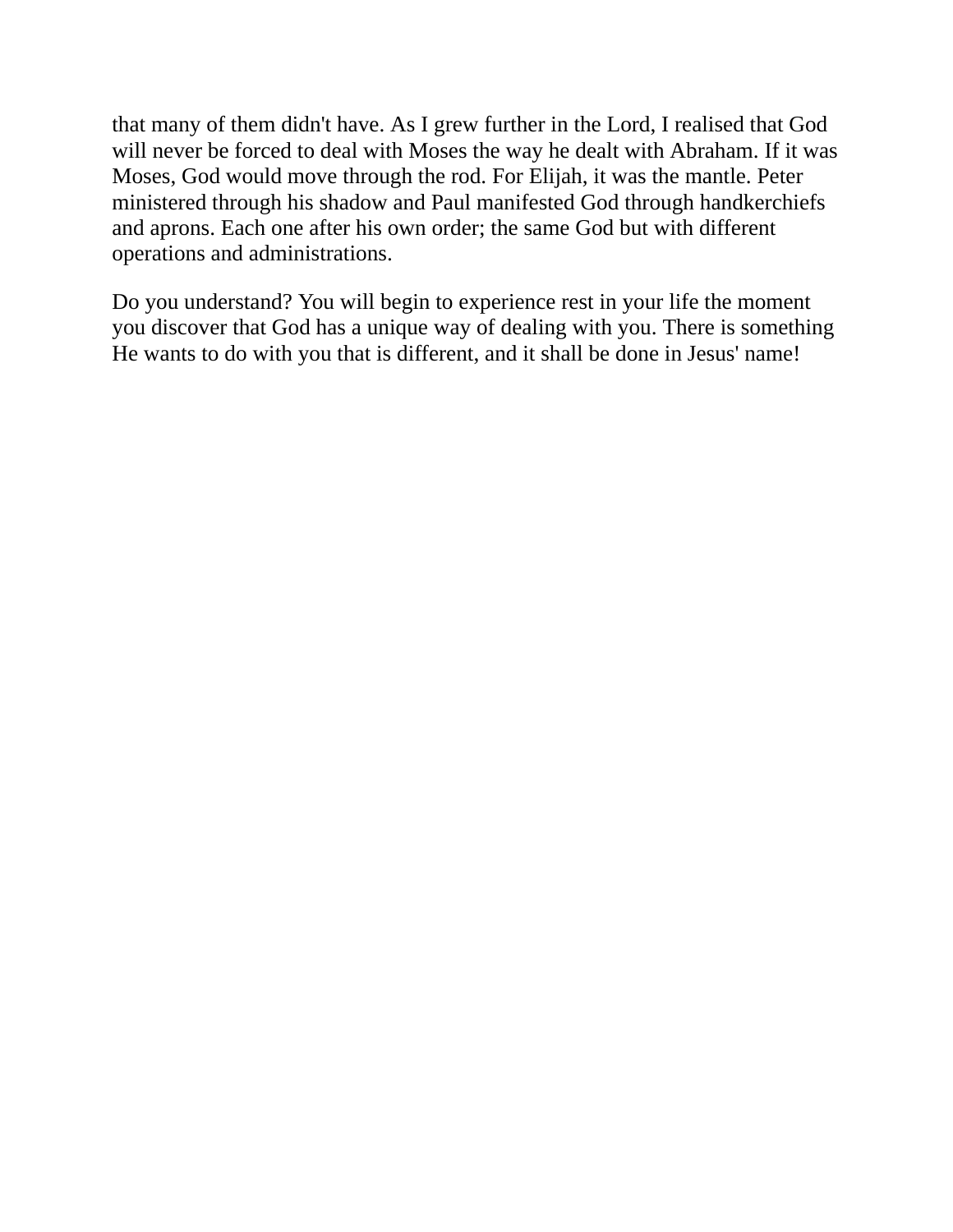that many of them didn't have. As I grew further in the Lord, I realised that God will never be forced to deal with Moses the way he dealt with Abraham. If it was Moses, God would move through the rod. For Elijah, it was the mantle. Peter ministered through his shadow and Paul manifested God through handkerchiefs and aprons. Each one after his own order; the same God but with different operations and administrations.

Do you understand? You will begin to experience rest in your life the moment you discover that God has a unique way of dealing with you. There is something He wants to do with you that is different, and it shall be done in Jesus' name!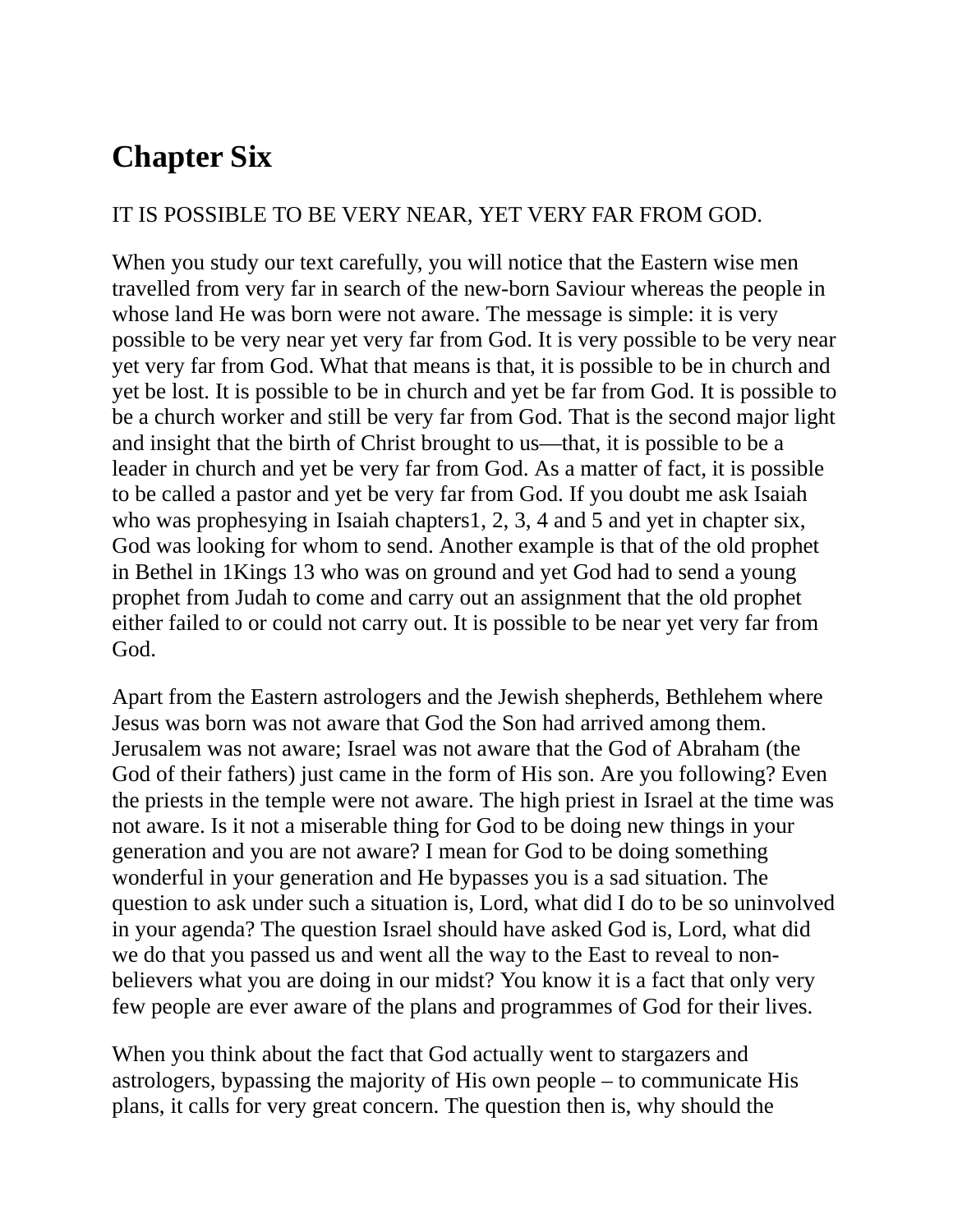# **Chapter Six**

### IT IS POSSIBLE TO BE VERY NEAR, YET VERY FAR FROM GOD.

When you study our text carefully, you will notice that the Eastern wise men travelled from very far in search of the new-born Saviour whereas the people in whose land He was born were not aware. The message is simple: it is very possible to be very near yet very far from God. It is very possible to be very near yet very far from God. What that means is that, it is possible to be in church and yet be lost. It is possible to be in church and yet be far from God. It is possible to be a church worker and still be very far from God. That is the second major light and insight that the birth of Christ brought to us—that, it is possible to be a leader in church and yet be very far from God. As a matter of fact, it is possible to be called a pastor and yet be very far from God. If you doubt me ask Isaiah who was prophesying in Isaiah chapters1, 2, 3, 4 and 5 and yet in chapter six, God was looking for whom to send. Another example is that of the old prophet in Bethel in 1Kings 13 who was on ground and yet God had to send a young prophet from Judah to come and carry out an assignment that the old prophet either failed to or could not carry out. It is possible to be near yet very far from God.

Apart from the Eastern astrologers and the Jewish shepherds, Bethlehem where Jesus was born was not aware that God the Son had arrived among them. Jerusalem was not aware; Israel was not aware that the God of Abraham (the God of their fathers) just came in the form of His son. Are you following? Even the priests in the temple were not aware. The high priest in Israel at the time was not aware. Is it not a miserable thing for God to be doing new things in your generation and you are not aware? I mean for God to be doing something wonderful in your generation and He bypasses you is a sad situation. The question to ask under such a situation is, Lord, what did I do to be so uninvolved in your agenda? The question Israel should have asked God is, Lord, what did we do that you passed us and went all the way to the East to reveal to nonbelievers what you are doing in our midst? You know it is a fact that only very few people are ever aware of the plans and programmes of God for their lives.

When you think about the fact that God actually went to stargazers and astrologers, bypassing the majority of His own people – to communicate His plans, it calls for very great concern. The question then is, why should the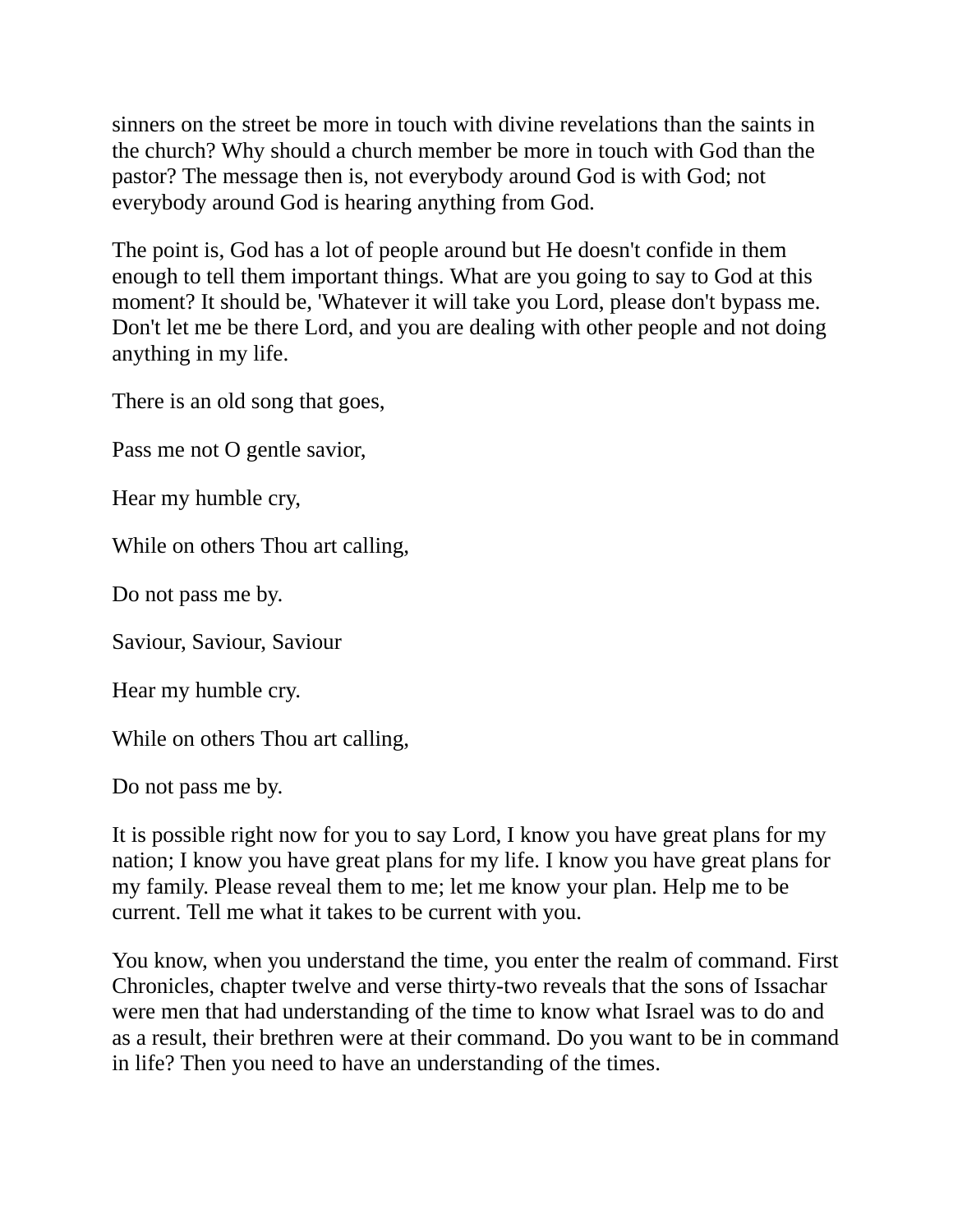sinners on the street be more in touch with divine revelations than the saints in the church? Why should a church member be more in touch with God than the pastor? The message then is, not everybody around God is with God; not everybody around God is hearing anything from God.

The point is, God has a lot of people around but He doesn't confide in them enough to tell them important things. What are you going to say to God at this moment? It should be, 'Whatever it will take you Lord, please don't bypass me. Don't let me be there Lord, and you are dealing with other people and not doing anything in my life.

There is an old song that goes,

Pass me not O gentle savior,

Hear my humble cry,

While on others Thou art calling,

Do not pass me by.

Saviour, Saviour, Saviour

Hear my humble cry.

While on others Thou art calling,

Do not pass me by.

It is possible right now for you to say Lord, I know you have great plans for my nation; I know you have great plans for my life. I know you have great plans for my family. Please reveal them to me; let me know your plan. Help me to be current. Tell me what it takes to be current with you.

You know, when you understand the time, you enter the realm of command. First Chronicles, chapter twelve and verse thirty-two reveals that the sons of Issachar were men that had understanding of the time to know what Israel was to do and as a result, their brethren were at their command. Do you want to be in command in life? Then you need to have an understanding of the times.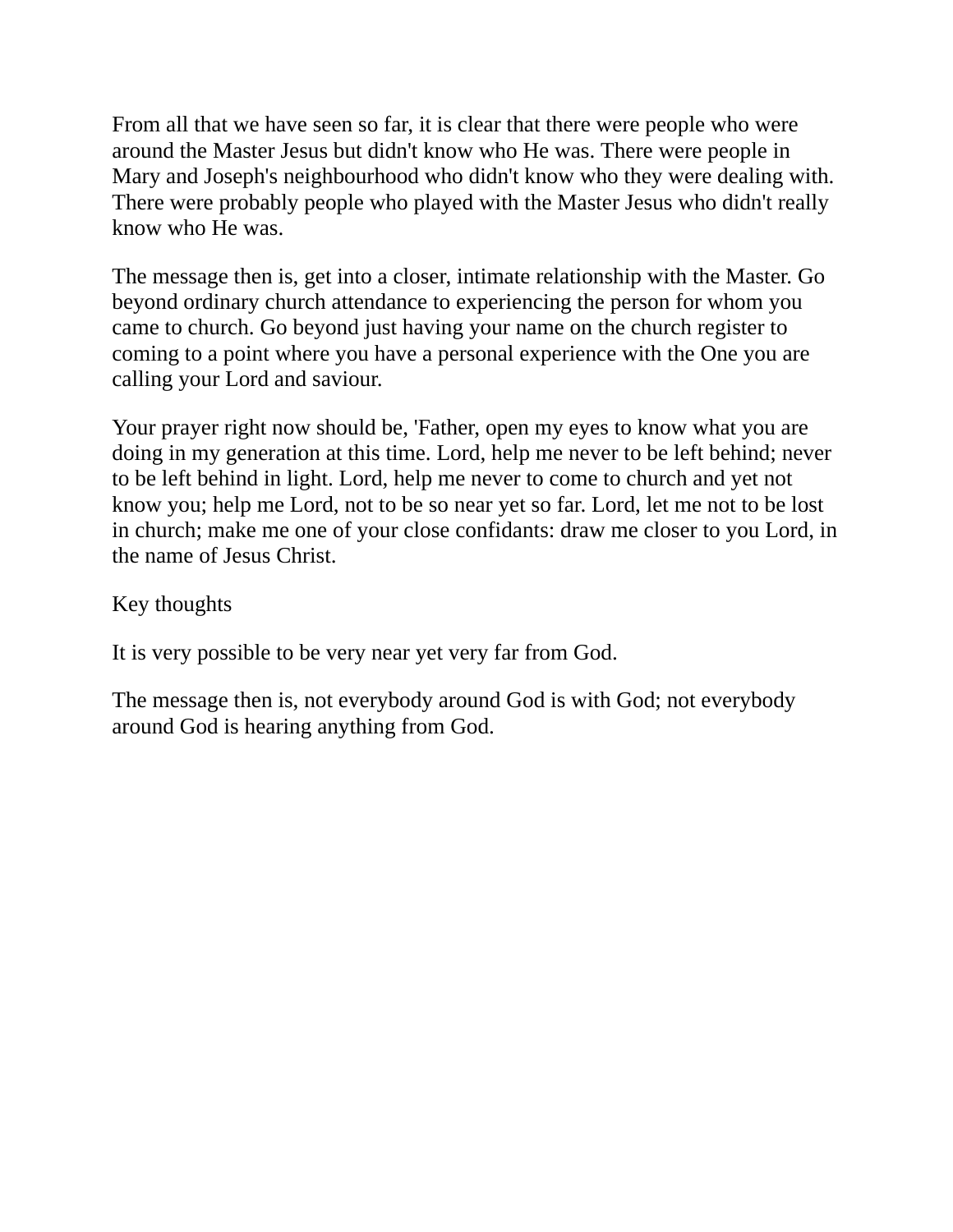From all that we have seen so far, it is clear that there were people who were around the Master Jesus but didn't know who He was. There were people in Mary and Joseph's neighbourhood who didn't know who they were dealing with. There were probably people who played with the Master Jesus who didn't really know who He was.

The message then is, get into a closer, intimate relationship with the Master. Go beyond ordinary church attendance to experiencing the person for whom you came to church. Go beyond just having your name on the church register to coming to a point where you have a personal experience with the One you are calling your Lord and saviour.

Your prayer right now should be, 'Father, open my eyes to know what you are doing in my generation at this time. Lord, help me never to be left behind; never to be left behind in light. Lord, help me never to come to church and yet not know you; help me Lord, not to be so near yet so far. Lord, let me not to be lost in church; make me one of your close confidants: draw me closer to you Lord, in the name of Jesus Christ.

Key thoughts

It is very possible to be very near yet very far from God.

The message then is, not everybody around God is with God; not everybody around God is hearing anything from God.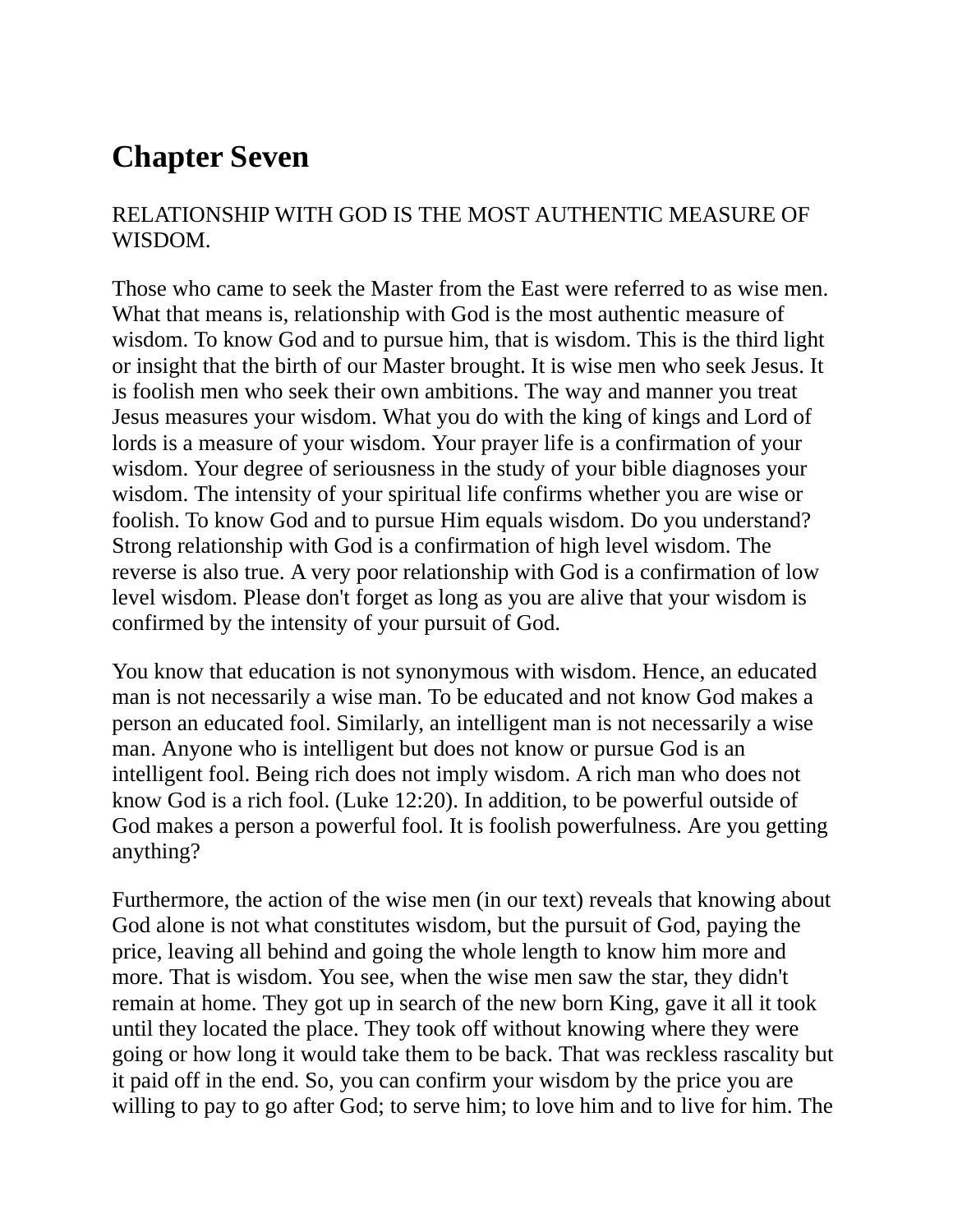# **Chapter Seven**

### RELATIONSHIP WITH GOD IS THE MOST AUTHENTIC MEASURE OF WISDOM.

Those who came to seek the Master from the East were referred to as wise men. What that means is, relationship with God is the most authentic measure of wisdom. To know God and to pursue him, that is wisdom. This is the third light or insight that the birth of our Master brought. It is wise men who seek Jesus. It is foolish men who seek their own ambitions. The way and manner you treat Jesus measures your wisdom. What you do with the king of kings and Lord of lords is a measure of your wisdom. Your prayer life is a confirmation of your wisdom. Your degree of seriousness in the study of your bible diagnoses your wisdom. The intensity of your spiritual life confirms whether you are wise or foolish. To know God and to pursue Him equals wisdom. Do you understand? Strong relationship with God is a confirmation of high level wisdom. The reverse is also true. A very poor relationship with God is a confirmation of low level wisdom. Please don't forget as long as you are alive that your wisdom is confirmed by the intensity of your pursuit of God.

You know that education is not synonymous with wisdom. Hence, an educated man is not necessarily a wise man. To be educated and not know God makes a person an educated fool. Similarly, an intelligent man is not necessarily a wise man. Anyone who is intelligent but does not know or pursue God is an intelligent fool. Being rich does not imply wisdom. A rich man who does not know God is a rich fool. (Luke 12:20). In addition, to be powerful outside of God makes a person a powerful fool. It is foolish powerfulness. Are you getting anything?

Furthermore, the action of the wise men (in our text) reveals that knowing about God alone is not what constitutes wisdom, but the pursuit of God, paying the price, leaving all behind and going the whole length to know him more and more. That is wisdom. You see, when the wise men saw the star, they didn't remain at home. They got up in search of the new born King, gave it all it took until they located the place. They took off without knowing where they were going or how long it would take them to be back. That was reckless rascality but it paid off in the end. So, you can confirm your wisdom by the price you are willing to pay to go after God; to serve him; to love him and to live for him. The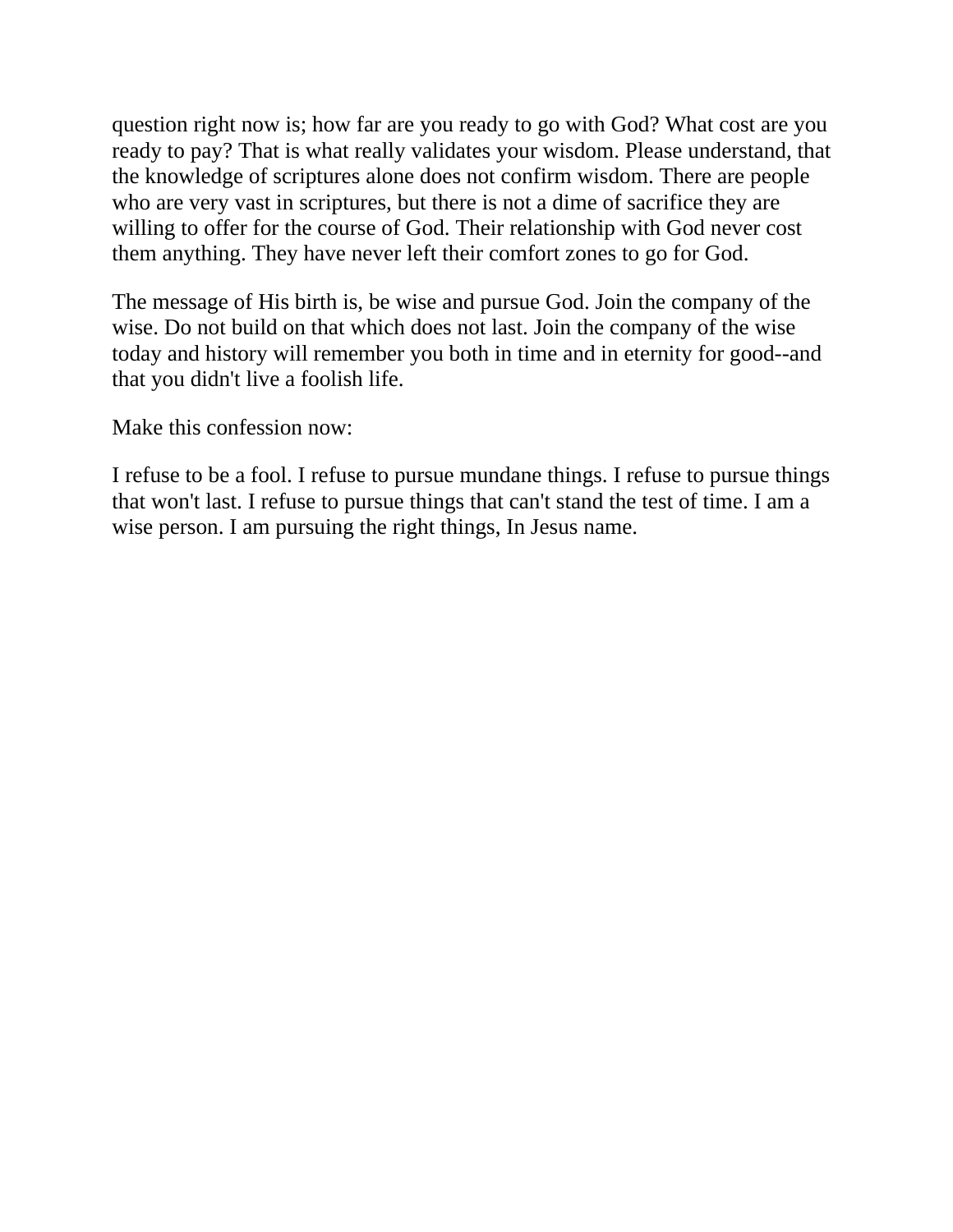question right now is; how far are you ready to go with God? What cost are you ready to pay? That is what really validates your wisdom. Please understand, that the knowledge of scriptures alone does not confirm wisdom. There are people who are very vast in scriptures, but there is not a dime of sacrifice they are willing to offer for the course of God. Their relationship with God never cost them anything. They have never left their comfort zones to go for God.

The message of His birth is, be wise and pursue God. Join the company of the wise. Do not build on that which does not last. Join the company of the wise today and history will remember you both in time and in eternity for good--and that you didn't live a foolish life.

Make this confession now:

I refuse to be a fool. I refuse to pursue mundane things. I refuse to pursue things that won't last. I refuse to pursue things that can't stand the test of time. I am a wise person. I am pursuing the right things, In Jesus name.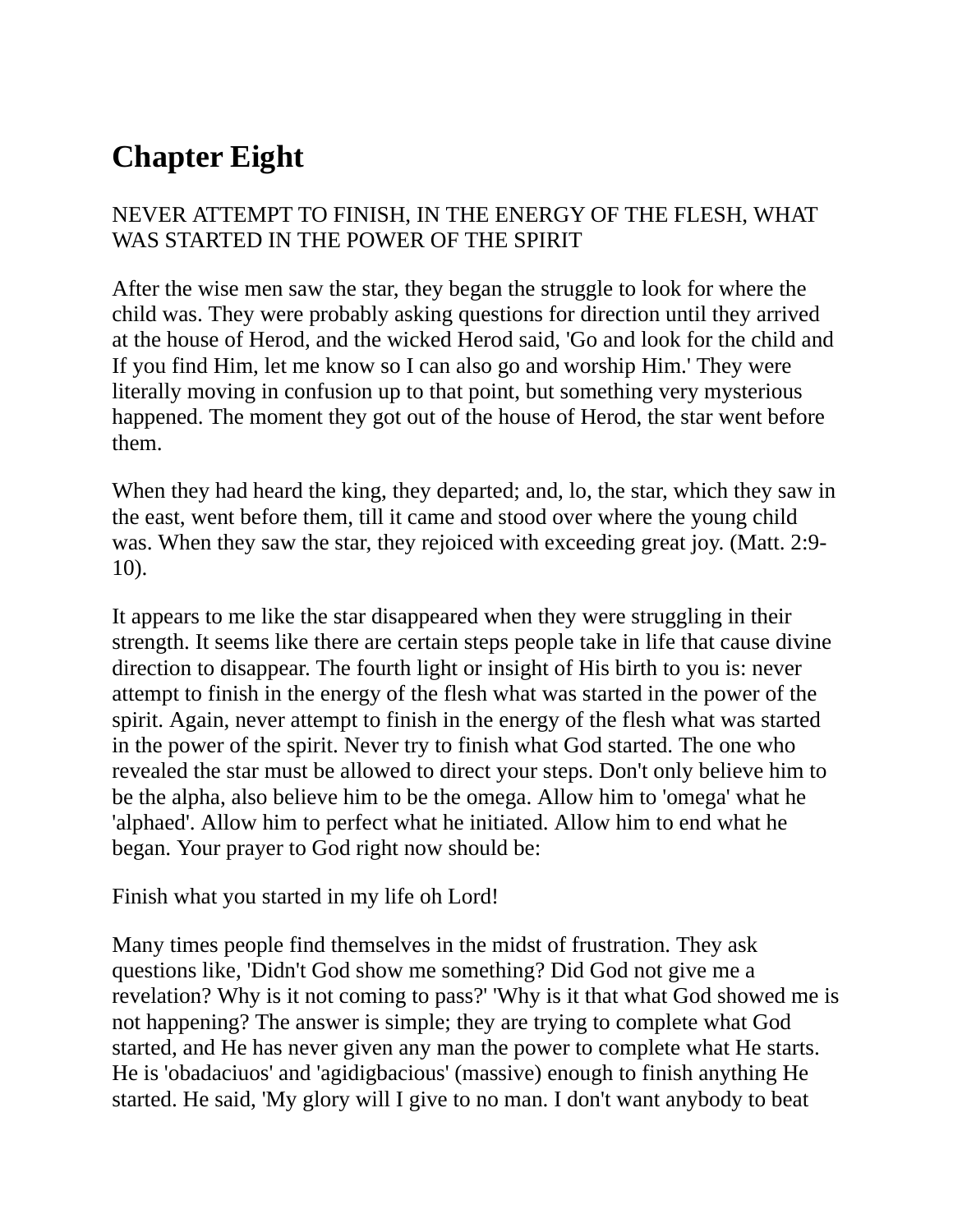# **Chapter Eight**

### NEVER ATTEMPT TO FINISH, IN THE ENERGY OF THE FLESH, WHAT WAS STARTED IN THE POWER OF THE SPIRIT

After the wise men saw the star, they began the struggle to look for where the child was. They were probably asking questions for direction until they arrived at the house of Herod, and the wicked Herod said, 'Go and look for the child and If you find Him, let me know so I can also go and worship Him.' They were literally moving in confusion up to that point, but something very mysterious happened. The moment they got out of the house of Herod, the star went before them.

When they had heard the king, they departed; and, lo, the star, which they saw in the east, went before them, till it came and stood over where the young child was. When they saw the star, they rejoiced with exceeding great joy. (Matt. 2:9- 10).

It appears to me like the star disappeared when they were struggling in their strength. It seems like there are certain steps people take in life that cause divine direction to disappear. The fourth light or insight of His birth to you is: never attempt to finish in the energy of the flesh what was started in the power of the spirit. Again, never attempt to finish in the energy of the flesh what was started in the power of the spirit. Never try to finish what God started. The one who revealed the star must be allowed to direct your steps. Don't only believe him to be the alpha, also believe him to be the omega. Allow him to 'omega' what he 'alphaed'. Allow him to perfect what he initiated. Allow him to end what he began. Your prayer to God right now should be:

Finish what you started in my life oh Lord!

Many times people find themselves in the midst of frustration. They ask questions like, 'Didn't God show me something? Did God not give me a revelation? Why is it not coming to pass?' 'Why is it that what God showed me is not happening? The answer is simple; they are trying to complete what God started, and He has never given any man the power to complete what He starts. He is 'obadaciuos' and 'agidigbacious' (massive) enough to finish anything He started. He said, 'My glory will I give to no man. I don't want anybody to beat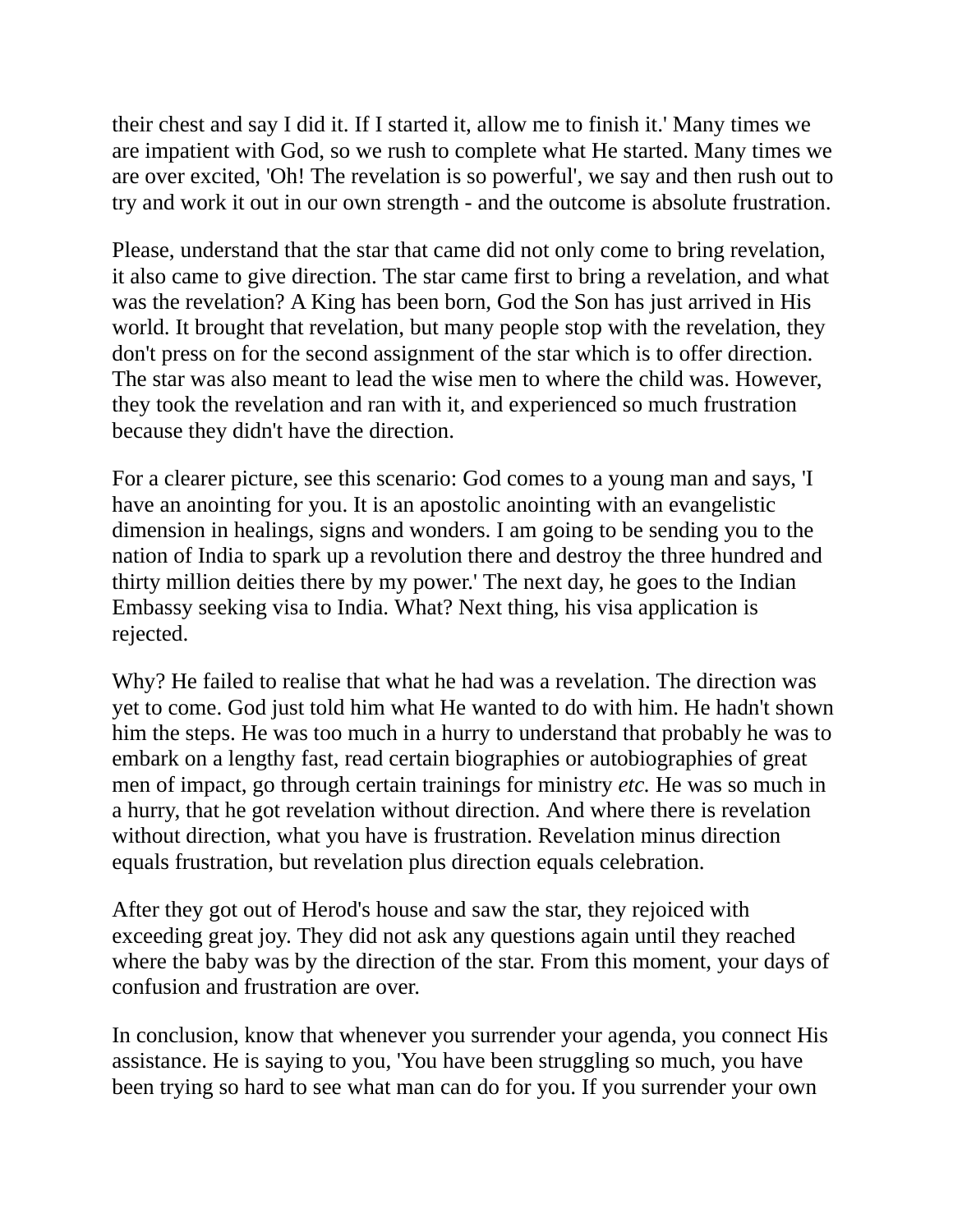their chest and say I did it. If I started it, allow me to finish it.' Many times we are impatient with God, so we rush to complete what He started. Many times we are over excited, 'Oh! The revelation is so powerful', we say and then rush out to try and work it out in our own strength - and the outcome is absolute frustration.

Please, understand that the star that came did not only come to bring revelation, it also came to give direction. The star came first to bring a revelation, and what was the revelation? A King has been born, God the Son has just arrived in His world. It brought that revelation, but many people stop with the revelation, they don't press on for the second assignment of the star which is to offer direction. The star was also meant to lead the wise men to where the child was. However, they took the revelation and ran with it, and experienced so much frustration because they didn't have the direction.

For a clearer picture, see this scenario: God comes to a young man and says, 'I have an anointing for you. It is an apostolic anointing with an evangelistic dimension in healings, signs and wonders. I am going to be sending you to the nation of India to spark up a revolution there and destroy the three hundred and thirty million deities there by my power.' The next day, he goes to the Indian Embassy seeking visa to India. What? Next thing, his visa application is rejected.

Why? He failed to realise that what he had was a revelation. The direction was yet to come. God just told him what He wanted to do with him. He hadn't shown him the steps. He was too much in a hurry to understand that probably he was to embark on a lengthy fast, read certain biographies or autobiographies of great men of impact, go through certain trainings for ministry *etc.* He was so much in a hurry, that he got revelation without direction. And where there is revelation without direction, what you have is frustration. Revelation minus direction equals frustration, but revelation plus direction equals celebration.

After they got out of Herod's house and saw the star, they rejoiced with exceeding great joy. They did not ask any questions again until they reached where the baby was by the direction of the star. From this moment, your days of confusion and frustration are over.

In conclusion, know that whenever you surrender your agenda, you connect His assistance. He is saying to you, 'You have been struggling so much, you have been trying so hard to see what man can do for you. If you surrender your own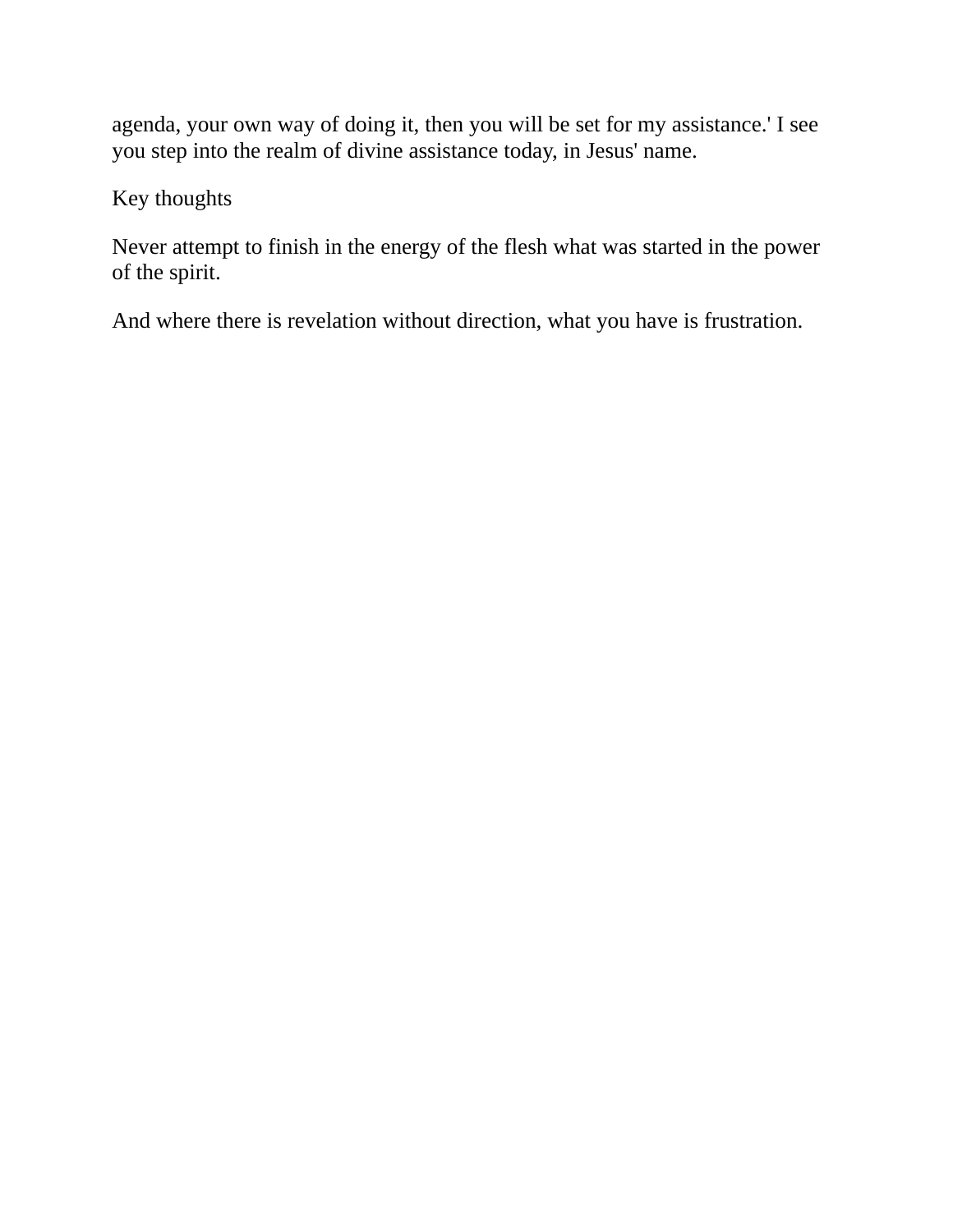agenda, your own way of doing it, then you will be set for my assistance.' I see you step into the realm of divine assistance today, in Jesus' name.

Key thoughts

Never attempt to finish in the energy of the flesh what was started in the power of the spirit.

And where there is revelation without direction, what you have is frustration.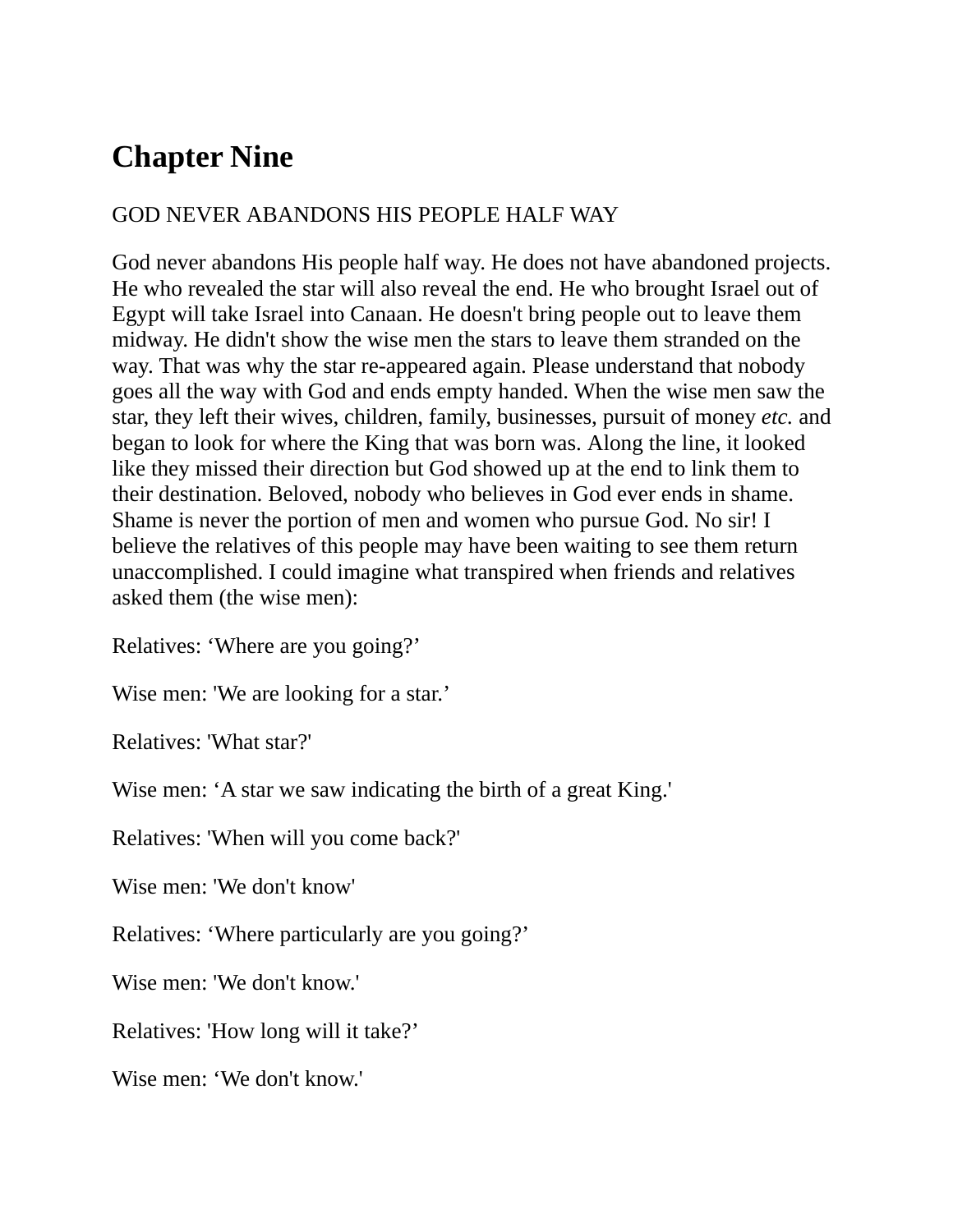# **Chapter Nine**

### GOD NEVER ABANDONS HIS PEOPLE HALF WAY

God never abandons His people half way. He does not have abandoned projects. He who revealed the star will also reveal the end. He who brought Israel out of Egypt will take Israel into Canaan. He doesn't bring people out to leave them midway. He didn't show the wise men the stars to leave them stranded on the way. That was why the star re-appeared again. Please understand that nobody goes all the way with God and ends empty handed. When the wise men saw the star, they left their wives, children, family, businesses, pursuit of money *etc.* and began to look for where the King that was born was. Along the line, it looked like they missed their direction but God showed up at the end to link them to their destination. Beloved, nobody who believes in God ever ends in shame. Shame is never the portion of men and women who pursue God. No sir! I believe the relatives of this people may have been waiting to see them return unaccomplished. I could imagine what transpired when friends and relatives asked them (the wise men):

Relatives: 'Where are you going?'

Wise men: 'We are looking for a star.'

Relatives: 'What star?'

Wise men: 'A star we saw indicating the birth of a great King.'

Relatives: 'When will you come back?'

Wise men: 'We don't know'

Relatives: 'Where particularly are you going?'

Wise men: 'We don't know.'

Relatives: 'How long will it take?'

Wise men: 'We don't know.'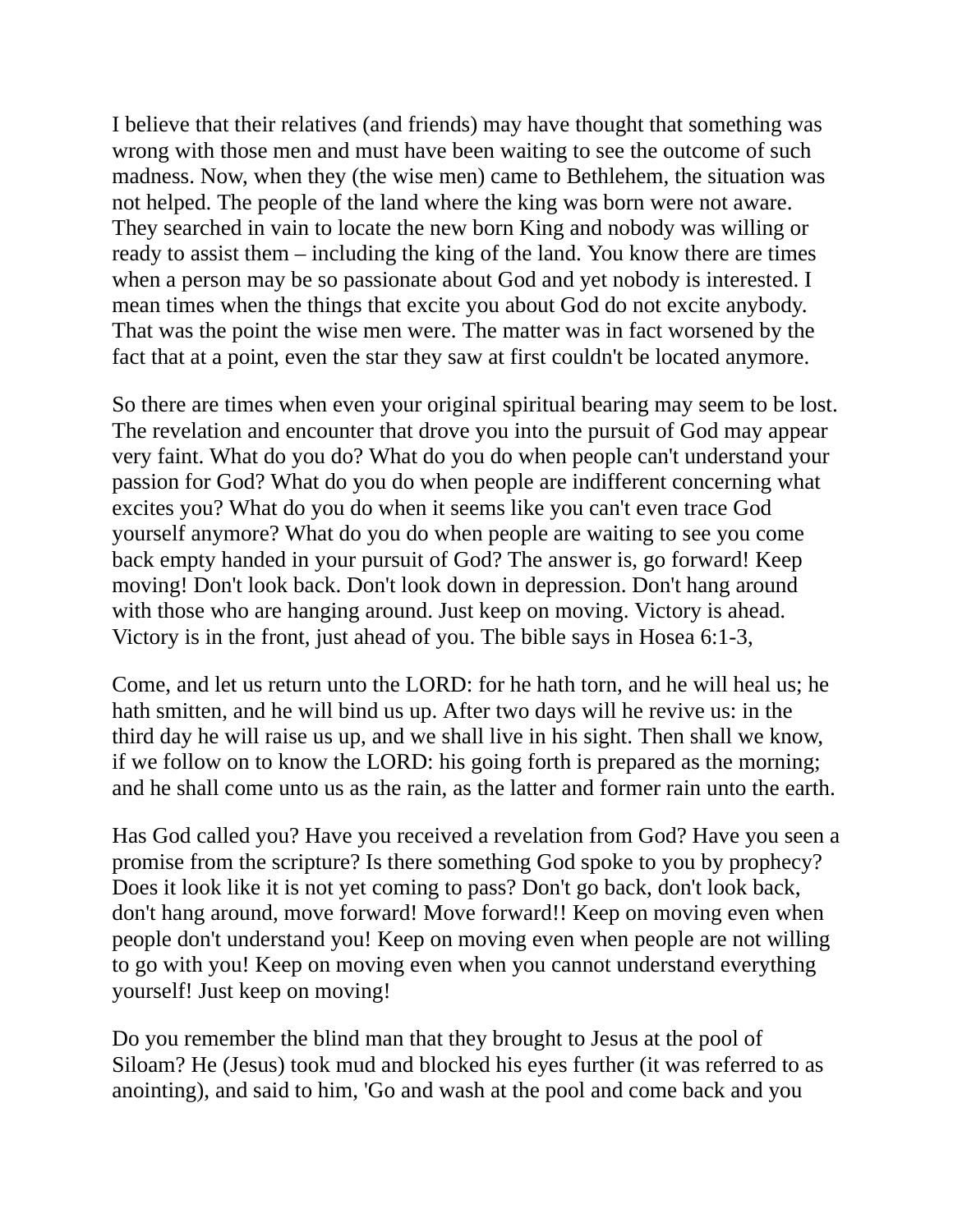I believe that their relatives (and friends) may have thought that something was wrong with those men and must have been waiting to see the outcome of such madness. Now, when they (the wise men) came to Bethlehem, the situation was not helped. The people of the land where the king was born were not aware. They searched in vain to locate the new born King and nobody was willing or ready to assist them – including the king of the land. You know there are times when a person may be so passionate about God and yet nobody is interested. I mean times when the things that excite you about God do not excite anybody. That was the point the wise men were. The matter was in fact worsened by the fact that at a point, even the star they saw at first couldn't be located anymore.

So there are times when even your original spiritual bearing may seem to be lost. The revelation and encounter that drove you into the pursuit of God may appear very faint. What do you do? What do you do when people can't understand your passion for God? What do you do when people are indifferent concerning what excites you? What do you do when it seems like you can't even trace God yourself anymore? What do you do when people are waiting to see you come back empty handed in your pursuit of God? The answer is, go forward! Keep moving! Don't look back. Don't look down in depression. Don't hang around with those who are hanging around. Just keep on moving. Victory is ahead. Victory is in the front, just ahead of you. The bible says in Hosea 6:1-3,

Come, and let us return unto the LORD: for he hath torn, and he will heal us; he hath smitten, and he will bind us up. After two days will he revive us: in the third day he will raise us up, and we shall live in his sight. Then shall we know, if we follow on to know the LORD: his going forth is prepared as the morning; and he shall come unto us as the rain, as the latter and former rain unto the earth.

Has God called you? Have you received a revelation from God? Have you seen a promise from the scripture? Is there something God spoke to you by prophecy? Does it look like it is not yet coming to pass? Don't go back, don't look back, don't hang around, move forward! Move forward!! Keep on moving even when people don't understand you! Keep on moving even when people are not willing to go with you! Keep on moving even when you cannot understand everything yourself! Just keep on moving!

Do you remember the blind man that they brought to Jesus at the pool of Siloam? He (Jesus) took mud and blocked his eyes further (it was referred to as anointing), and said to him, 'Go and wash at the pool and come back and you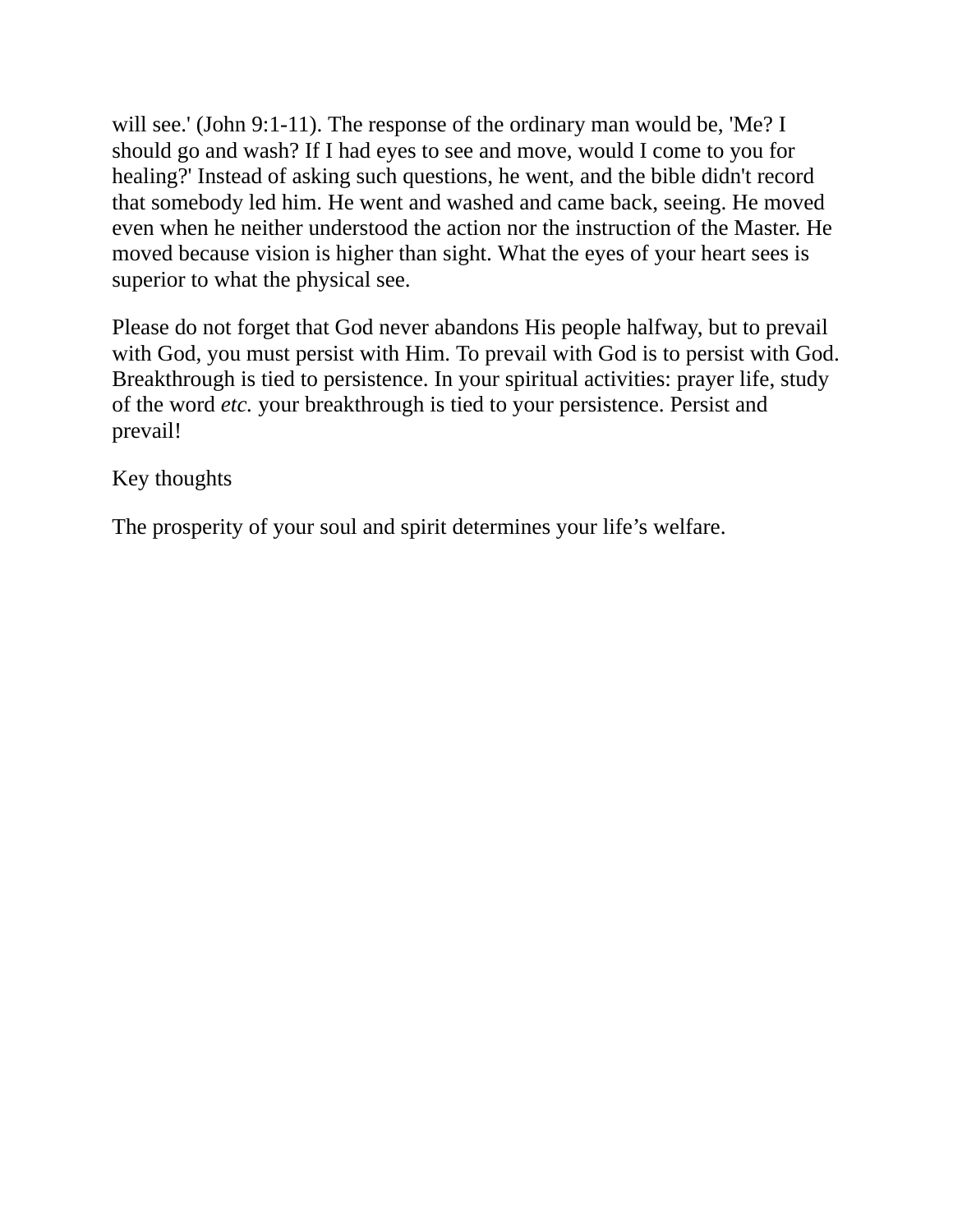will see.' (John 9:1-11). The response of the ordinary man would be, 'Me? I should go and wash? If I had eyes to see and move, would I come to you for healing?' Instead of asking such questions, he went, and the bible didn't record that somebody led him. He went and washed and came back, seeing. He moved even when he neither understood the action nor the instruction of the Master. He moved because vision is higher than sight. What the eyes of your heart sees is superior to what the physical see.

Please do not forget that God never abandons His people halfway, but to prevail with God, you must persist with Him. To prevail with God is to persist with God. Breakthrough is tied to persistence. In your spiritual activities: prayer life, study of the word *etc.* your breakthrough is tied to your persistence. Persist and prevail!

Key thoughts

The prosperity of your soul and spirit determines your life's welfare.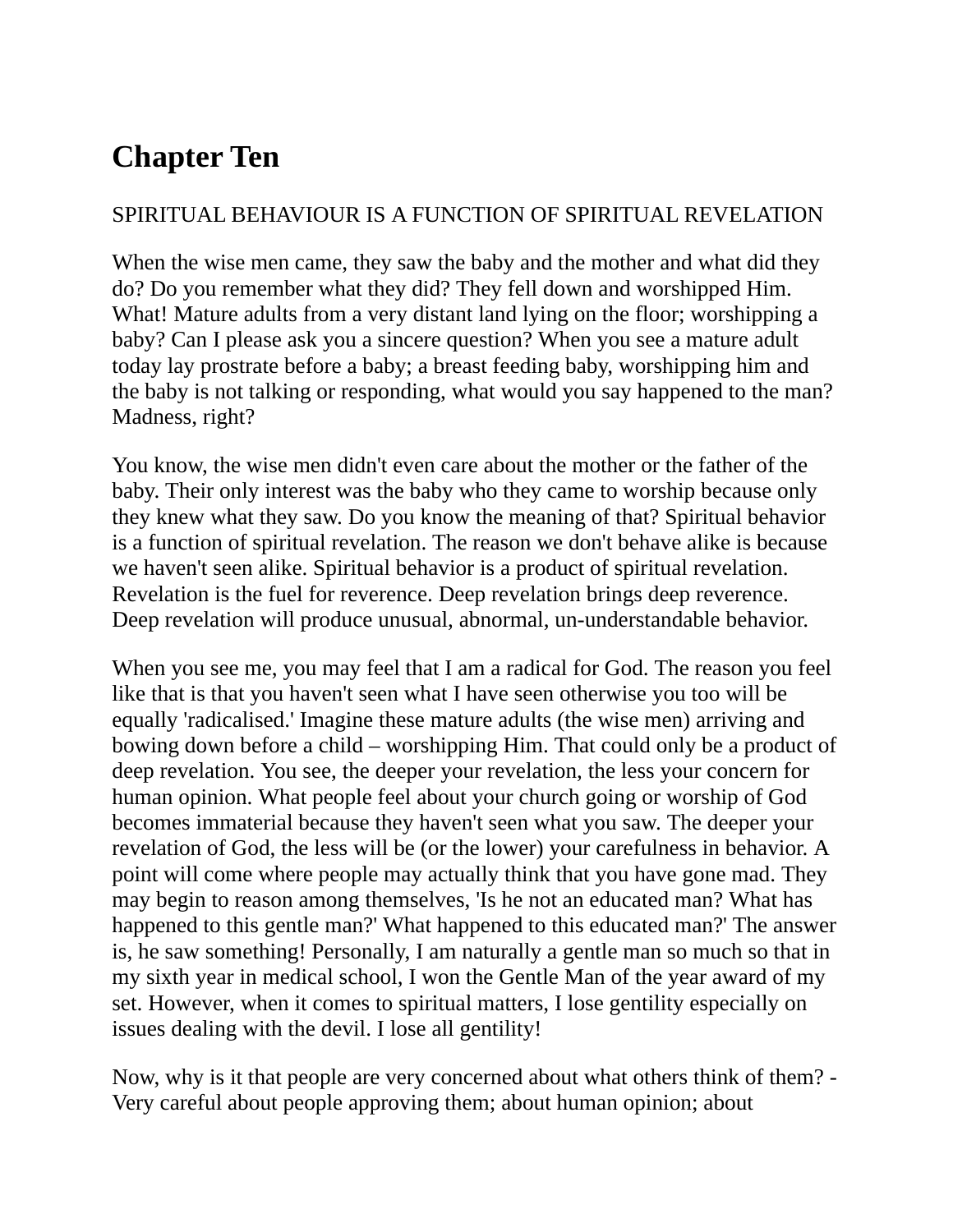# **Chapter Ten**

### SPIRITUAL BEHAVIOUR IS A FUNCTION OF SPIRITUAL REVELATION

When the wise men came, they saw the baby and the mother and what did they do? Do you remember what they did? They fell down and worshipped Him. What! Mature adults from a very distant land lying on the floor; worshipping a baby? Can I please ask you a sincere question? When you see a mature adult today lay prostrate before a baby; a breast feeding baby, worshipping him and the baby is not talking or responding, what would you say happened to the man? Madness, right?

You know, the wise men didn't even care about the mother or the father of the baby. Their only interest was the baby who they came to worship because only they knew what they saw. Do you know the meaning of that? Spiritual behavior is a function of spiritual revelation. The reason we don't behave alike is because we haven't seen alike. Spiritual behavior is a product of spiritual revelation. Revelation is the fuel for reverence. Deep revelation brings deep reverence. Deep revelation will produce unusual, abnormal, un-understandable behavior.

When you see me, you may feel that I am a radical for God. The reason you feel like that is that you haven't seen what I have seen otherwise you too will be equally 'radicalised.' Imagine these mature adults (the wise men) arriving and bowing down before a child – worshipping Him. That could only be a product of deep revelation. You see, the deeper your revelation, the less your concern for human opinion. What people feel about your church going or worship of God becomes immaterial because they haven't seen what you saw. The deeper your revelation of God, the less will be (or the lower) your carefulness in behavior. A point will come where people may actually think that you have gone mad. They may begin to reason among themselves, 'Is he not an educated man? What has happened to this gentle man?' What happened to this educated man?' The answer is, he saw something! Personally, I am naturally a gentle man so much so that in my sixth year in medical school, I won the Gentle Man of the year award of my set. However, when it comes to spiritual matters, I lose gentility especially on issues dealing with the devil. I lose all gentility!

Now, why is it that people are very concerned about what others think of them? - Very careful about people approving them; about human opinion; about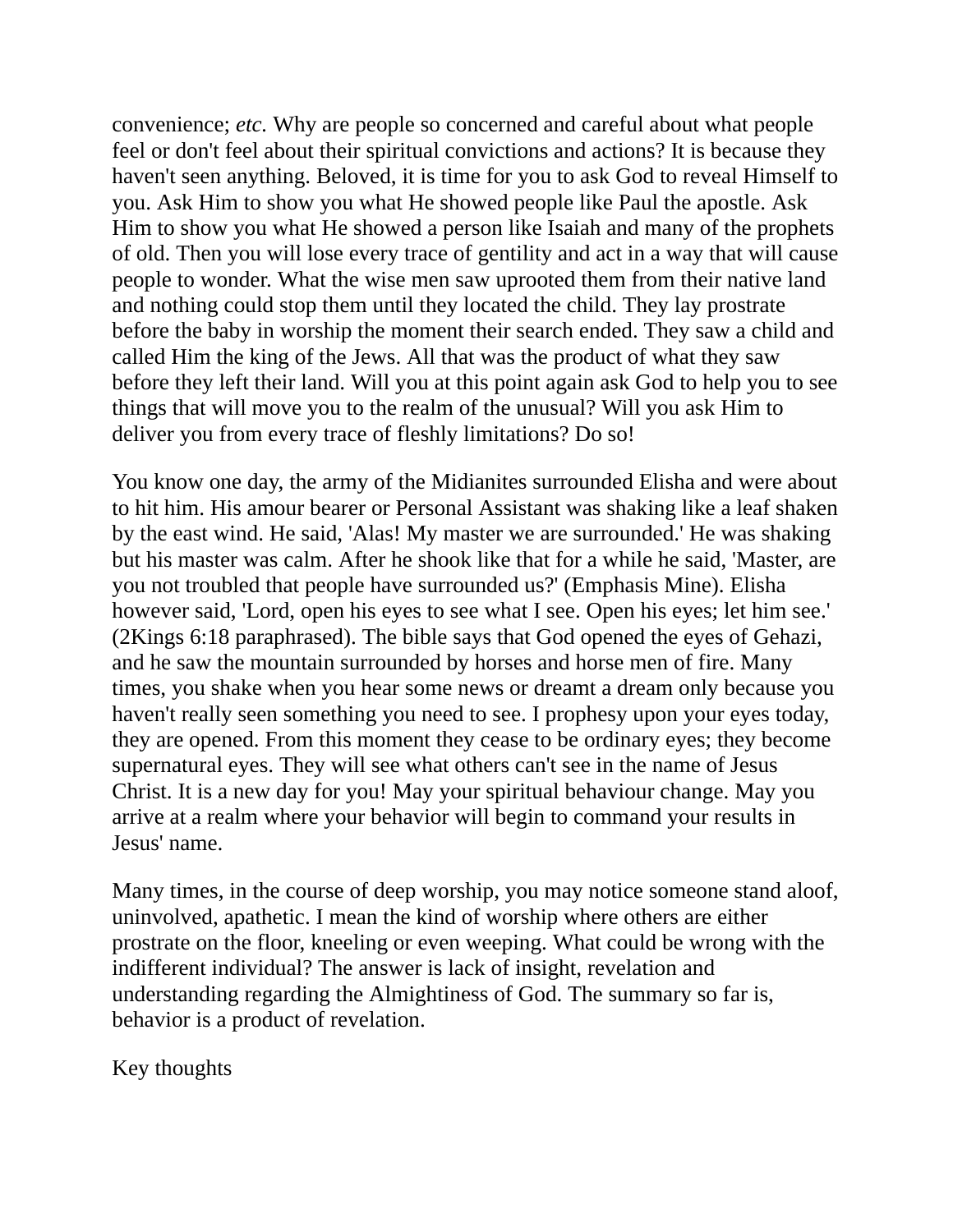convenience; *etc.* Why are people so concerned and careful about what people feel or don't feel about their spiritual convictions and actions? It is because they haven't seen anything. Beloved, it is time for you to ask God to reveal Himself to you. Ask Him to show you what He showed people like Paul the apostle. Ask Him to show you what He showed a person like Isaiah and many of the prophets of old. Then you will lose every trace of gentility and act in a way that will cause people to wonder. What the wise men saw uprooted them from their native land and nothing could stop them until they located the child. They lay prostrate before the baby in worship the moment their search ended. They saw a child and called Him the king of the Jews. All that was the product of what they saw before they left their land. Will you at this point again ask God to help you to see things that will move you to the realm of the unusual? Will you ask Him to deliver you from every trace of fleshly limitations? Do so!

You know one day, the army of the Midianites surrounded Elisha and were about to hit him. His amour bearer or Personal Assistant was shaking like a leaf shaken by the east wind. He said, 'Alas! My master we are surrounded.' He was shaking but his master was calm. After he shook like that for a while he said, 'Master, are you not troubled that people have surrounded us?' (Emphasis Mine). Elisha however said, 'Lord, open his eyes to see what I see. Open his eyes; let him see.' (2Kings 6:18 paraphrased). The bible says that God opened the eyes of Gehazi, and he saw the mountain surrounded by horses and horse men of fire. Many times, you shake when you hear some news or dreamt a dream only because you haven't really seen something you need to see. I prophesy upon your eyes today, they are opened. From this moment they cease to be ordinary eyes; they become supernatural eyes. They will see what others can't see in the name of Jesus Christ. It is a new day for you! May your spiritual behaviour change. May you arrive at a realm where your behavior will begin to command your results in Jesus' name.

Many times, in the course of deep worship, you may notice someone stand aloof, uninvolved, apathetic. I mean the kind of worship where others are either prostrate on the floor, kneeling or even weeping. What could be wrong with the indifferent individual? The answer is lack of insight, revelation and understanding regarding the Almightiness of God. The summary so far is, behavior is a product of revelation.

Key thoughts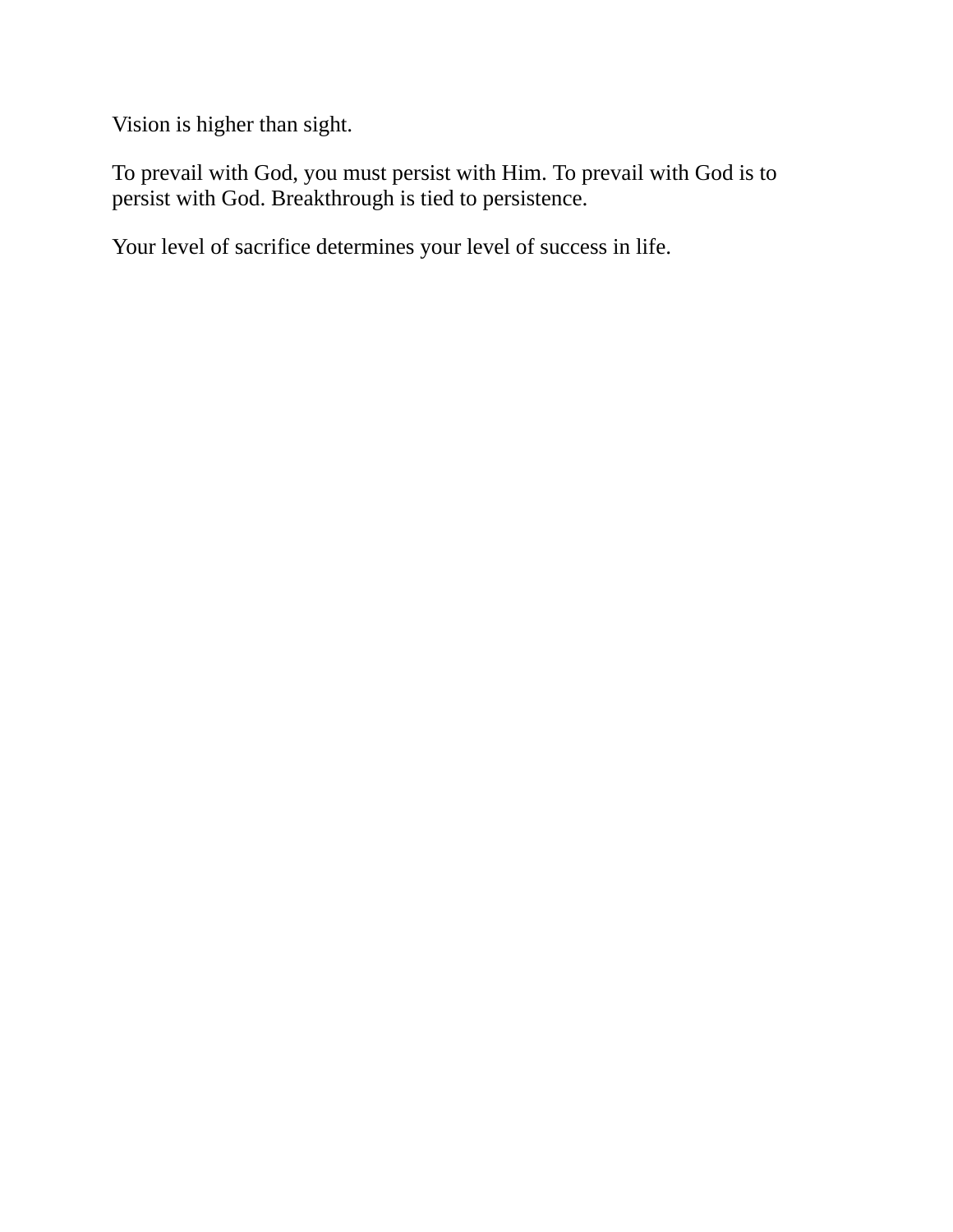Vision is higher than sight.

To prevail with God, you must persist with Him. To prevail with God is to persist with God. Breakthrough is tied to persistence.

Your level of sacrifice determines your level of success in life.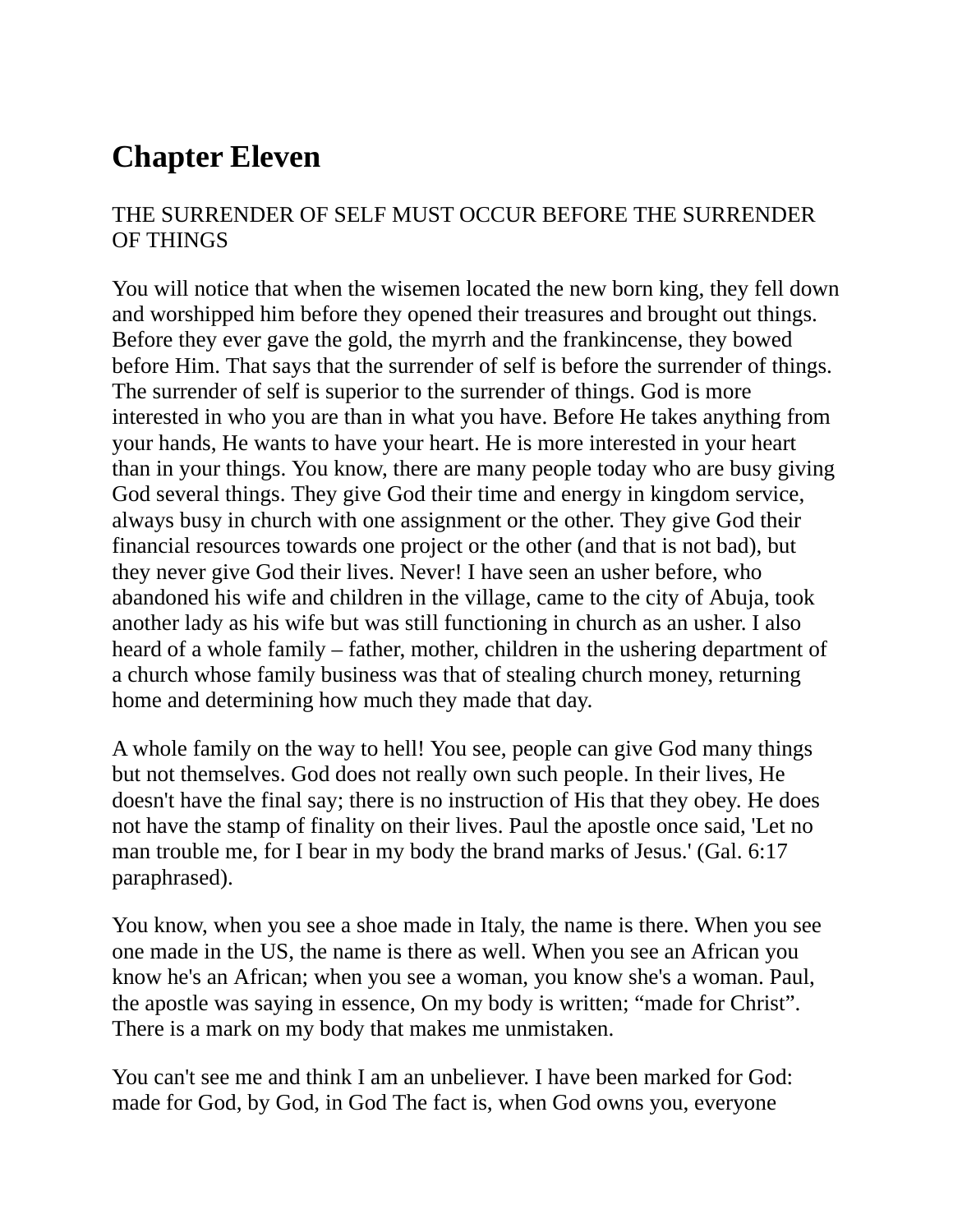# **Chapter Eleven**

### THE SURRENDER OF SELF MUST OCCUR BEFORE THE SURRENDER OF THINGS

You will notice that when the wisemen located the new born king, they fell down and worshipped him before they opened their treasures and brought out things. Before they ever gave the gold, the myrrh and the frankincense, they bowed before Him. That says that the surrender of self is before the surrender of things. The surrender of self is superior to the surrender of things. God is more interested in who you are than in what you have. Before He takes anything from your hands, He wants to have your heart. He is more interested in your heart than in your things. You know, there are many people today who are busy giving God several things. They give God their time and energy in kingdom service, always busy in church with one assignment or the other. They give God their financial resources towards one project or the other (and that is not bad), but they never give God their lives. Never! I have seen an usher before, who abandoned his wife and children in the village, came to the city of Abuja, took another lady as his wife but was still functioning in church as an usher. I also heard of a whole family – father, mother, children in the ushering department of a church whose family business was that of stealing church money, returning home and determining how much they made that day.

A whole family on the way to hell! You see, people can give God many things but not themselves. God does not really own such people. In their lives, He doesn't have the final say; there is no instruction of His that they obey. He does not have the stamp of finality on their lives. Paul the apostle once said, 'Let no man trouble me, for I bear in my body the brand marks of Jesus.' (Gal. 6:17 paraphrased).

You know, when you see a shoe made in Italy, the name is there. When you see one made in the US, the name is there as well. When you see an African you know he's an African; when you see a woman, you know she's a woman. Paul, the apostle was saying in essence, On my body is written; "made for Christ". There is a mark on my body that makes me unmistaken.

You can't see me and think I am an unbeliever. I have been marked for God: made for God, by God, in God The fact is, when God owns you, everyone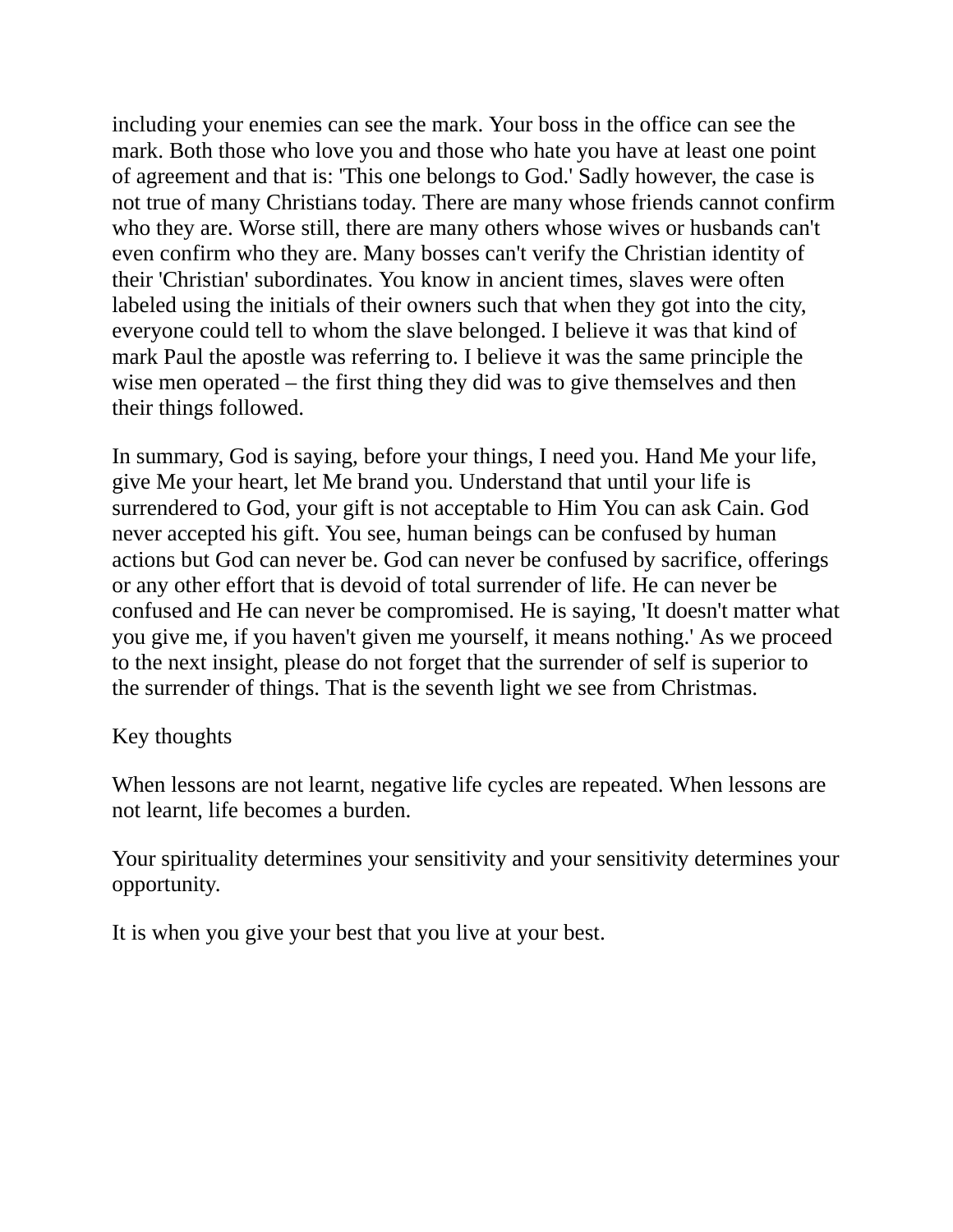including your enemies can see the mark. Your boss in the office can see the mark. Both those who love you and those who hate you have at least one point of agreement and that is: 'This one belongs to God.' Sadly however, the case is not true of many Christians today. There are many whose friends cannot confirm who they are. Worse still, there are many others whose wives or husbands can't even confirm who they are. Many bosses can't verify the Christian identity of their 'Christian' subordinates. You know in ancient times, slaves were often labeled using the initials of their owners such that when they got into the city, everyone could tell to whom the slave belonged. I believe it was that kind of mark Paul the apostle was referring to. I believe it was the same principle the wise men operated – the first thing they did was to give themselves and then their things followed.

In summary, God is saying, before your things, I need you. Hand Me your life, give Me your heart, let Me brand you. Understand that until your life is surrendered to God, your gift is not acceptable to Him You can ask Cain. God never accepted his gift. You see, human beings can be confused by human actions but God can never be. God can never be confused by sacrifice, offerings or any other effort that is devoid of total surrender of life. He can never be confused and He can never be compromised. He is saying, 'It doesn't matter what you give me, if you haven't given me yourself, it means nothing.' As we proceed to the next insight, please do not forget that the surrender of self is superior to the surrender of things. That is the seventh light we see from Christmas.

### Key thoughts

When lessons are not learnt, negative life cycles are repeated. When lessons are not learnt, life becomes a burden.

Your spirituality determines your sensitivity and your sensitivity determines your opportunity.

It is when you give your best that you live at your best.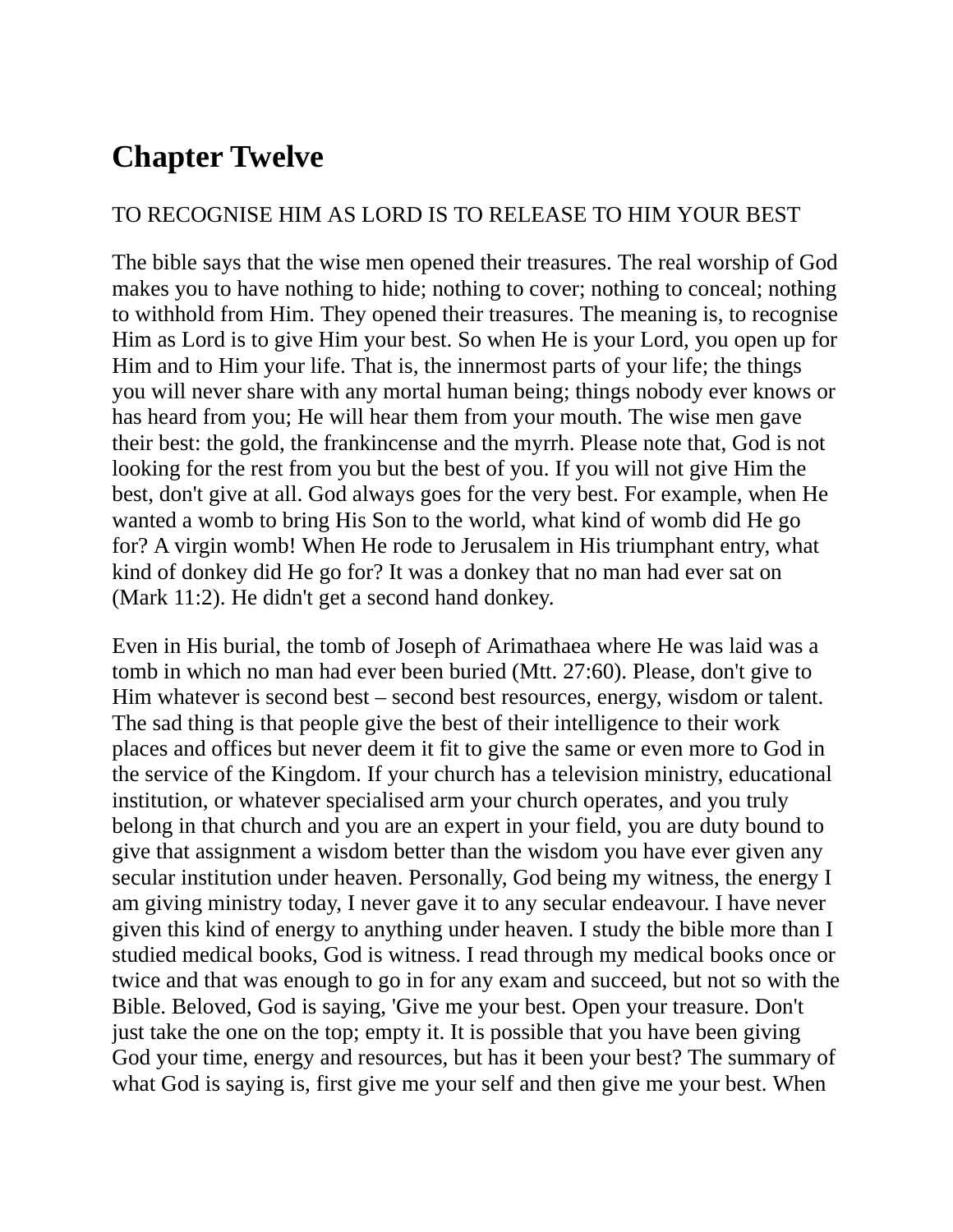# **Chapter Twelve**

### TO RECOGNISE HIM AS LORD IS TO RELEASE TO HIM YOUR BEST

The bible says that the wise men opened their treasures. The real worship of God makes you to have nothing to hide; nothing to cover; nothing to conceal; nothing to withhold from Him. They opened their treasures. The meaning is, to recognise Him as Lord is to give Him your best. So when He is your Lord, you open up for Him and to Him your life. That is, the innermost parts of your life; the things you will never share with any mortal human being; things nobody ever knows or has heard from you; He will hear them from your mouth. The wise men gave their best: the gold, the frankincense and the myrrh. Please note that, God is not looking for the rest from you but the best of you. If you will not give Him the best, don't give at all. God always goes for the very best. For example, when He wanted a womb to bring His Son to the world, what kind of womb did He go for? A virgin womb! When He rode to Jerusalem in His triumphant entry, what kind of donkey did He go for? It was a donkey that no man had ever sat on (Mark 11:2). He didn't get a second hand donkey.

Even in His burial, the tomb of Joseph of Arimathaea where He was laid was a tomb in which no man had ever been buried (Mtt. 27:60). Please, don't give to Him whatever is second best – second best resources, energy, wisdom or talent. The sad thing is that people give the best of their intelligence to their work places and offices but never deem it fit to give the same or even more to God in the service of the Kingdom. If your church has a television ministry, educational institution, or whatever specialised arm your church operates, and you truly belong in that church and you are an expert in your field, you are duty bound to give that assignment a wisdom better than the wisdom you have ever given any secular institution under heaven. Personally, God being my witness, the energy I am giving ministry today, I never gave it to any secular endeavour. I have never given this kind of energy to anything under heaven. I study the bible more than I studied medical books, God is witness. I read through my medical books once or twice and that was enough to go in for any exam and succeed, but not so with the Bible. Beloved, God is saying, 'Give me your best. Open your treasure. Don't just take the one on the top; empty it. It is possible that you have been giving God your time, energy and resources, but has it been your best? The summary of what God is saying is, first give me your self and then give me your best. When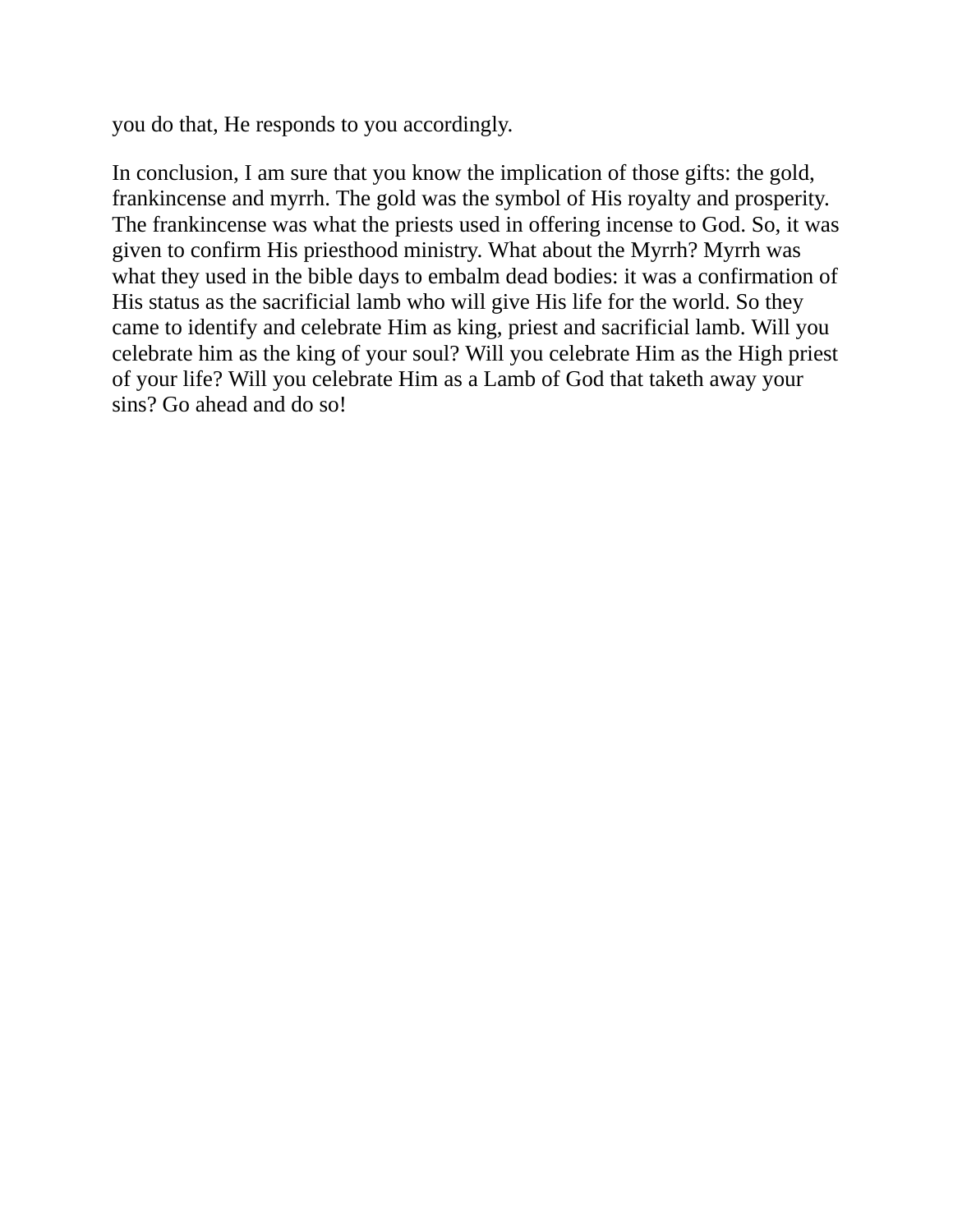you do that, He responds to you accordingly.

In conclusion, I am sure that you know the implication of those gifts: the gold, frankincense and myrrh. The gold was the symbol of His royalty and prosperity. The frankincense was what the priests used in offering incense to God. So, it was given to confirm His priesthood ministry. What about the Myrrh? Myrrh was what they used in the bible days to embalm dead bodies: it was a confirmation of His status as the sacrificial lamb who will give His life for the world. So they came to identify and celebrate Him as king, priest and sacrificial lamb. Will you celebrate him as the king of your soul? Will you celebrate Him as the High priest of your life? Will you celebrate Him as a Lamb of God that taketh away your sins? Go ahead and do so!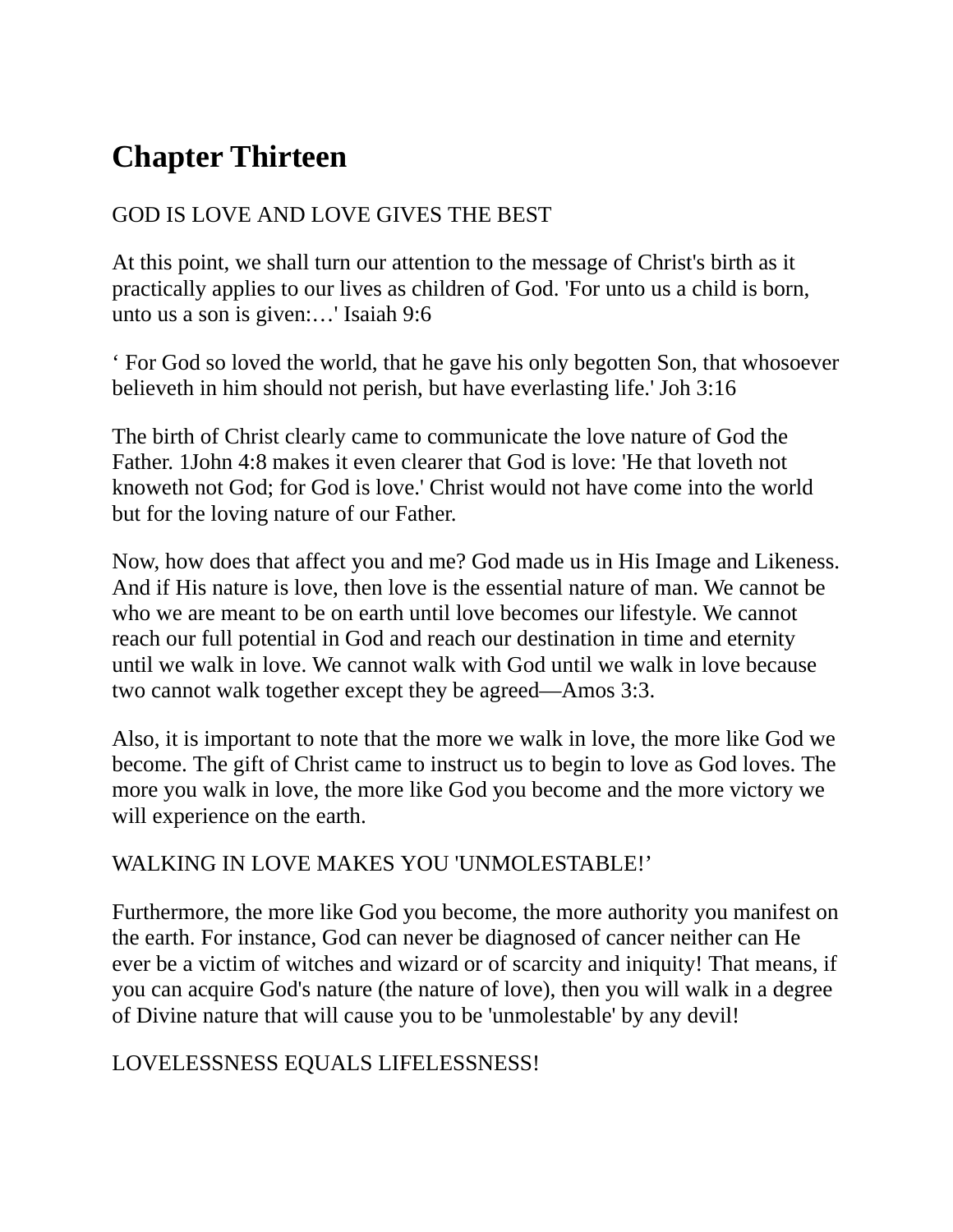# **Chapter Thirteen**

### GOD IS LOVE AND LOVE GIVES THE BEST

At this point, we shall turn our attention to the message of Christ's birth as it practically applies to our lives as children of God. 'For unto us a child is born, unto us a son is given:…' Isaiah 9:6

' For God so loved the world, that he gave his only begotten Son, that whosoever believeth in him should not perish, but have everlasting life.' Joh 3:16

The birth of Christ clearly came to communicate the love nature of God the Father. 1John 4:8 makes it even clearer that God is love: 'He that loveth not knoweth not God; for God is love.' Christ would not have come into the world but for the loving nature of our Father.

Now, how does that affect you and me? God made us in His Image and Likeness. And if His nature is love, then love is the essential nature of man. We cannot be who we are meant to be on earth until love becomes our lifestyle. We cannot reach our full potential in God and reach our destination in time and eternity until we walk in love. We cannot walk with God until we walk in love because two cannot walk together except they be agreed—Amos 3:3.

Also, it is important to note that the more we walk in love, the more like God we become. The gift of Christ came to instruct us to begin to love as God loves. The more you walk in love, the more like God you become and the more victory we will experience on the earth.

### WALKING IN LOVE MAKES YOU 'UNMOLESTABLE!'

Furthermore, the more like God you become, the more authority you manifest on the earth. For instance, God can never be diagnosed of cancer neither can He ever be a victim of witches and wizard or of scarcity and iniquity! That means, if you can acquire God's nature (the nature of love), then you will walk in a degree of Divine nature that will cause you to be 'unmolestable' by any devil!

### LOVELESSNESS EQUALS LIFELESSNESS!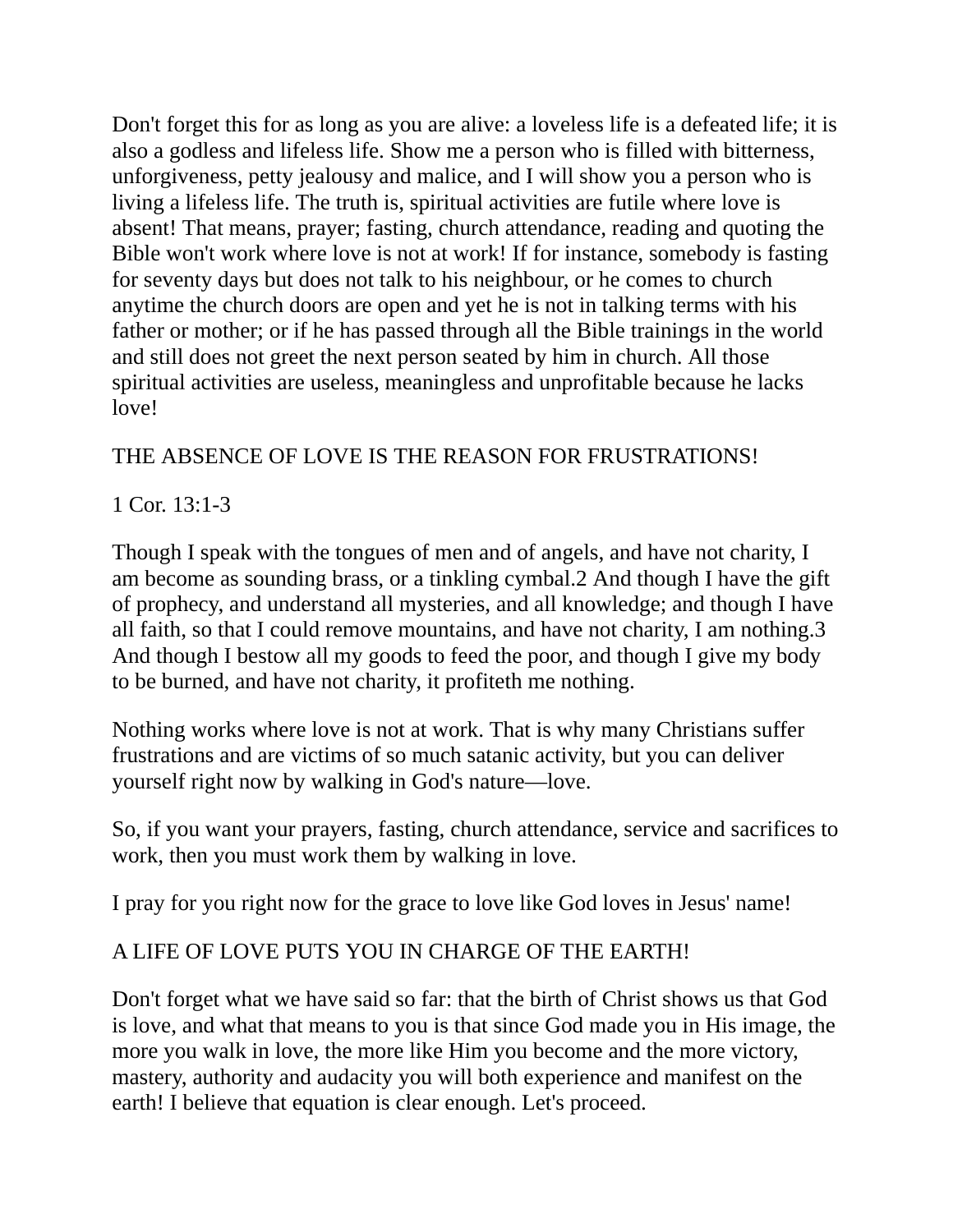Don't forget this for as long as you are alive: a loveless life is a defeated life; it is also a godless and lifeless life. Show me a person who is filled with bitterness, unforgiveness, petty jealousy and malice, and I will show you a person who is living a lifeless life. The truth is, spiritual activities are futile where love is absent! That means, prayer; fasting, church attendance, reading and quoting the Bible won't work where love is not at work! If for instance, somebody is fasting for seventy days but does not talk to his neighbour, or he comes to church anytime the church doors are open and yet he is not in talking terms with his father or mother; or if he has passed through all the Bible trainings in the world and still does not greet the next person seated by him in church. All those spiritual activities are useless, meaningless and unprofitable because he lacks love!

### THE ABSENCE OF LOVE IS THE REASON FOR FRUSTRATIONS!

1 Cor. 13:1-3

Though I speak with the tongues of men and of angels, and have not charity, I am become as sounding brass, or a tinkling cymbal.2 And though I have the gift of prophecy, and understand all mysteries, and all knowledge; and though I have all faith, so that I could remove mountains, and have not charity, I am nothing.3 And though I bestow all my goods to feed the poor, and though I give my body to be burned, and have not charity, it profiteth me nothing.

Nothing works where love is not at work. That is why many Christians suffer frustrations and are victims of so much satanic activity, but you can deliver yourself right now by walking in God's nature—love.

So, if you want your prayers, fasting, church attendance, service and sacrifices to work, then you must work them by walking in love.

I pray for you right now for the grace to love like God loves in Jesus' name!

### A LIFE OF LOVE PUTS YOU IN CHARGE OF THE EARTH!

Don't forget what we have said so far: that the birth of Christ shows us that God is love, and what that means to you is that since God made you in His image, the more you walk in love, the more like Him you become and the more victory, mastery, authority and audacity you will both experience and manifest on the earth! I believe that equation is clear enough. Let's proceed.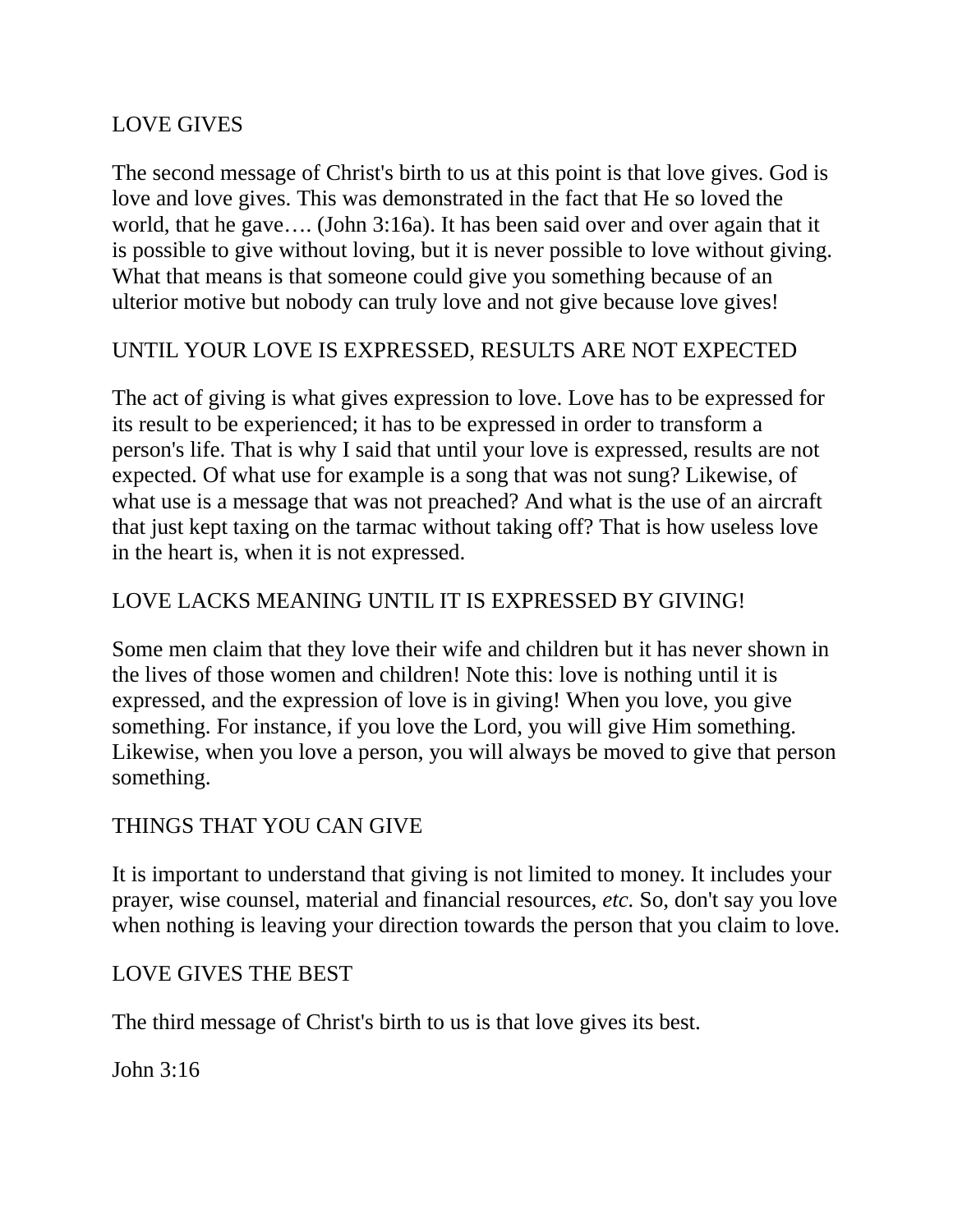### LOVE GIVES

The second message of Christ's birth to us at this point is that love gives. God is love and love gives. This was demonstrated in the fact that He so loved the world, that he gave…. (John 3:16a). It has been said over and over again that it is possible to give without loving, but it is never possible to love without giving. What that means is that someone could give you something because of an ulterior motive but nobody can truly love and not give because love gives!

### UNTIL YOUR LOVE IS EXPRESSED, RESULTS ARE NOT EXPECTED

The act of giving is what gives expression to love. Love has to be expressed for its result to be experienced; it has to be expressed in order to transform a person's life. That is why I said that until your love is expressed, results are not expected. Of what use for example is a song that was not sung? Likewise, of what use is a message that was not preached? And what is the use of an aircraft that just kept taxing on the tarmac without taking off? That is how useless love in the heart is, when it is not expressed.

### LOVE LACKS MEANING UNTIL IT IS EXPRESSED BY GIVING!

Some men claim that they love their wife and children but it has never shown in the lives of those women and children! Note this: love is nothing until it is expressed, and the expression of love is in giving! When you love, you give something. For instance, if you love the Lord, you will give Him something. Likewise, when you love a person, you will always be moved to give that person something.

### THINGS THAT YOU CAN GIVE

It is important to understand that giving is not limited to money. It includes your prayer, wise counsel, material and financial resources, *etc.* So, don't say you love when nothing is leaving your direction towards the person that you claim to love.

### LOVE GIVES THE BEST

The third message of Christ's birth to us is that love gives its best.

John 3:16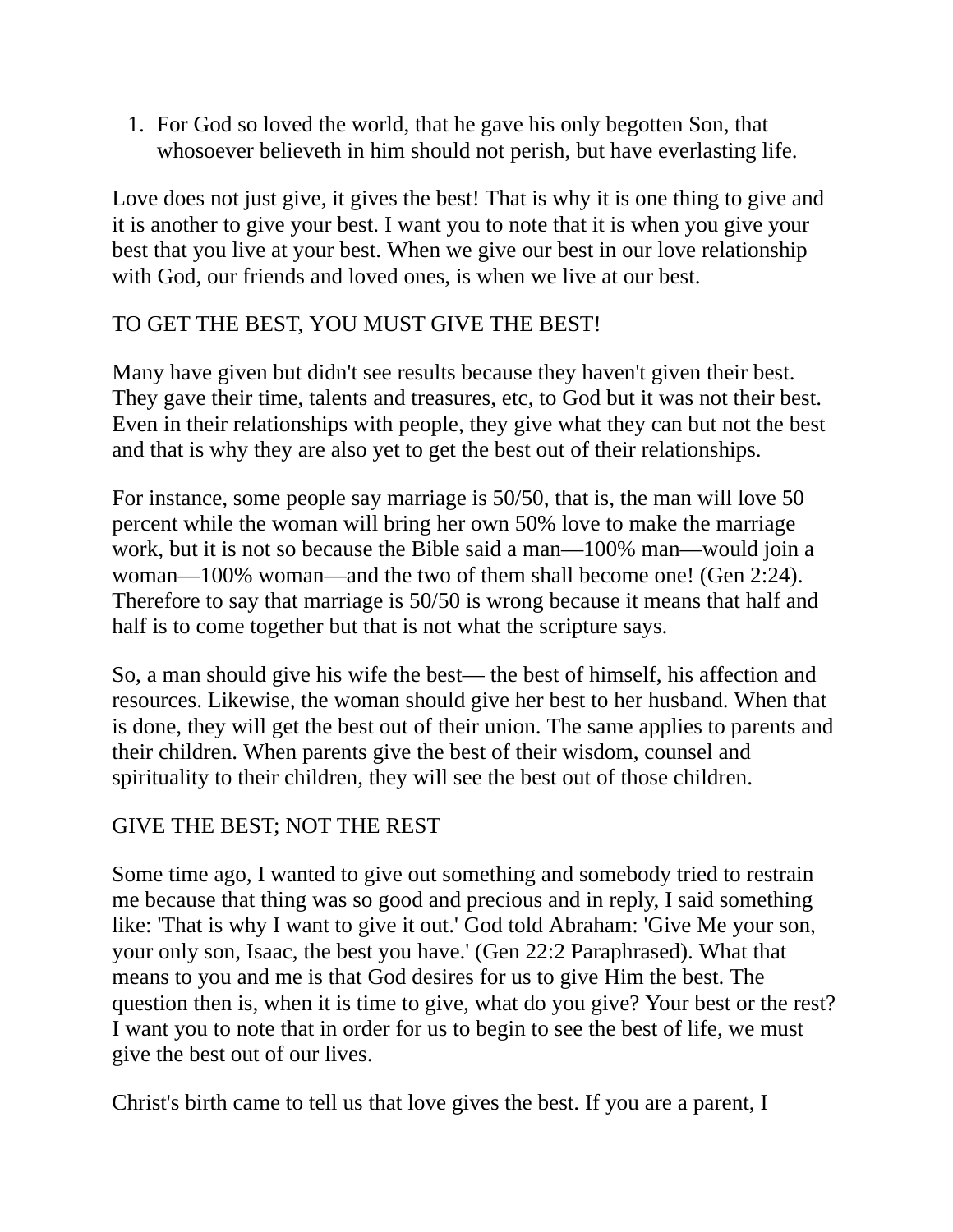1. For God so loved the world, that he gave his only begotten Son, that whosoever believeth in him should not perish, but have everlasting life.

Love does not just give, it gives the best! That is why it is one thing to give and it is another to give your best. I want you to note that it is when you give your best that you live at your best. When we give our best in our love relationship with God, our friends and loved ones, is when we live at our best.

### TO GET THE BEST, YOU MUST GIVE THE BEST!

Many have given but didn't see results because they haven't given their best. They gave their time, talents and treasures, etc, to God but it was not their best. Even in their relationships with people, they give what they can but not the best and that is why they are also yet to get the best out of their relationships.

For instance, some people say marriage is 50/50, that is, the man will love 50 percent while the woman will bring her own 50% love to make the marriage work, but it is not so because the Bible said a man—100% man—would join a woman—100% woman—and the two of them shall become one! (Gen 2:24). Therefore to say that marriage is 50/50 is wrong because it means that half and half is to come together but that is not what the scripture says.

So, a man should give his wife the best— the best of himself, his affection and resources. Likewise, the woman should give her best to her husband. When that is done, they will get the best out of their union. The same applies to parents and their children. When parents give the best of their wisdom, counsel and spirituality to their children, they will see the best out of those children.

### GIVE THE BEST; NOT THE REST

Some time ago, I wanted to give out something and somebody tried to restrain me because that thing was so good and precious and in reply, I said something like: 'That is why I want to give it out.' God told Abraham: 'Give Me your son, your only son, Isaac, the best you have.' (Gen 22:2 Paraphrased). What that means to you and me is that God desires for us to give Him the best. The question then is, when it is time to give, what do you give? Your best or the rest? I want you to note that in order for us to begin to see the best of life, we must give the best out of our lives.

Christ's birth came to tell us that love gives the best. If you are a parent, I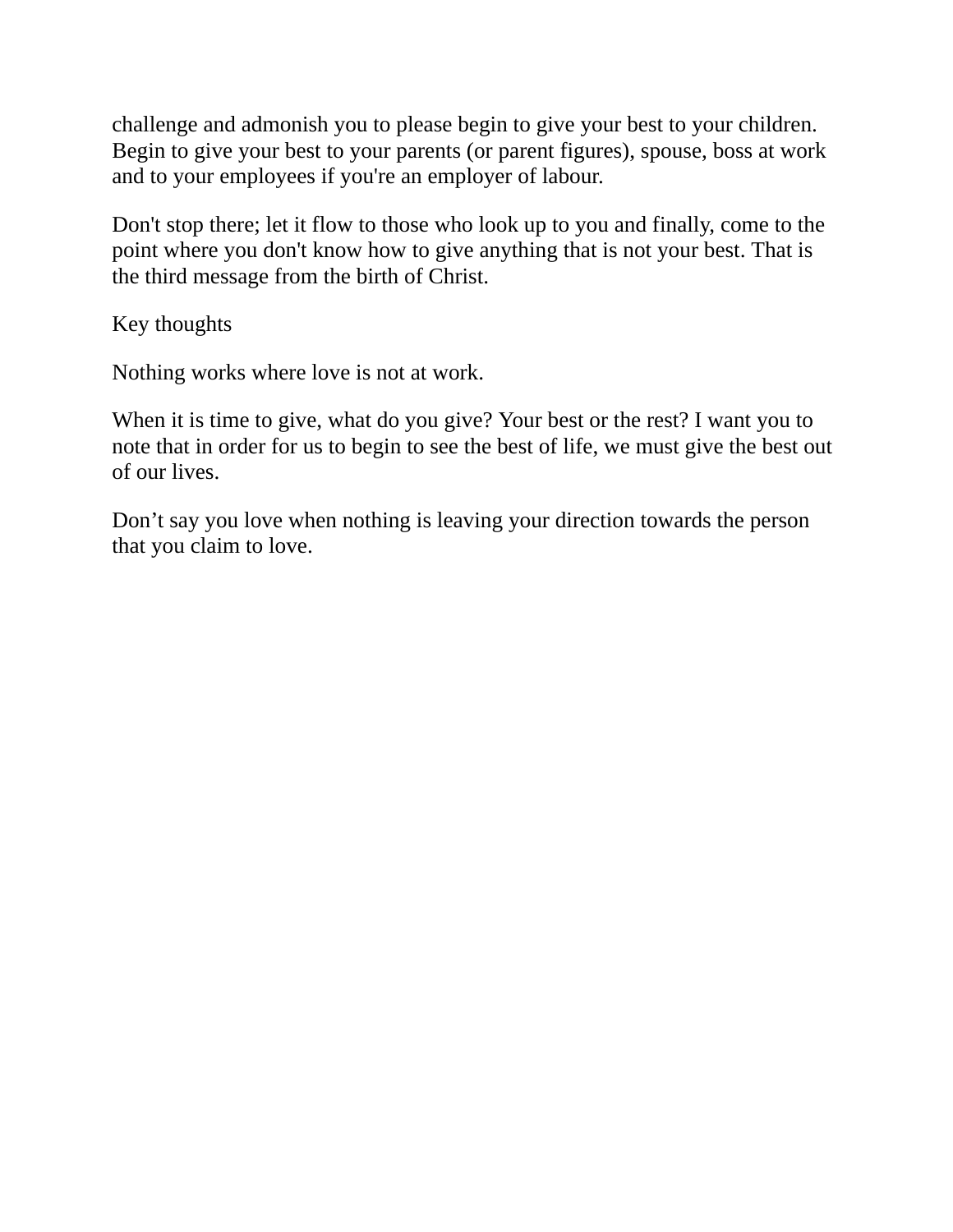challenge and admonish you to please begin to give your best to your children. Begin to give your best to your parents (or parent figures), spouse, boss at work and to your employees if you're an employer of labour.

Don't stop there; let it flow to those who look up to you and finally, come to the point where you don't know how to give anything that is not your best. That is the third message from the birth of Christ.

Key thoughts

Nothing works where love is not at work.

When it is time to give, what do you give? Your best or the rest? I want you to note that in order for us to begin to see the best of life, we must give the best out of our lives.

Don't say you love when nothing is leaving your direction towards the person that you claim to love.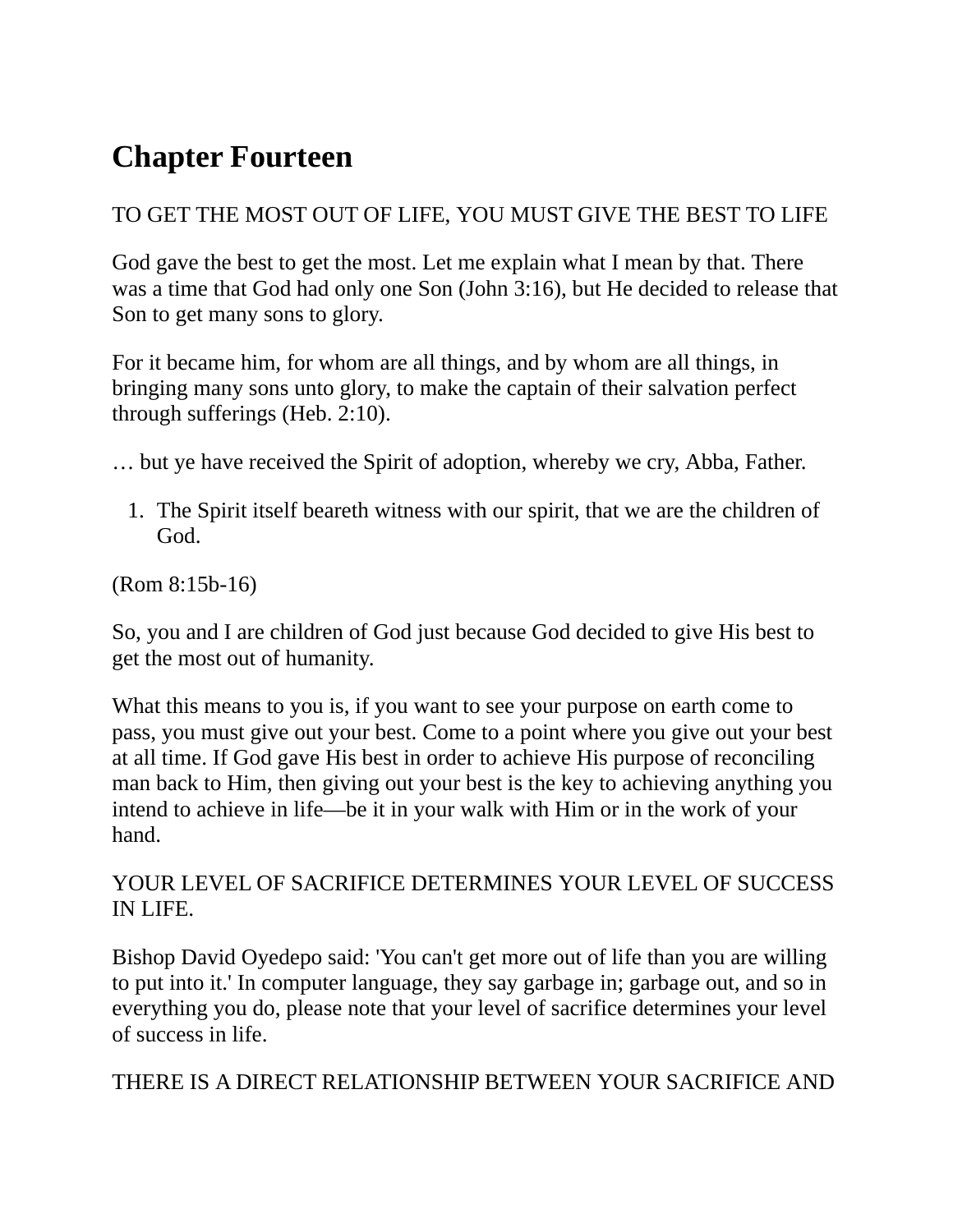# **Chapter Fourteen**

### TO GET THE MOST OUT OF LIFE, YOU MUST GIVE THE BEST TO LIFE

God gave the best to get the most. Let me explain what I mean by that. There was a time that God had only one Son (John 3:16), but He decided to release that Son to get many sons to glory.

For it became him, for whom are all things, and by whom are all things, in bringing many sons unto glory, to make the captain of their salvation perfect through sufferings (Heb. 2:10).

- … but ye have received the Spirit of adoption, whereby we cry, Abba, Father.
	- 1. The Spirit itself beareth witness with our spirit, that we are the children of God.

(Rom 8:15b-16)

So, you and I are children of God just because God decided to give His best to get the most out of humanity.

What this means to you is, if you want to see your purpose on earth come to pass, you must give out your best. Come to a point where you give out your best at all time. If God gave His best in order to achieve His purpose of reconciling man back to Him, then giving out your best is the key to achieving anything you intend to achieve in life—be it in your walk with Him or in the work of your hand.

### YOUR LEVEL OF SACRIFICE DETERMINES YOUR LEVEL OF SUCCESS IN LIFE.

Bishop David Oyedepo said: 'You can't get more out of life than you are willing to put into it.' In computer language, they say garbage in; garbage out, and so in everything you do, please note that your level of sacrifice determines your level of success in life.

THERE IS A DIRECT RELATIONSHIP BETWEEN YOUR SACRIFICE AND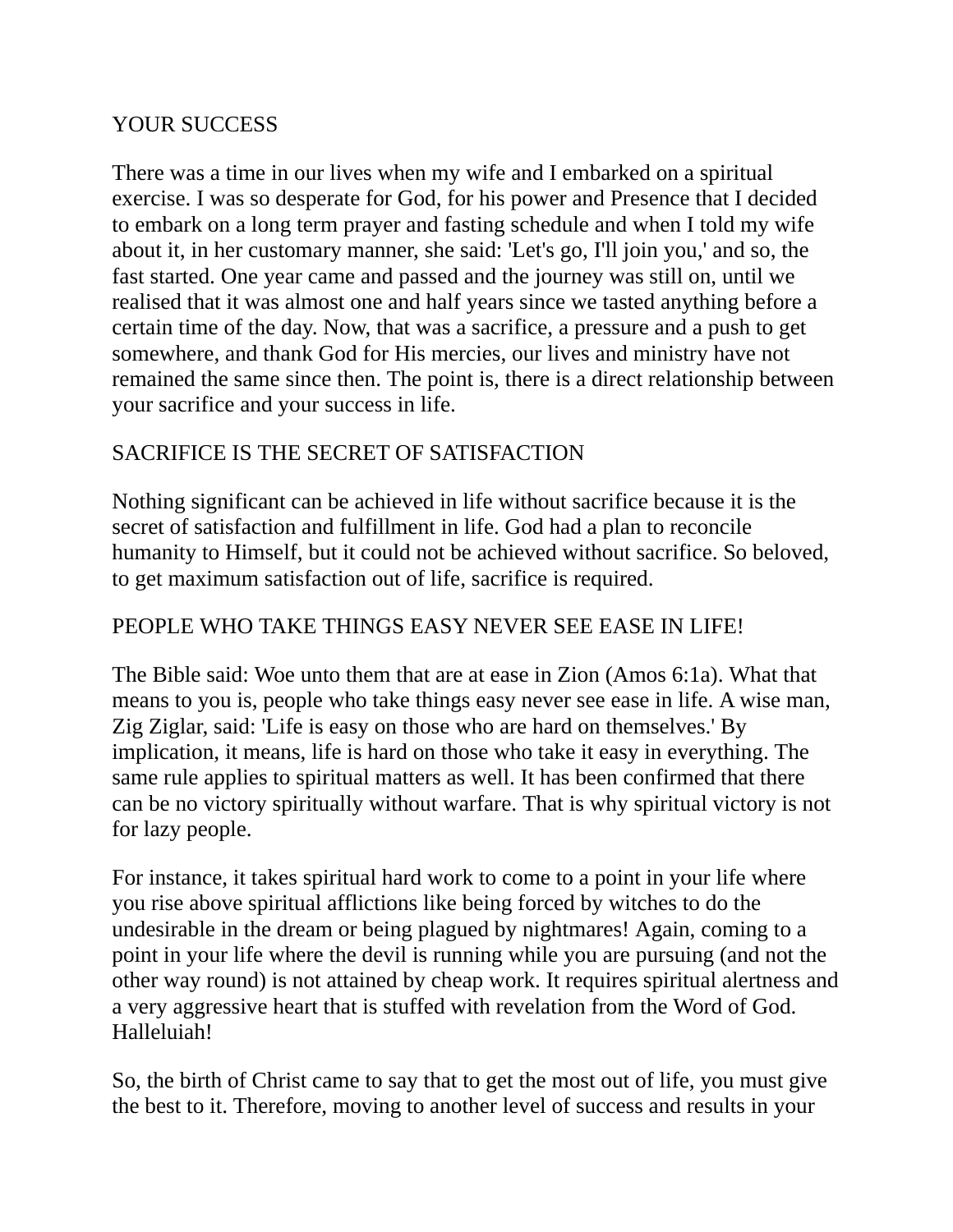### YOUR SUCCESS

There was a time in our lives when my wife and I embarked on a spiritual exercise. I was so desperate for God, for his power and Presence that I decided to embark on a long term prayer and fasting schedule and when I told my wife about it, in her customary manner, she said: 'Let's go, I'll join you,' and so, the fast started. One year came and passed and the journey was still on, until we realised that it was almost one and half years since we tasted anything before a certain time of the day. Now, that was a sacrifice, a pressure and a push to get somewhere, and thank God for His mercies, our lives and ministry have not remained the same since then. The point is, there is a direct relationship between your sacrifice and your success in life.

### SACRIFICE IS THE SECRET OF SATISFACTION

Nothing significant can be achieved in life without sacrifice because it is the secret of satisfaction and fulfillment in life. God had a plan to reconcile humanity to Himself, but it could not be achieved without sacrifice. So beloved, to get maximum satisfaction out of life, sacrifice is required.

### PEOPLE WHO TAKE THINGS EASY NEVER SEE EASE IN LIFE!

The Bible said: Woe unto them that are at ease in Zion (Amos 6:1a). What that means to you is, people who take things easy never see ease in life. A wise man, Zig Ziglar, said: 'Life is easy on those who are hard on themselves.' By implication, it means, life is hard on those who take it easy in everything. The same rule applies to spiritual matters as well. It has been confirmed that there can be no victory spiritually without warfare. That is why spiritual victory is not for lazy people.

For instance, it takes spiritual hard work to come to a point in your life where you rise above spiritual afflictions like being forced by witches to do the undesirable in the dream or being plagued by nightmares! Again, coming to a point in your life where the devil is running while you are pursuing (and not the other way round) is not attained by cheap work. It requires spiritual alertness and a very aggressive heart that is stuffed with revelation from the Word of God. Halleluiah!

So, the birth of Christ came to say that to get the most out of life, you must give the best to it. Therefore, moving to another level of success and results in your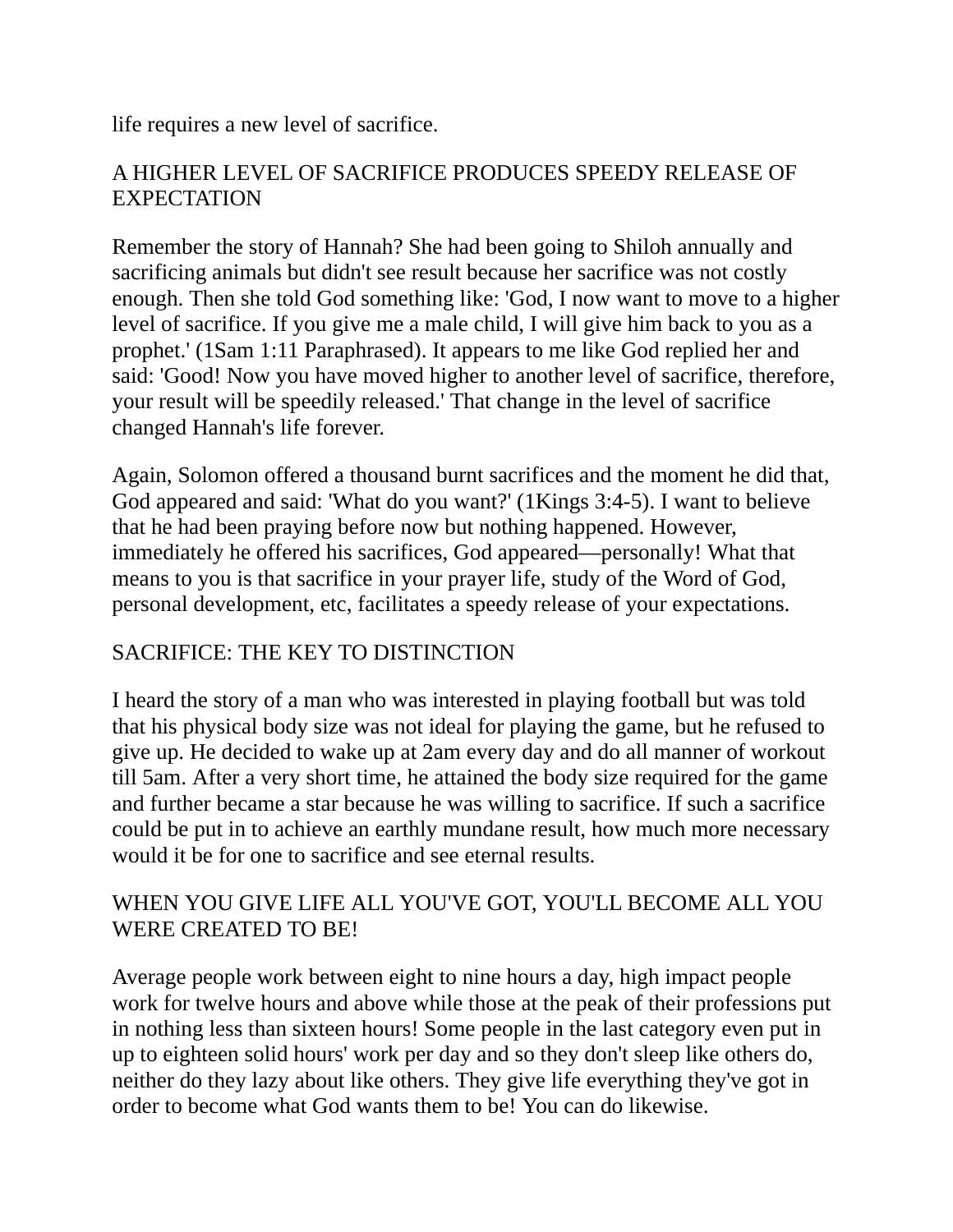life requires a new level of sacrifice.

### A HIGHER LEVEL OF SACRIFICE PRODUCES SPEEDY RELEASE OF EXPECTATION

Remember the story of Hannah? She had been going to Shiloh annually and sacrificing animals but didn't see result because her sacrifice was not costly enough. Then she told God something like: 'God, I now want to move to a higher level of sacrifice. If you give me a male child, I will give him back to you as a prophet.' (1Sam 1:11 Paraphrased). It appears to me like God replied her and said: 'Good! Now you have moved higher to another level of sacrifice, therefore, your result will be speedily released.' That change in the level of sacrifice changed Hannah's life forever.

Again, Solomon offered a thousand burnt sacrifices and the moment he did that, God appeared and said: 'What do you want?' (1Kings 3:4-5). I want to believe that he had been praying before now but nothing happened. However, immediately he offered his sacrifices, God appeared—personally! What that means to you is that sacrifice in your prayer life, study of the Word of God, personal development, etc, facilitates a speedy release of your expectations.

### SACRIFICE: THE KEY TO DISTINCTION

I heard the story of a man who was interested in playing football but was told that his physical body size was not ideal for playing the game, but he refused to give up. He decided to wake up at 2am every day and do all manner of workout till 5am. After a very short time, he attained the body size required for the game and further became a star because he was willing to sacrifice. If such a sacrifice could be put in to achieve an earthly mundane result, how much more necessary would it be for one to sacrifice and see eternal results.

### WHEN YOU GIVE LIFE ALL YOU'VE GOT, YOU'LL BECOME ALL YOU WERE CREATED TO BE!

Average people work between eight to nine hours a day, high impact people work for twelve hours and above while those at the peak of their professions put in nothing less than sixteen hours! Some people in the last category even put in up to eighteen solid hours' work per day and so they don't sleep like others do, neither do they lazy about like others. They give life everything they've got in order to become what God wants them to be! You can do likewise.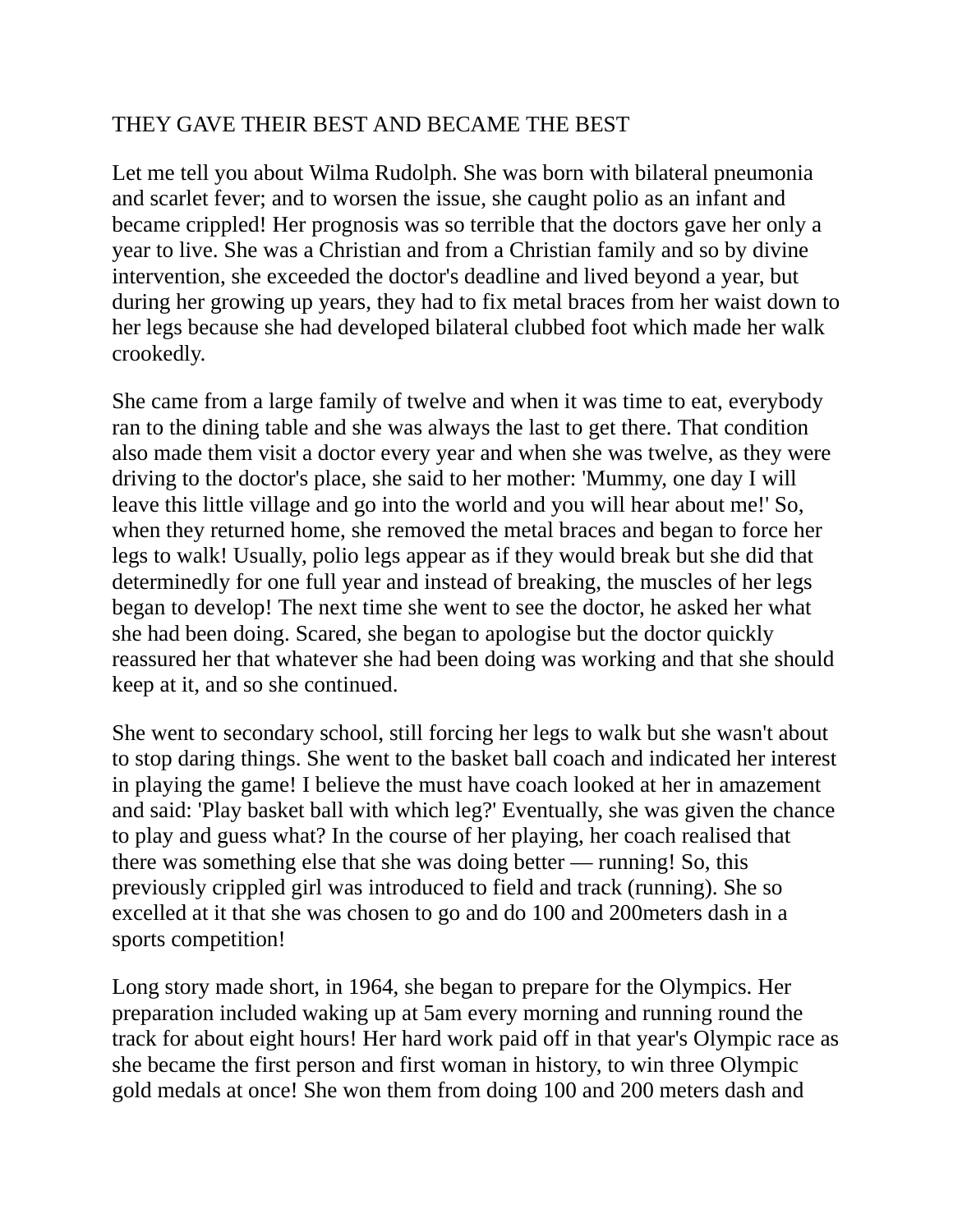### THEY GAVE THEIR BEST AND BECAME THE BEST

Let me tell you about Wilma Rudolph. She was born with bilateral pneumonia and scarlet fever; and to worsen the issue, she caught polio as an infant and became crippled! Her prognosis was so terrible that the doctors gave her only a year to live. She was a Christian and from a Christian family and so by divine intervention, she exceeded the doctor's deadline and lived beyond a year, but during her growing up years, they had to fix metal braces from her waist down to her legs because she had developed bilateral clubbed foot which made her walk crookedly.

She came from a large family of twelve and when it was time to eat, everybody ran to the dining table and she was always the last to get there. That condition also made them visit a doctor every year and when she was twelve, as they were driving to the doctor's place, she said to her mother: 'Mummy, one day I will leave this little village and go into the world and you will hear about me!' So, when they returned home, she removed the metal braces and began to force her legs to walk! Usually, polio legs appear as if they would break but she did that determinedly for one full year and instead of breaking, the muscles of her legs began to develop! The next time she went to see the doctor, he asked her what she had been doing. Scared, she began to apologise but the doctor quickly reassured her that whatever she had been doing was working and that she should keep at it, and so she continued.

She went to secondary school, still forcing her legs to walk but she wasn't about to stop daring things. She went to the basket ball coach and indicated her interest in playing the game! I believe the must have coach looked at her in amazement and said: 'Play basket ball with which leg?' Eventually, she was given the chance to play and guess what? In the course of her playing, her coach realised that there was something else that she was doing better — running! So, this previously crippled girl was introduced to field and track (running). She so excelled at it that she was chosen to go and do 100 and 200meters dash in a sports competition!

Long story made short, in 1964, she began to prepare for the Olympics. Her preparation included waking up at 5am every morning and running round the track for about eight hours! Her hard work paid off in that year's Olympic race as she became the first person and first woman in history, to win three Olympic gold medals at once! She won them from doing 100 and 200 meters dash and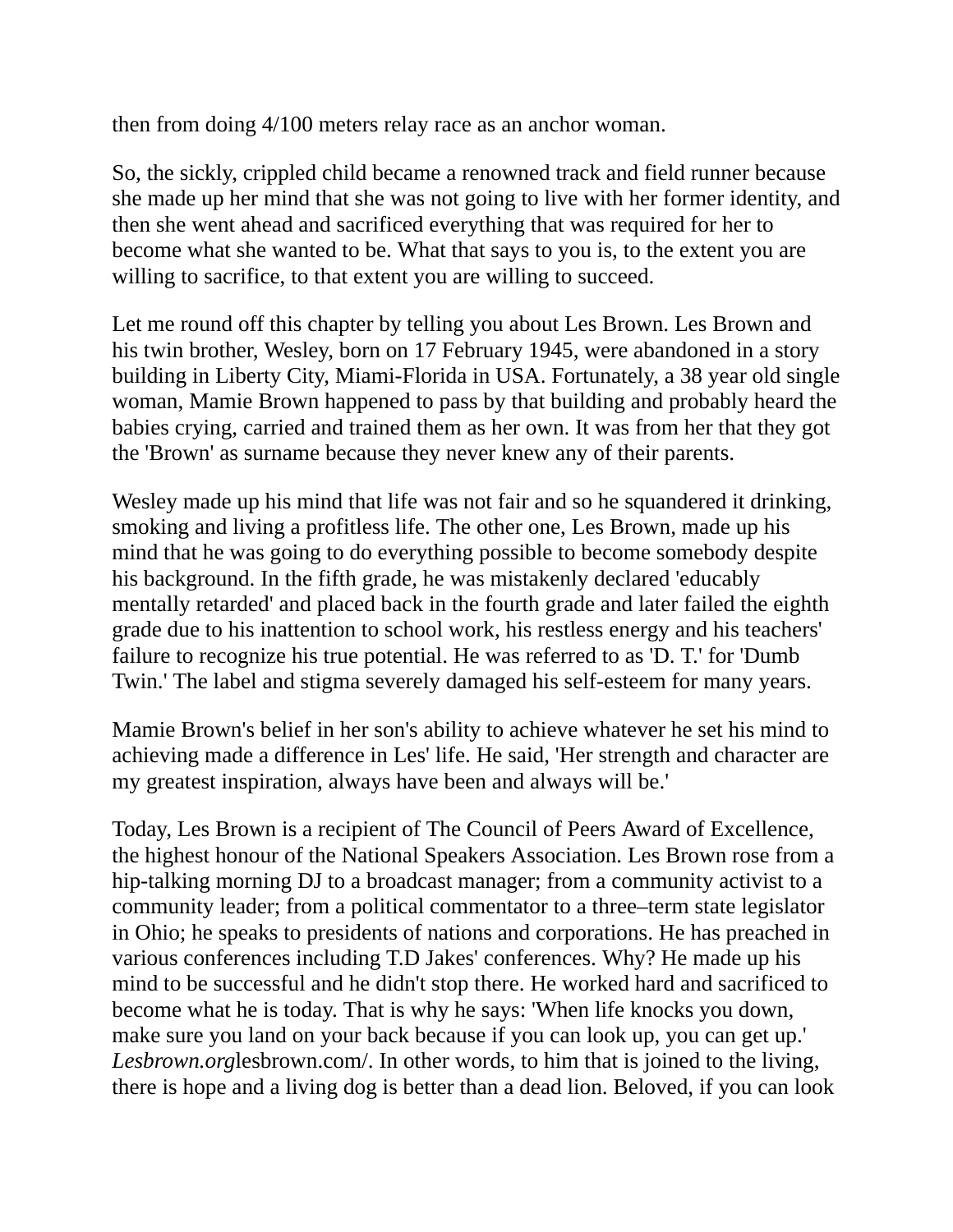then from doing 4/100 meters relay race as an anchor woman.

So, the sickly, crippled child became a renowned track and field runner because she made up her mind that she was not going to live with her former identity, and then she went ahead and sacrificed everything that was required for her to become what she wanted to be. What that says to you is, to the extent you are willing to sacrifice, to that extent you are willing to succeed.

Let me round off this chapter by telling you about Les Brown. Les Brown and his twin brother, Wesley, born on 17 February 1945, were abandoned in a story building in Liberty City, Miami-Florida in USA. Fortunately, a 38 year old single woman, Mamie Brown happened to pass by that building and probably heard the babies crying, carried and trained them as her own. It was from her that they got the 'Brown' as surname because they never knew any of their parents.

Wesley made up his mind that life was not fair and so he squandered it drinking, smoking and living a profitless life. The other one, Les Brown, made up his mind that he was going to do everything possible to become somebody despite his background. In the fifth grade, he was mistakenly declared 'educably mentally retarded' and placed back in the fourth grade and later failed the eighth grade due to his inattention to school work, his restless energy and his teachers' failure to recognize his true potential. He was referred to as 'D. T.' for 'Dumb Twin.' The label and stigma severely damaged his self-esteem for many years.

Mamie Brown's belief in her son's ability to achieve whatever he set his mind to achieving made a difference in Les' life. He said, 'Her strength and character are my greatest inspiration, always have been and always will be.'

Today, Les Brown is a recipient of The Council of Peers Award of Excellence, the highest honour of the National Speakers Association. Les Brown rose from a hip-talking morning DJ to a broadcast manager; from a community activist to a community leader; from a political commentator to a three–term state legislator in Ohio; he speaks to presidents of nations and corporations. He has preached in various conferences including T.D Jakes' conferences. Why? He made up his mind to be successful and he didn't stop there. He worked hard and sacrificed to become what he is today. That is why he says: 'When life knocks you down, make sure you land on your back because if you can look up, you can get up.' *Lesbrown.org*lesbrown.com/. In other words, to him that is joined to the living, there is hope and a living dog is better than a dead lion. Beloved, if you can look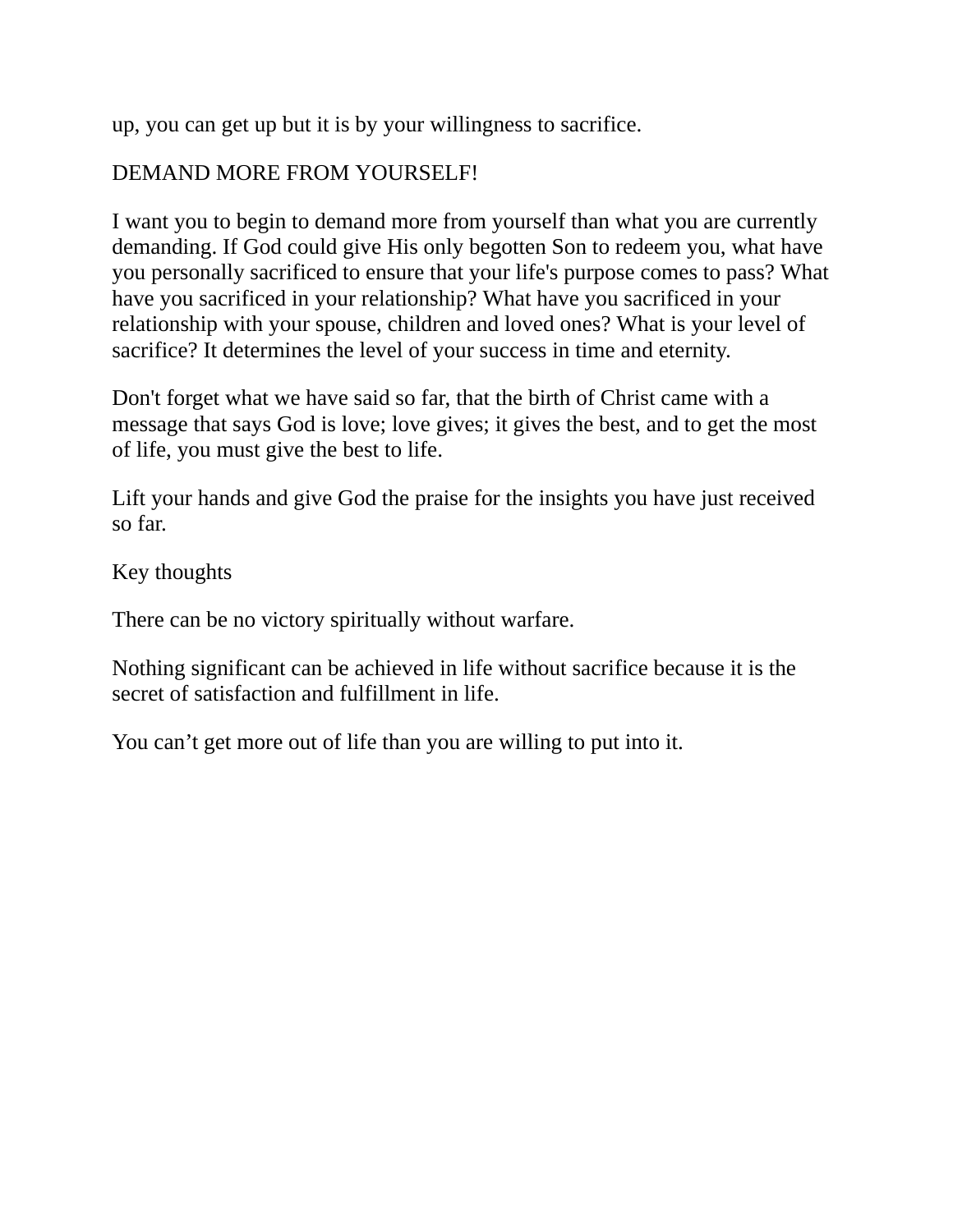up, you can get up but it is by your willingness to sacrifice.

### DEMAND MORE FROM YOURSELF!

I want you to begin to demand more from yourself than what you are currently demanding. If God could give His only begotten Son to redeem you, what have you personally sacrificed to ensure that your life's purpose comes to pass? What have you sacrificed in your relationship? What have you sacrificed in your relationship with your spouse, children and loved ones? What is your level of sacrifice? It determines the level of your success in time and eternity.

Don't forget what we have said so far, that the birth of Christ came with a message that says God is love; love gives; it gives the best, and to get the most of life, you must give the best to life.

Lift your hands and give God the praise for the insights you have just received so far.

Key thoughts

There can be no victory spiritually without warfare.

Nothing significant can be achieved in life without sacrifice because it is the secret of satisfaction and fulfillment in life.

You can't get more out of life than you are willing to put into it.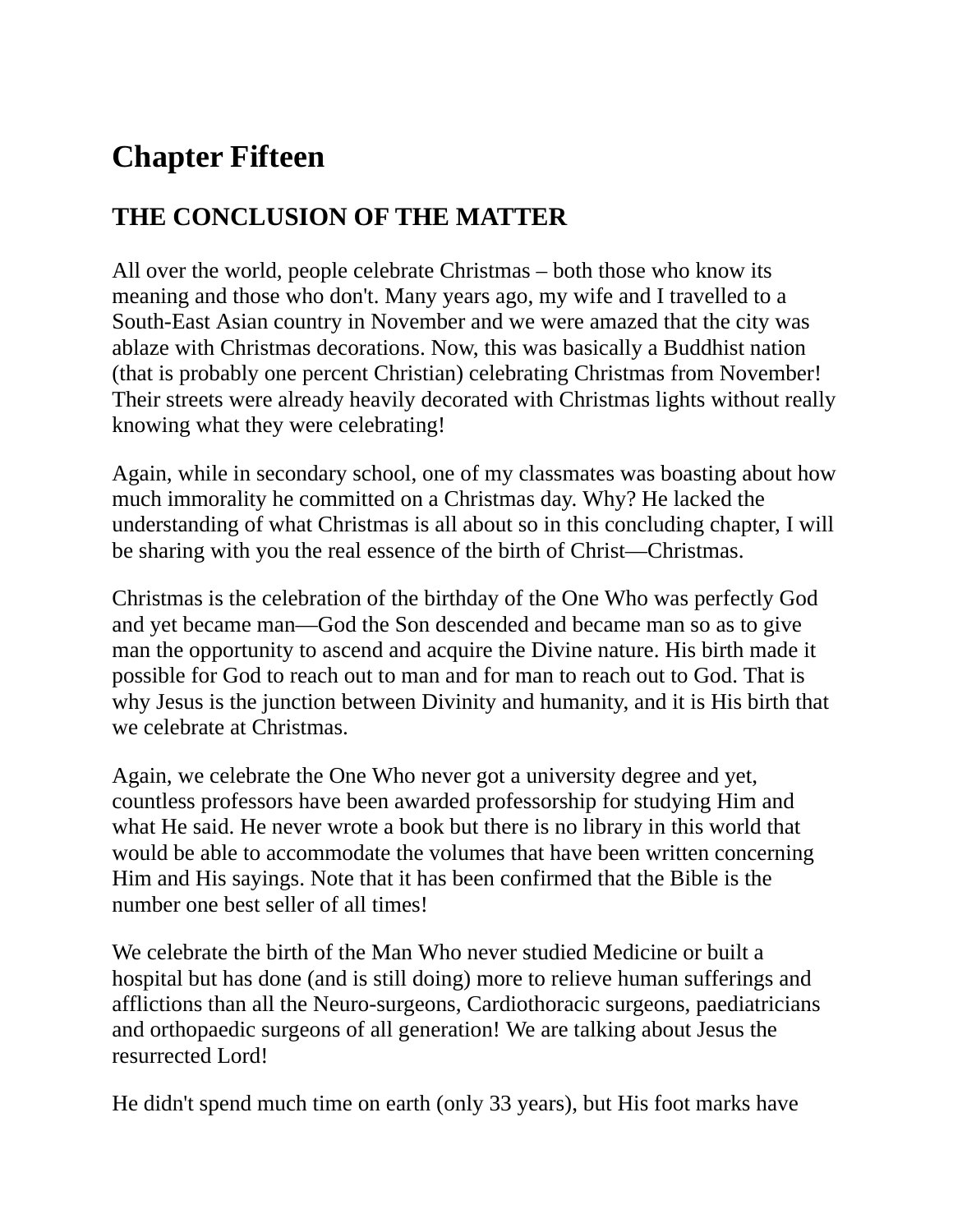# **Chapter Fifteen**

### **THE CONCLUSION OF THE MATTER**

All over the world, people celebrate Christmas – both those who know its meaning and those who don't. Many years ago, my wife and I travelled to a South-East Asian country in November and we were amazed that the city was ablaze with Christmas decorations. Now, this was basically a Buddhist nation (that is probably one percent Christian) celebrating Christmas from November! Their streets were already heavily decorated with Christmas lights without really knowing what they were celebrating!

Again, while in secondary school, one of my classmates was boasting about how much immorality he committed on a Christmas day. Why? He lacked the understanding of what Christmas is all about so in this concluding chapter, I will be sharing with you the real essence of the birth of Christ—Christmas.

Christmas is the celebration of the birthday of the One Who was perfectly God and yet became man—God the Son descended and became man so as to give man the opportunity to ascend and acquire the Divine nature. His birth made it possible for God to reach out to man and for man to reach out to God. That is why Jesus is the junction between Divinity and humanity, and it is His birth that we celebrate at Christmas.

Again, we celebrate the One Who never got a university degree and yet, countless professors have been awarded professorship for studying Him and what He said. He never wrote a book but there is no library in this world that would be able to accommodate the volumes that have been written concerning Him and His sayings. Note that it has been confirmed that the Bible is the number one best seller of all times!

We celebrate the birth of the Man Who never studied Medicine or built a hospital but has done (and is still doing) more to relieve human sufferings and afflictions than all the Neuro-surgeons, Cardiothoracic surgeons, paediatricians and orthopaedic surgeons of all generation! We are talking about Jesus the resurrected Lord!

He didn't spend much time on earth (only 33 years), but His foot marks have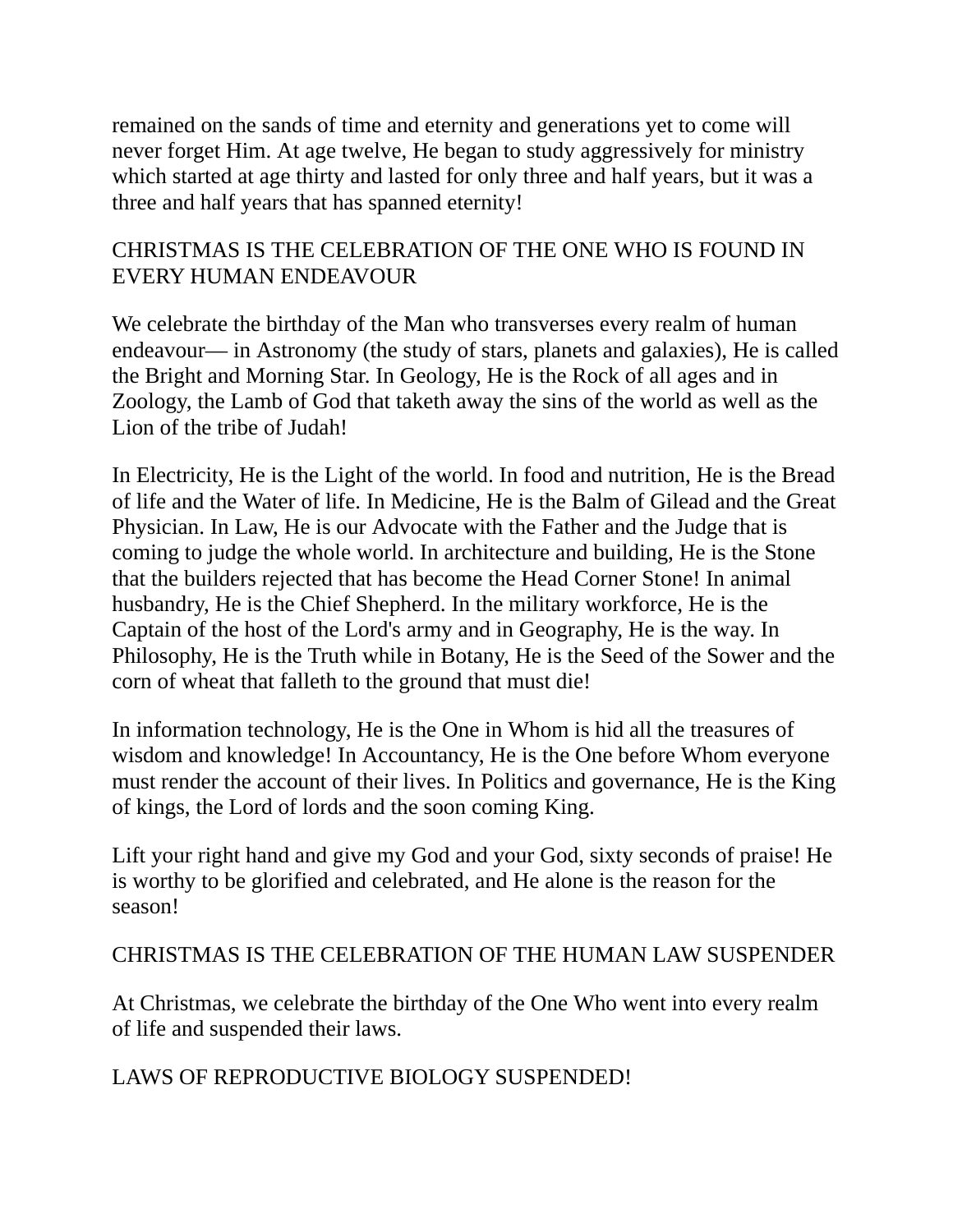remained on the sands of time and eternity and generations yet to come will never forget Him. At age twelve, He began to study aggressively for ministry which started at age thirty and lasted for only three and half years, but it was a three and half years that has spanned eternity!

### CHRISTMAS IS THE CELEBRATION OF THE ONE WHO IS FOUND IN EVERY HUMAN ENDEAVOUR

We celebrate the birthday of the Man who transverses every realm of human endeavour— in Astronomy (the study of stars, planets and galaxies), He is called the Bright and Morning Star. In Geology, He is the Rock of all ages and in Zoology, the Lamb of God that taketh away the sins of the world as well as the Lion of the tribe of Judah!

In Electricity, He is the Light of the world. In food and nutrition, He is the Bread of life and the Water of life. In Medicine, He is the Balm of Gilead and the Great Physician. In Law, He is our Advocate with the Father and the Judge that is coming to judge the whole world. In architecture and building, He is the Stone that the builders rejected that has become the Head Corner Stone! In animal husbandry, He is the Chief Shepherd. In the military workforce, He is the Captain of the host of the Lord's army and in Geography, He is the way. In Philosophy, He is the Truth while in Botany, He is the Seed of the Sower and the corn of wheat that falleth to the ground that must die!

In information technology, He is the One in Whom is hid all the treasures of wisdom and knowledge! In Accountancy, He is the One before Whom everyone must render the account of their lives. In Politics and governance, He is the King of kings, the Lord of lords and the soon coming King.

Lift your right hand and give my God and your God, sixty seconds of praise! He is worthy to be glorified and celebrated, and He alone is the reason for the season!

### CHRISTMAS IS THE CELEBRATION OF THE HUMAN LAW SUSPENDER

At Christmas, we celebrate the birthday of the One Who went into every realm of life and suspended their laws.

LAWS OF REPRODUCTIVE BIOLOGY SUSPENDED!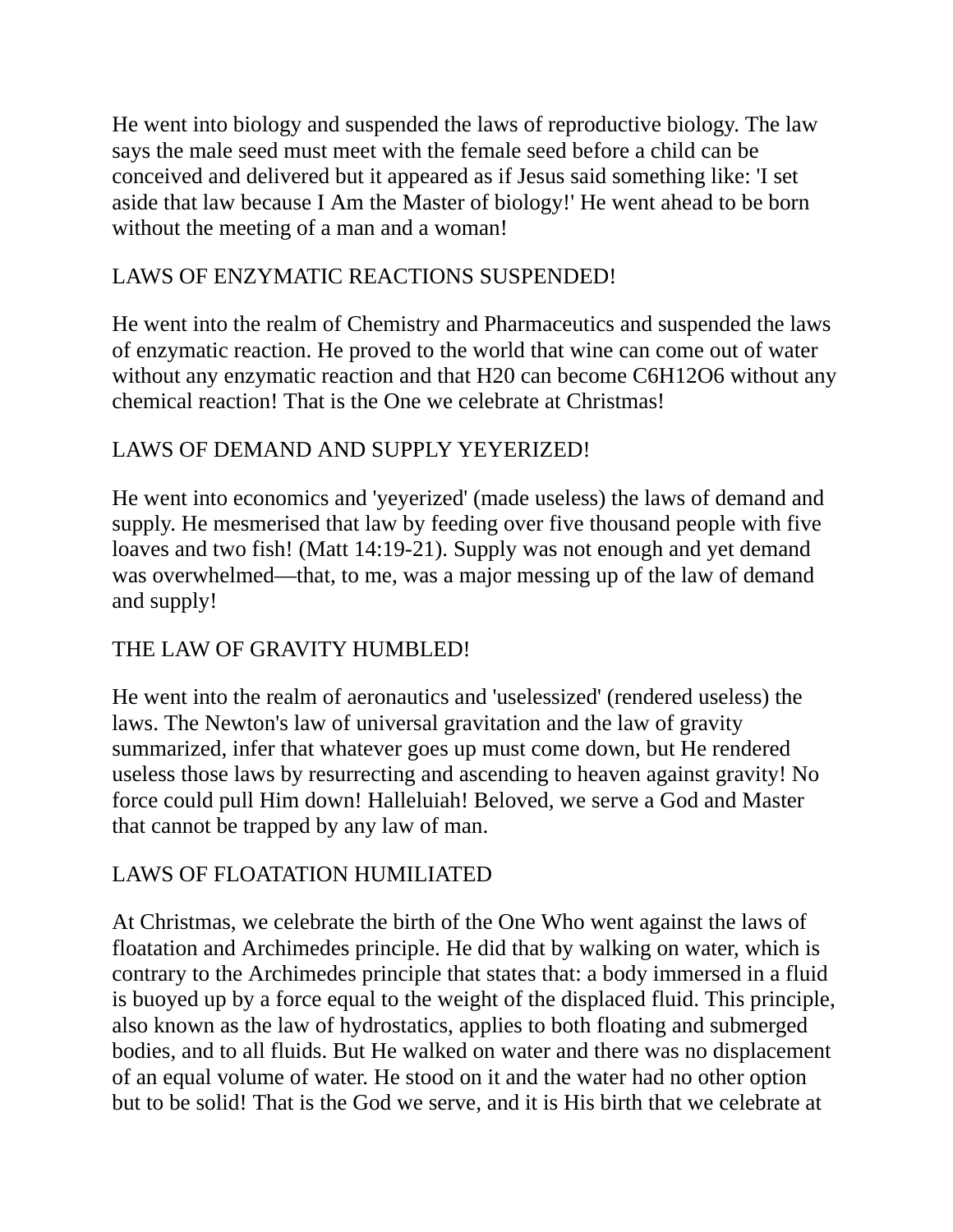He went into biology and suspended the laws of reproductive biology. The law says the male seed must meet with the female seed before a child can be conceived and delivered but it appeared as if Jesus said something like: 'I set aside that law because I Am the Master of biology!' He went ahead to be born without the meeting of a man and a woman!

### LAWS OF ENZYMATIC REACTIONS SUSPENDED!

He went into the realm of Chemistry and Pharmaceutics and suspended the laws of enzymatic reaction. He proved to the world that wine can come out of water without any enzymatic reaction and that H20 can become C6H12O6 without any chemical reaction! That is the One we celebrate at Christmas!

### LAWS OF DEMAND AND SUPPLY YEYERIZED!

He went into economics and 'yeyerized' (made useless) the laws of demand and supply. He mesmerised that law by feeding over five thousand people with five loaves and two fish! (Matt 14:19-21). Supply was not enough and yet demand was overwhelmed—that, to me, was a major messing up of the law of demand and supply!

### THE LAW OF GRAVITY HUMBLED!

He went into the realm of aeronautics and 'uselessized' (rendered useless) the laws. The Newton's law of universal gravitation and the law of gravity summarized, infer that whatever goes up must come down, but He rendered useless those laws by resurrecting and ascending to heaven against gravity! No force could pull Him down! Halleluiah! Beloved, we serve a God and Master that cannot be trapped by any law of man.

### LAWS OF FLOATATION HUMILIATED

At Christmas, we celebrate the birth of the One Who went against the laws of floatation and Archimedes principle. He did that by walking on water, which is contrary to the Archimedes principle that states that: a body immersed in a fluid is buoyed up by a force equal to the weight of the displaced fluid. This principle, also known as the law of hydrostatics, applies to both floating and submerged bodies, and to all fluids. But He walked on water and there was no displacement of an equal volume of water. He stood on it and the water had no other option but to be solid! That is the God we serve, and it is His birth that we celebrate at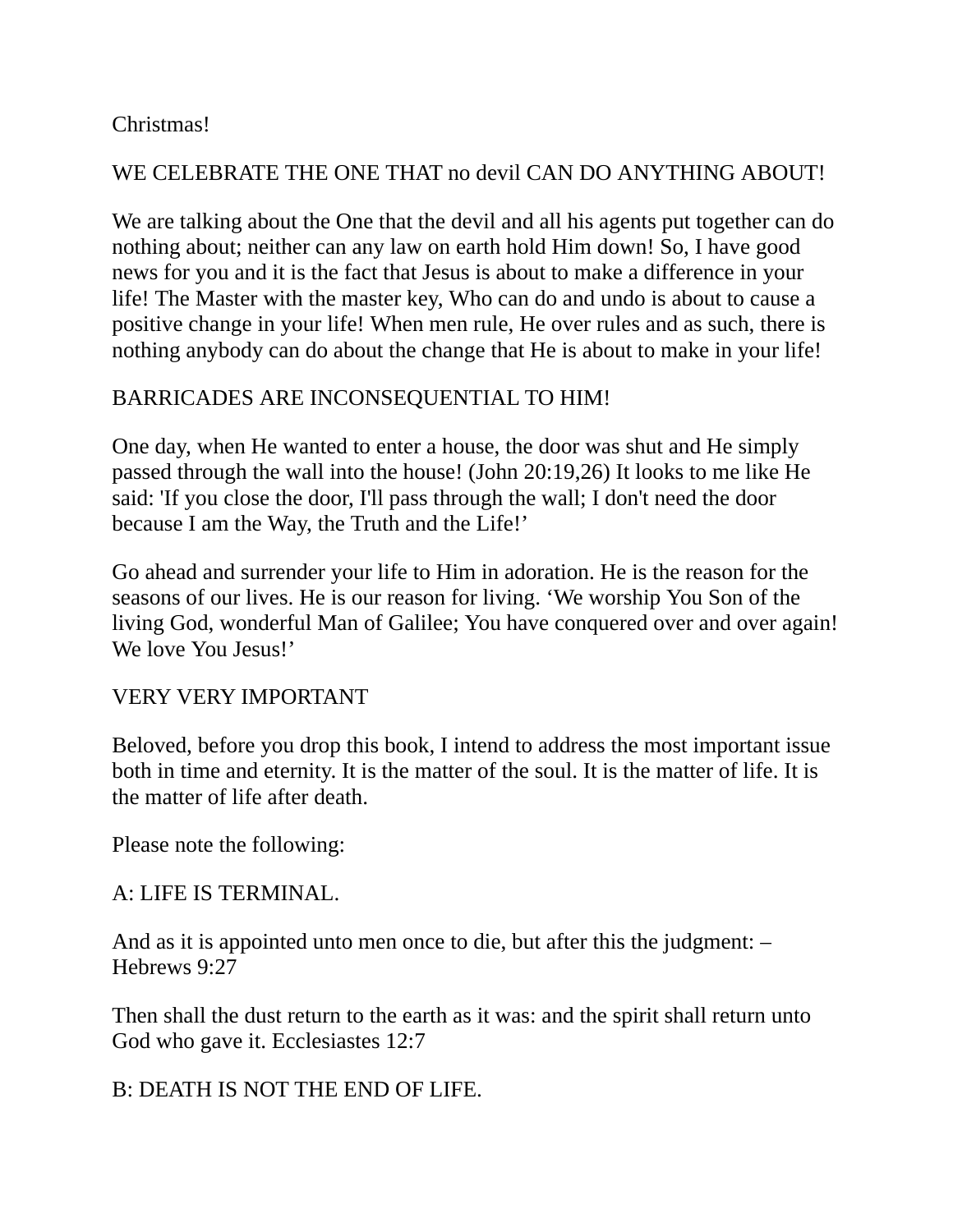### Christmas!

### WE CELEBRATE THE ONE THAT no devil CAN DO ANYTHING ABOUT!

We are talking about the One that the devil and all his agents put together can do nothing about; neither can any law on earth hold Him down! So, I have good news for you and it is the fact that Jesus is about to make a difference in your life! The Master with the master key, Who can do and undo is about to cause a positive change in your life! When men rule, He over rules and as such, there is nothing anybody can do about the change that He is about to make in your life!

### BARRICADES ARE INCONSEQUENTIAL TO HIM!

One day, when He wanted to enter a house, the door was shut and He simply passed through the wall into the house! (John 20:19,26) It looks to me like He said: 'If you close the door, I'll pass through the wall; I don't need the door because I am the Way, the Truth and the Life!'

Go ahead and surrender your life to Him in adoration. He is the reason for the seasons of our lives. He is our reason for living. 'We worship You Son of the living God, wonderful Man of Galilee; You have conquered over and over again! We love You Jesus!'

### VERY VERY IMPORTANT

Beloved, before you drop this book, I intend to address the most important issue both in time and eternity. It is the matter of the soul. It is the matter of life. It is the matter of life after death.

Please note the following:

### A: LIFE IS TERMINAL.

And as it is appointed unto men once to die, but after this the judgment: – Hebrews 9:27

Then shall the dust return to the earth as it was: and the spirit shall return unto God who gave it. Ecclesiastes 12:7

B: DEATH IS NOT THE END OF LIFE.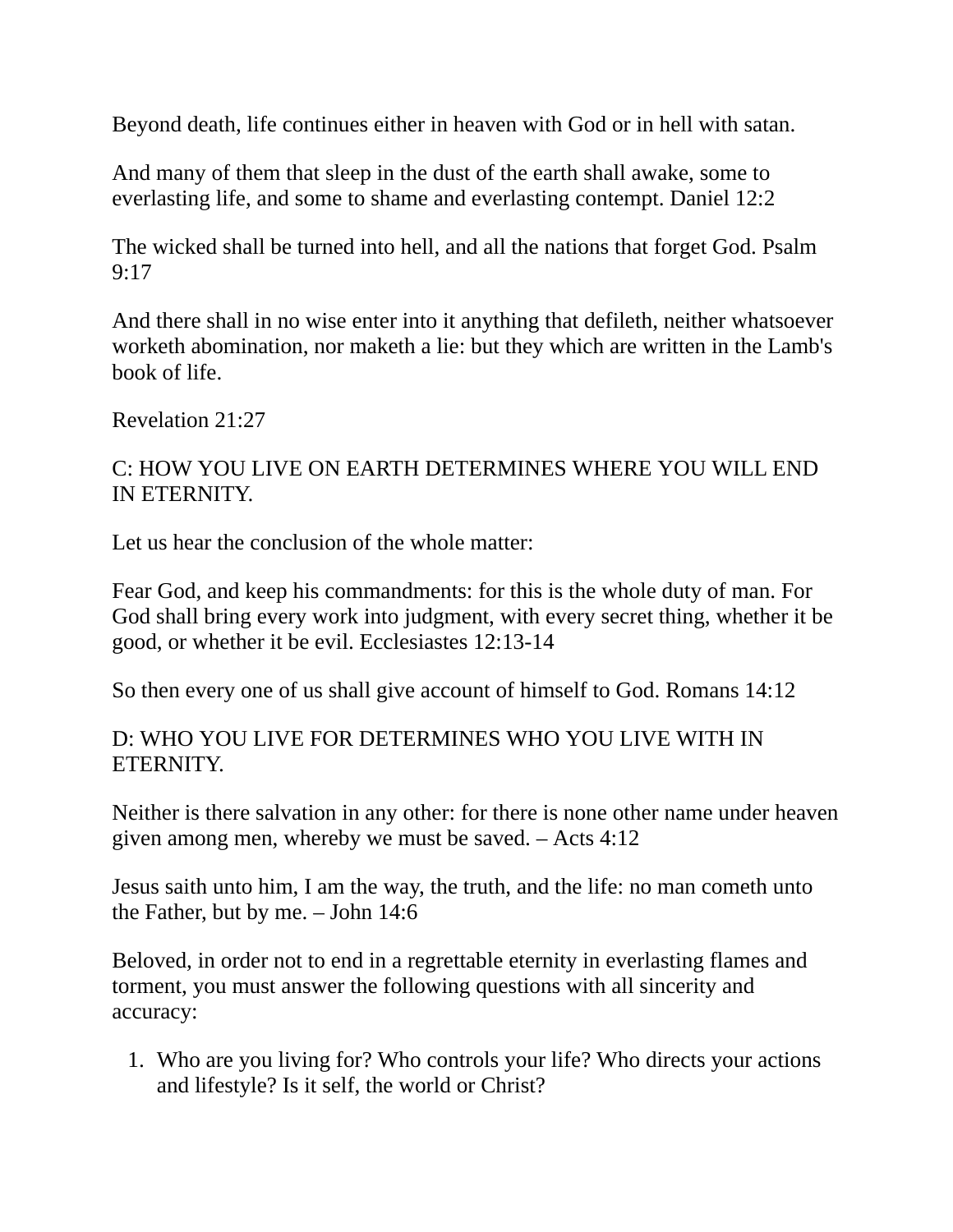Beyond death, life continues either in heaven with God or in hell with satan.

And many of them that sleep in the dust of the earth shall awake, some to everlasting life, and some to shame and everlasting contempt. Daniel 12:2

The wicked shall be turned into hell, and all the nations that forget God. Psalm 9:17

And there shall in no wise enter into it anything that defileth, neither whatsoever worketh abomination, nor maketh a lie: but they which are written in the Lamb's book of life.

Revelation 21:27

### C: HOW YOU LIVE ON EARTH DETERMINES WHERE YOU WILL END IN ETERNITY.

Let us hear the conclusion of the whole matter:

Fear God, and keep his commandments: for this is the whole duty of man. For God shall bring every work into judgment, with every secret thing, whether it be good, or whether it be evil. Ecclesiastes 12:13-14

So then every one of us shall give account of himself to God. Romans 14:12

D: WHO YOU LIVE FOR DETERMINES WHO YOU LIVE WITH IN ETERNITY.

Neither is there salvation in any other: for there is none other name under heaven given among men, whereby we must be saved. – Acts 4:12

Jesus saith unto him, I am the way, the truth, and the life: no man cometh unto the Father, but by me. – John 14:6

Beloved, in order not to end in a regrettable eternity in everlasting flames and torment, you must answer the following questions with all sincerity and accuracy:

1. Who are you living for? Who controls your life? Who directs your actions and lifestyle? Is it self, the world or Christ?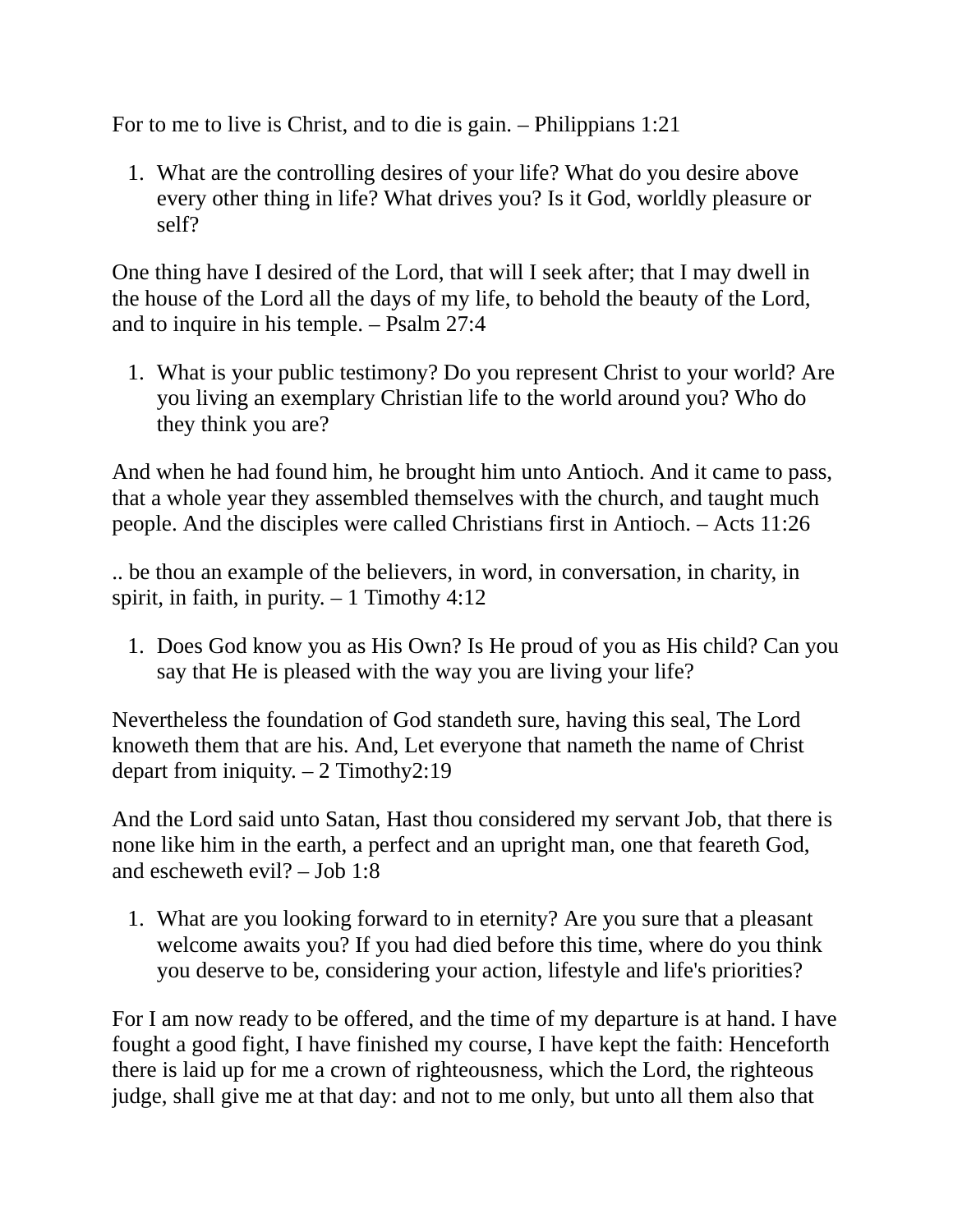For to me to live is Christ, and to die is gain. – Philippians 1:21

1. What are the controlling desires of your life? What do you desire above every other thing in life? What drives you? Is it God, worldly pleasure or self?

One thing have I desired of the Lord, that will I seek after; that I may dwell in the house of the Lord all the days of my life, to behold the beauty of the Lord, and to inquire in his temple. – Psalm 27:4

1. What is your public testimony? Do you represent Christ to your world? Are you living an exemplary Christian life to the world around you? Who do they think you are?

And when he had found him, he brought him unto Antioch. And it came to pass, that a whole year they assembled themselves with the church, and taught much people. And the disciples were called Christians first in Antioch. – Acts 11:26

.. be thou an example of the believers, in word, in conversation, in charity, in spirit, in faith, in purity.  $-1$  Timothy 4:12

1. Does God know you as His Own? Is He proud of you as His child? Can you say that He is pleased with the way you are living your life?

Nevertheless the foundation of God standeth sure, having this seal, The Lord knoweth them that are his. And, Let everyone that nameth the name of Christ depart from iniquity. – 2 Timothy2:19

And the Lord said unto Satan, Hast thou considered my servant Job, that there is none like him in the earth, a perfect and an upright man, one that feareth God, and escheweth evil? – Job 1:8

1. What are you looking forward to in eternity? Are you sure that a pleasant welcome awaits you? If you had died before this time, where do you think you deserve to be, considering your action, lifestyle and life's priorities?

For I am now ready to be offered, and the time of my departure is at hand. I have fought a good fight, I have finished my course, I have kept the faith: Henceforth there is laid up for me a crown of righteousness, which the Lord, the righteous judge, shall give me at that day: and not to me only, but unto all them also that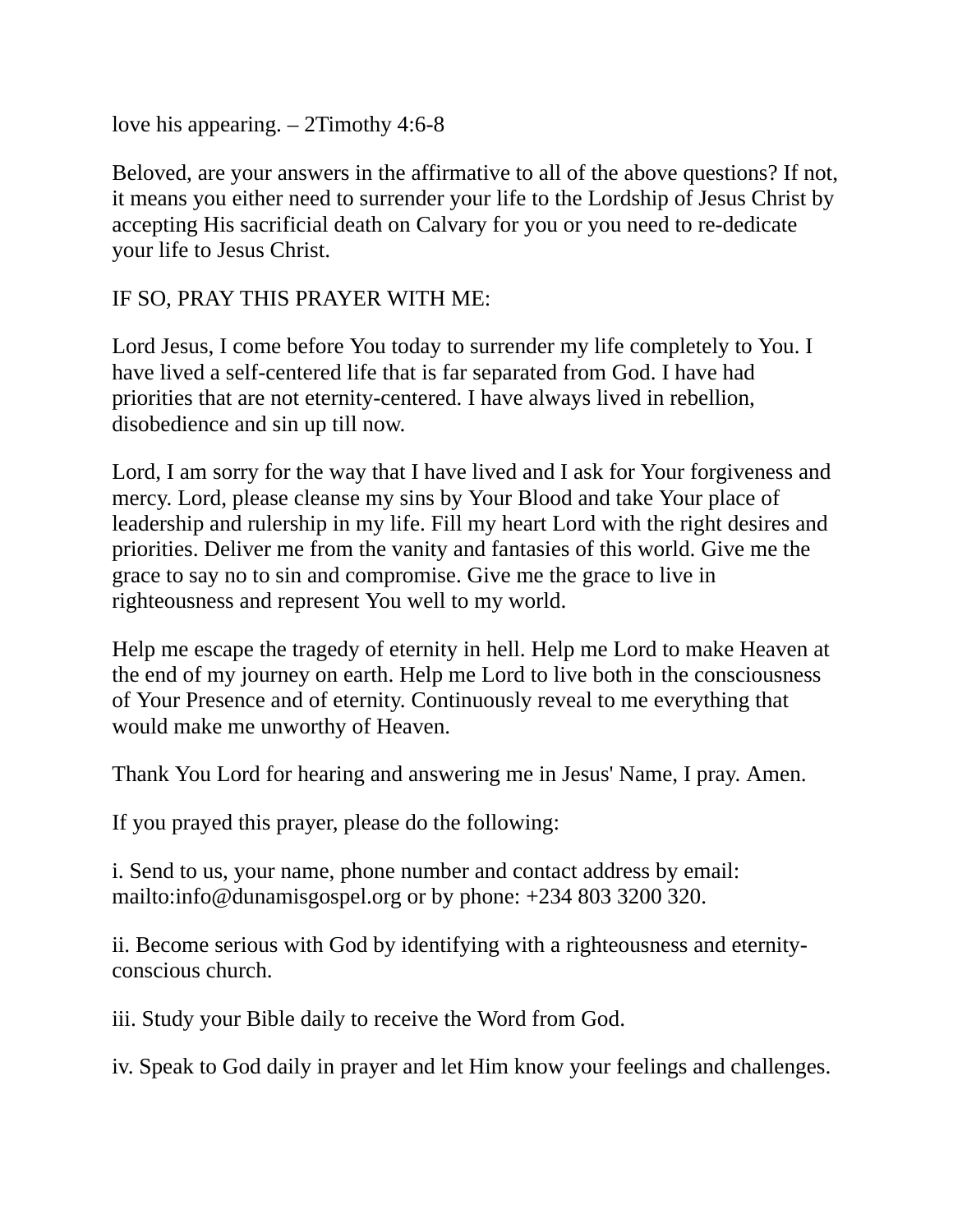love his appearing. – 2Timothy 4:6-8

Beloved, are your answers in the affirmative to all of the above questions? If not, it means you either need to surrender your life to the Lordship of Jesus Christ by accepting His sacrificial death on Calvary for you or you need to re-dedicate your life to Jesus Christ.

### IF SO, PRAY THIS PRAYER WITH ME:

Lord Jesus, I come before You today to surrender my life completely to You. I have lived a self-centered life that is far separated from God. I have had priorities that are not eternity-centered. I have always lived in rebellion, disobedience and sin up till now.

Lord, I am sorry for the way that I have lived and I ask for Your forgiveness and mercy. Lord, please cleanse my sins by Your Blood and take Your place of leadership and rulership in my life. Fill my heart Lord with the right desires and priorities. Deliver me from the vanity and fantasies of this world. Give me the grace to say no to sin and compromise. Give me the grace to live in righteousness and represent You well to my world.

Help me escape the tragedy of eternity in hell. Help me Lord to make Heaven at the end of my journey on earth. Help me Lord to live both in the consciousness of Your Presence and of eternity. Continuously reveal to me everything that would make me unworthy of Heaven.

Thank You Lord for hearing and answering me in Jesus' Name, I pray. Amen.

If you prayed this prayer, please do the following:

i. Send to us, your name, phone number and contact address by email: mailto:info@dunamisgospel.org or by phone: +234 803 3200 320.

ii. Become serious with God by identifying with a righteousness and eternityconscious church.

iii. Study your Bible daily to receive the Word from God.

iv. Speak to God daily in prayer and let Him know your feelings and challenges.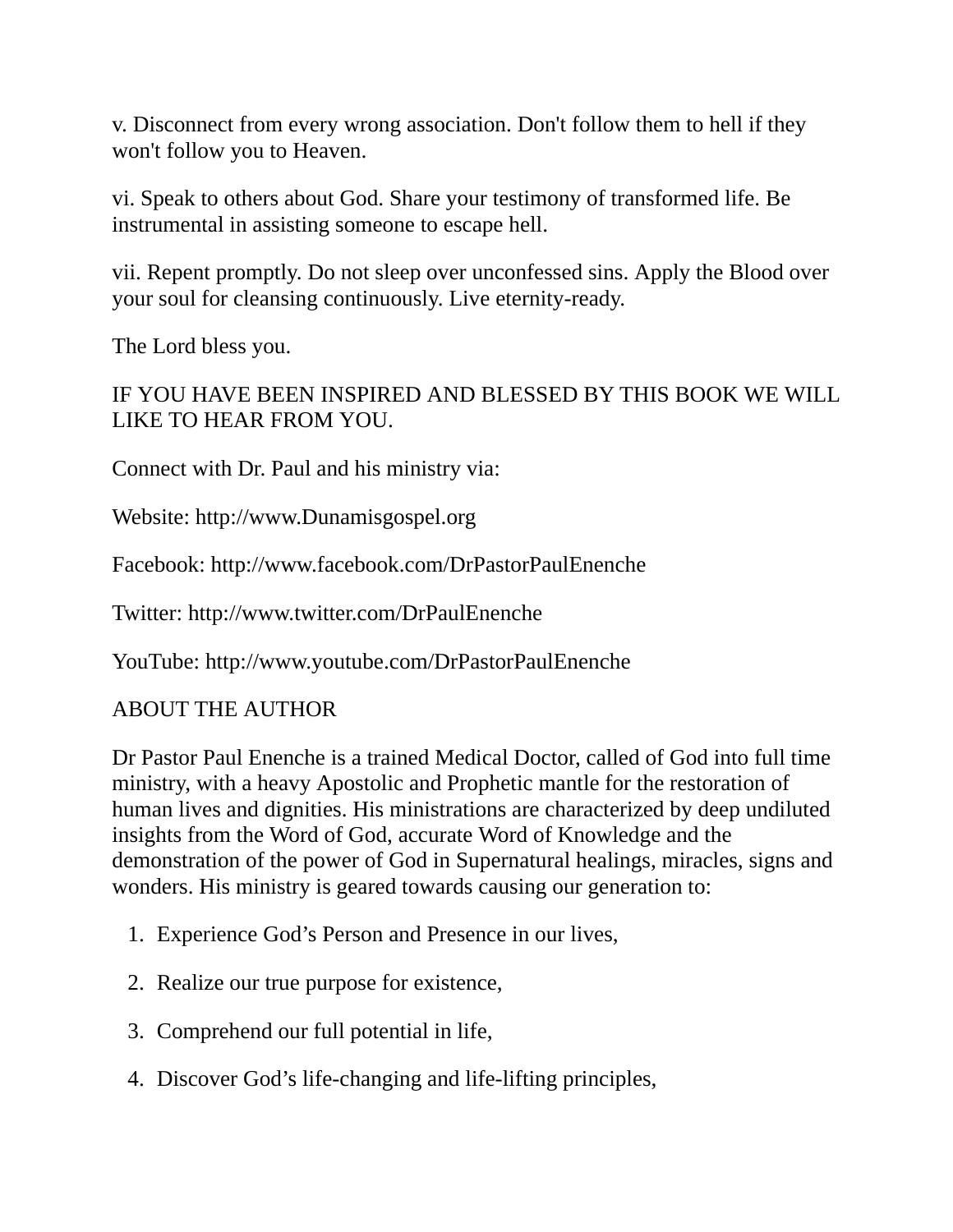v. Disconnect from every wrong association. Don't follow them to hell if they won't follow you to Heaven.

vi. Speak to others about God. Share your testimony of transformed life. Be instrumental in assisting someone to escape hell.

vii. Repent promptly. Do not sleep over unconfessed sins. Apply the Blood over your soul for cleansing continuously. Live eternity-ready.

The Lord bless you.

IF YOU HAVE BEEN INSPIRED AND BLESSED BY THIS BOOK WE WILL LIKE TO HEAR FROM YOU.

Connect with Dr. Paul and his ministry via:

Website: http://www.Dunamisgospel.org

Facebook: http://www.facebook.com/DrPastorPaulEnenche

Twitter: http://www.twitter.com/DrPaulEnenche

YouTube: http://www.youtube.com/DrPastorPaulEnenche

### ABOUT THE AUTHOR

Dr Pastor Paul Enenche is a trained Medical Doctor, called of God into full time ministry, with a heavy Apostolic and Prophetic mantle for the restoration of human lives and dignities. His ministrations are characterized by deep undiluted insights from the Word of God, accurate Word of Knowledge and the demonstration of the power of God in Supernatural healings, miracles, signs and wonders. His ministry is geared towards causing our generation to:

- 1. Experience God's Person and Presence in our lives,
- 2. Realize our true purpose for existence,
- 3. Comprehend our full potential in life,
- 4. Discover God's life-changing and life-lifting principles,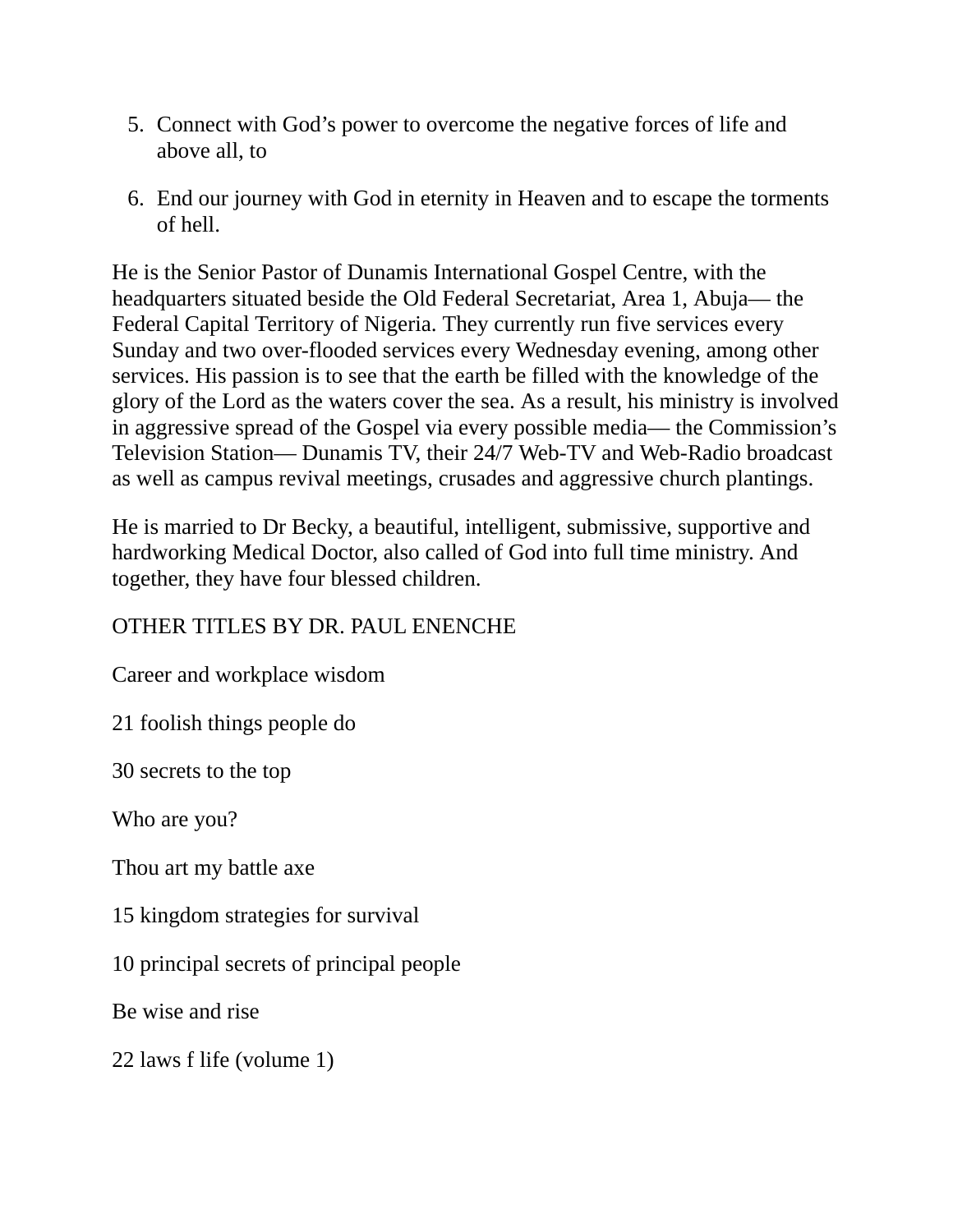- 5. Connect with God's power to overcome the negative forces of life and above all, to
- 6. End our journey with God in eternity in Heaven and to escape the torments of hell.

He is the Senior Pastor of Dunamis International Gospel Centre, with the headquarters situated beside the Old Federal Secretariat, Area 1, Abuja— the Federal Capital Territory of Nigeria. They currently run five services every Sunday and two over-flooded services every Wednesday evening, among other services. His passion is to see that the earth be filled with the knowledge of the glory of the Lord as the waters cover the sea. As a result, his ministry is involved in aggressive spread of the Gospel via every possible media— the Commission's Television Station— Dunamis TV, their 24/7 Web-TV and Web-Radio broadcast as well as campus revival meetings, crusades and aggressive church plantings.

He is married to Dr Becky, a beautiful, intelligent, submissive, supportive and hardworking Medical Doctor, also called of God into full time ministry. And together, they have four blessed children.

### OTHER TITLES BY DR. PAUL ENENCHE

Career and workplace wisdom

21 foolish things people do

30 secrets to the top

Who are you?

Thou art my battle axe

15 kingdom strategies for survival

10 principal secrets of principal people

Be wise and rise

22 laws f life (volume 1)